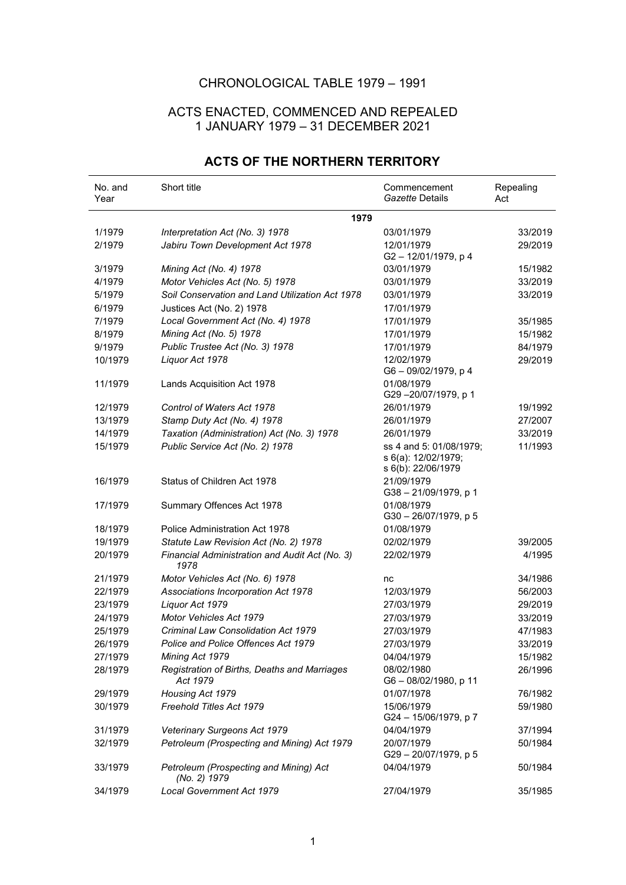## CHRONOLOGICAL TABLE 1979 – 1991

## ACTS ENACTED, COMMENCED AND REPEALED 1 JANUARY 1979 – 31 DECEMBER 2021

| No. and<br>Year | Short title                                              | Commencement<br>Gazette Details                                      | Repealing<br>Act |
|-----------------|----------------------------------------------------------|----------------------------------------------------------------------|------------------|
|                 | 1979                                                     |                                                                      |                  |
| 1/1979          | Interpretation Act (No. 3) 1978                          | 03/01/1979                                                           | 33/2019          |
| 2/1979          | Jabiru Town Development Act 1978                         | 12/01/1979<br>G2-12/01/1979, p4                                      | 29/2019          |
| 3/1979          | Mining Act (No. 4) 1978                                  | 03/01/1979                                                           | 15/1982          |
| 4/1979          | Motor Vehicles Act (No. 5) 1978                          | 03/01/1979                                                           | 33/2019          |
| 5/1979          | Soil Conservation and Land Utilization Act 1978          | 03/01/1979                                                           | 33/2019          |
| 6/1979          | Justices Act (No. 2) 1978                                | 17/01/1979                                                           |                  |
| 7/1979          | Local Government Act (No. 4) 1978                        | 17/01/1979                                                           | 35/1985          |
| 8/1979          | Mining Act (No. 5) 1978                                  | 17/01/1979                                                           | 15/1982          |
| 9/1979          | Public Trustee Act (No. 3) 1978                          | 17/01/1979                                                           | 84/1979          |
| 10/1979         | Liquor Act 1978                                          | 12/02/1979<br>G6 - 09/02/1979, p 4                                   | 29/2019          |
| 11/1979         | Lands Acquisition Act 1978                               | 01/08/1979<br>G29-20/07/1979, p 1                                    |                  |
| 12/1979         | Control of Waters Act 1978                               | 26/01/1979                                                           | 19/1992          |
| 13/1979         | Stamp Duty Act (No. 4) 1978                              | 26/01/1979                                                           | 27/2007          |
| 14/1979         | Taxation (Administration) Act (No. 3) 1978               | 26/01/1979                                                           | 33/2019          |
| 15/1979         | Public Service Act (No. 2) 1978                          | ss 4 and 5: 01/08/1979;<br>s 6(a): 12/02/1979;<br>s 6(b): 22/06/1979 | 11/1993          |
| 16/1979         | Status of Children Act 1978                              | 21/09/1979<br>G38-21/09/1979, p 1                                    |                  |
| 17/1979         | Summary Offences Act 1978                                | 01/08/1979<br>G30-26/07/1979, p 5                                    |                  |
| 18/1979         | Police Administration Act 1978                           | 01/08/1979                                                           |                  |
| 19/1979         | Statute Law Revision Act (No. 2) 1978                    | 02/02/1979                                                           | 39/2005          |
| 20/1979         | Financial Administration and Audit Act (No. 3)<br>1978   | 22/02/1979                                                           | 4/1995           |
| 21/1979         | Motor Vehicles Act (No. 6) 1978                          | nc                                                                   | 34/1986          |
| 22/1979         | Associations Incorporation Act 1978                      | 12/03/1979                                                           | 56/2003          |
| 23/1979         | Liquor Act 1979                                          | 27/03/1979                                                           | 29/2019          |
| 24/1979         | <b>Motor Vehicles Act 1979</b>                           | 27/03/1979                                                           | 33/2019          |
| 25/1979         | Criminal Law Consolidation Act 1979                      | 27/03/1979                                                           | 47/1983          |
| 26/1979         | Police and Police Offences Act 1979                      | 27/03/1979                                                           | 33/2019          |
| 27/1979         | Mining Act 1979                                          | 04/04/1979                                                           | 15/1982          |
| 28/1979         | Registration of Births, Deaths and Marriages<br>Act 1979 | 08/02/1980<br>G6-08/02/1980, p 11                                    | 26/1996          |
| 29/1979         | Housing Act 1979                                         | 01/07/1978                                                           | 76/1982          |
| 30/1979         | Freehold Titles Act 1979                                 | 15/06/1979<br>G24 - 15/06/1979, p 7                                  | 59/1980          |
| 31/1979         | Veterinary Surgeons Act 1979                             | 04/04/1979                                                           | 37/1994          |
| 32/1979         | Petroleum (Prospecting and Mining) Act 1979              | 20/07/1979<br>G29-20/07/1979, p 5                                    | 50/1984          |
| 33/1979         | Petroleum (Prospecting and Mining) Act<br>(No. 2) 1979   | 04/04/1979                                                           | 50/1984          |
| 34/1979         | Local Government Act 1979                                | 27/04/1979                                                           | 35/1985          |

## **ACTS OF THE NORTHERN TERRITORY**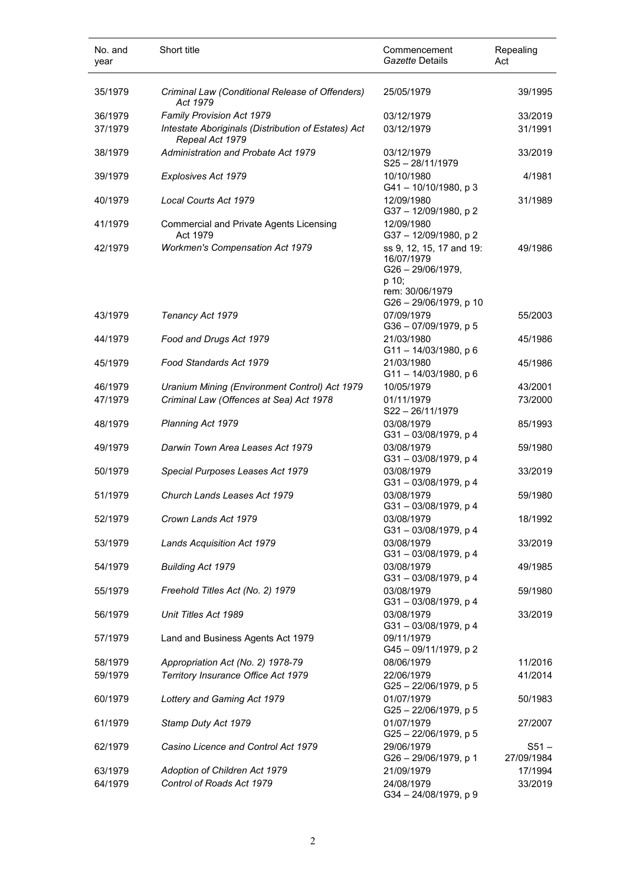| No. and<br>year    | Short title                                                            | Commencement<br>Gazette Details                                                                                 | Repealing<br>Act      |
|--------------------|------------------------------------------------------------------------|-----------------------------------------------------------------------------------------------------------------|-----------------------|
| 35/1979            | Criminal Law (Conditional Release of Offenders)<br>Act 1979            | 25/05/1979                                                                                                      | 39/1995               |
| 36/1979            | Family Provision Act 1979                                              | 03/12/1979                                                                                                      | 33/2019               |
| 37/1979            | Intestate Aboriginals (Distribution of Estates) Act<br>Repeal Act 1979 | 03/12/1979                                                                                                      | 31/1991               |
| 38/1979            | Administration and Probate Act 1979                                    | 03/12/1979<br>$S25 - 28/11/1979$                                                                                | 33/2019               |
| 39/1979            | Explosives Act 1979                                                    | 10/10/1980<br>G41-10/10/1980, p 3                                                                               | 4/1981                |
| 40/1979            | Local Courts Act 1979                                                  | 12/09/1980<br>G37-12/09/1980, p2                                                                                | 31/1989               |
| 41/1979            | <b>Commercial and Private Agents Licensing</b><br>Act 1979             | 12/09/1980<br>G37-12/09/1980, p2                                                                                |                       |
| 42/1979            | <b>Workmen's Compensation Act 1979</b>                                 | ss 9, 12, 15, 17 and 19:<br>16/07/1979<br>G26-29/06/1979,<br>p 10;<br>rem: 30/06/1979<br>G26 - 29/06/1979, p 10 | 49/1986               |
| 43/1979            | Tenancy Act 1979                                                       | 07/09/1979<br>G36-07/09/1979, p 5                                                                               | 55/2003               |
| 44/1979            | Food and Drugs Act 1979                                                | 21/03/1980<br>$G11 - 14/03/1980$ , p 6                                                                          | 45/1986               |
| 45/1979            | Food Standards Act 1979                                                | 21/03/1980<br>$G11 - 14/03/1980$ , p 6                                                                          | 45/1986               |
| 46/1979            | Uranium Mining (Environment Control) Act 1979                          | 10/05/1979                                                                                                      | 43/2001               |
| 47/1979            | Criminal Law (Offences at Sea) Act 1978                                | 01/11/1979<br>S22-26/11/1979                                                                                    | 73/2000               |
| 48/1979            | Planning Act 1979                                                      | 03/08/1979<br>G31-03/08/1979, p 4                                                                               | 85/1993               |
| 49/1979            | Darwin Town Area Leases Act 1979                                       | 03/08/1979<br>G31-03/08/1979, p 4                                                                               | 59/1980               |
| 50/1979            | Special Purposes Leases Act 1979                                       | 03/08/1979<br>G31-03/08/1979, p 4                                                                               | 33/2019               |
| 51/1979            | Church Lands Leases Act 1979                                           | 03/08/1979<br>G31-03/08/1979, p 4                                                                               | 59/1980               |
| 52/1979<br>53/1979 | Crown Lands Act 1979                                                   | 03/08/1979<br>G31-03/08/1979, p 4<br>03/08/1979                                                                 | 18/1992<br>33/2019    |
| 54/1979            | Lands Acquisition Act 1979<br>Building Act 1979                        | G31-03/08/1979, p4<br>03/08/1979                                                                                | 49/1985               |
| 55/1979            | Freehold Titles Act (No. 2) 1979                                       | G31-03/08/1979, p 4<br>03/08/1979                                                                               | 59/1980               |
| 56/1979            | Unit Titles Act 1989                                                   | G31-03/08/1979, p4<br>03/08/1979                                                                                | 33/2019               |
| 57/1979            | Land and Business Agents Act 1979                                      | G31-03/08/1979, p 4<br>09/11/1979                                                                               |                       |
| 58/1979            | Appropriation Act (No. 2) 1978-79                                      | G45-09/11/1979, p 2<br>08/06/1979                                                                               | 11/2016               |
| 59/1979            | Territory Insurance Office Act 1979                                    | 22/06/1979<br>$G25 - 22/06/1979$ , p 5                                                                          | 41/2014               |
| 60/1979            | Lottery and Gaming Act 1979                                            | 01/07/1979<br>G25-22/06/1979, p 5                                                                               | 50/1983               |
| 61/1979            | Stamp Duty Act 1979                                                    | 01/07/1979<br>G25-22/06/1979, p 5                                                                               | 27/2007               |
| 62/1979            | Casino Licence and Control Act 1979                                    | 29/06/1979<br>G26 - 29/06/1979, p 1                                                                             | $S51 -$<br>27/09/1984 |
| 63/1979            | Adoption of Children Act 1979                                          | 21/09/1979                                                                                                      | 17/1994               |
| 64/1979            | Control of Roads Act 1979                                              | 24/08/1979<br>G34-24/08/1979, p 9                                                                               | 33/2019               |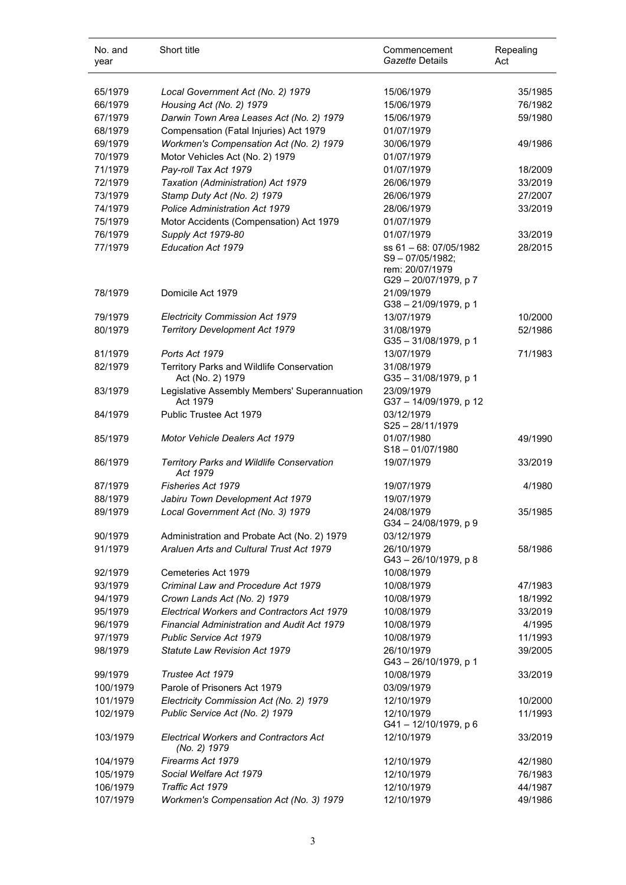| No. and<br>year | Short title                                                   | Commencement<br>Gazette Details                                                        | Repealing<br>Act |
|-----------------|---------------------------------------------------------------|----------------------------------------------------------------------------------------|------------------|
| 65/1979         | Local Government Act (No. 2) 1979                             | 15/06/1979                                                                             | 35/1985          |
| 66/1979         | Housing Act (No. 2) 1979                                      | 15/06/1979                                                                             | 76/1982          |
| 67/1979         | Darwin Town Area Leases Act (No. 2) 1979                      | 15/06/1979                                                                             | 59/1980          |
| 68/1979         | Compensation (Fatal Injuries) Act 1979                        | 01/07/1979                                                                             |                  |
| 69/1979         | Workmen's Compensation Act (No. 2) 1979                       | 30/06/1979                                                                             | 49/1986          |
| 70/1979         | Motor Vehicles Act (No. 2) 1979                               | 01/07/1979                                                                             |                  |
| 71/1979         | Pay-roll Tax Act 1979                                         | 01/07/1979                                                                             | 18/2009          |
| 72/1979         | Taxation (Administration) Act 1979                            | 26/06/1979                                                                             | 33/2019          |
| 73/1979         |                                                               | 26/06/1979                                                                             | 27/2007          |
| 74/1979         | Stamp Duty Act (No. 2) 1979<br>Police Administration Act 1979 | 28/06/1979                                                                             | 33/2019          |
|                 |                                                               |                                                                                        |                  |
| 75/1979         | Motor Accidents (Compensation) Act 1979                       | 01/07/1979                                                                             |                  |
| 76/1979         | Supply Act 1979-80                                            | 01/07/1979                                                                             | 33/2019          |
| 77/1979         | Education Act 1979                                            | ss 61 - 68: 07/05/1982<br>$S9 - 07/05/1982$ :<br>rem: 20/07/1979<br>G29-20/07/1979, p7 | 28/2015          |
| 78/1979         | Domicile Act 1979                                             | 21/09/1979<br>G38-21/09/1979, p 1                                                      |                  |
| 79/1979         | <b>Electricity Commission Act 1979</b>                        | 13/07/1979                                                                             | 10/2000          |
| 80/1979         | <b>Territory Development Act 1979</b>                         | 31/08/1979<br>G35-31/08/1979, p 1                                                      | 52/1986          |
| 81/1979         | Ports Act 1979                                                | 13/07/1979                                                                             | 71/1983          |
| 82/1979         | Territory Parks and Wildlife Conservation<br>Act (No. 2) 1979 | 31/08/1979<br>G35-31/08/1979, p 1                                                      |                  |
| 83/1979         | Legislative Assembly Members' Superannuation<br>Act 1979      | 23/09/1979<br>G37-14/09/1979, p 12                                                     |                  |
| 84/1979         | Public Trustee Act 1979                                       | 03/12/1979<br>S25-28/11/1979                                                           |                  |
| 85/1979         | Motor Vehicle Dealers Act 1979                                | 01/07/1980<br>$S18 - 01/07/1980$                                                       | 49/1990          |
| 86/1979         | Territory Parks and Wildlife Conservation<br>Act 1979         | 19/07/1979                                                                             | 33/2019          |
| 87/1979         | Fisheries Act 1979                                            | 19/07/1979                                                                             | 4/1980           |
| 88/1979         | Jabiru Town Development Act 1979                              | 19/07/1979                                                                             |                  |
| 89/1979         | Local Government Act (No. 3) 1979                             | 24/08/1979<br>G34-24/08/1979, p9                                                       | 35/1985          |
| 90/1979         | Administration and Probate Act (No. 2) 1979                   | 03/12/1979                                                                             |                  |
| 91/1979         | Araluen Arts and Cultural Trust Act 1979                      | 26/10/1979<br>G43-26/10/1979, p8                                                       | 58/1986          |
| 92/1979         | Cemeteries Act 1979                                           | 10/08/1979                                                                             |                  |
| 93/1979         | Criminal Law and Procedure Act 1979                           | 10/08/1979                                                                             | 47/1983          |
| 94/1979         | Crown Lands Act (No. 2) 1979                                  | 10/08/1979                                                                             | 18/1992          |
| 95/1979         | Electrical Workers and Contractors Act 1979                   | 10/08/1979                                                                             | 33/2019          |
| 96/1979         | Financial Administration and Audit Act 1979                   | 10/08/1979                                                                             | 4/1995           |
| 97/1979         | <b>Public Service Act 1979</b>                                | 10/08/1979                                                                             | 11/1993          |
| 98/1979         | Statute Law Revision Act 1979                                 | 26/10/1979<br>G43-26/10/1979, p 1                                                      | 39/2005          |
| 99/1979         | Trustee Act 1979                                              | 10/08/1979                                                                             | 33/2019          |
| 100/1979        | Parole of Prisoners Act 1979                                  | 03/09/1979                                                                             |                  |
| 101/1979        | Electricity Commission Act (No. 2) 1979                       | 12/10/1979                                                                             | 10/2000          |
| 102/1979        | Public Service Act (No. 2) 1979                               | 12/10/1979<br>G41-12/10/1979, p 6                                                      | 11/1993          |
| 103/1979        | <b>Electrical Workers and Contractors Act</b><br>(No. 2) 1979 | 12/10/1979                                                                             | 33/2019          |
| 104/1979        | Firearms Act 1979                                             | 12/10/1979                                                                             | 42/1980          |
| 105/1979        | Social Welfare Act 1979                                       | 12/10/1979                                                                             | 76/1983          |
| 106/1979        | Traffic Act 1979                                              | 12/10/1979                                                                             | 44/1987          |
| 107/1979        | Workmen's Compensation Act (No. 3) 1979                       | 12/10/1979                                                                             | 49/1986          |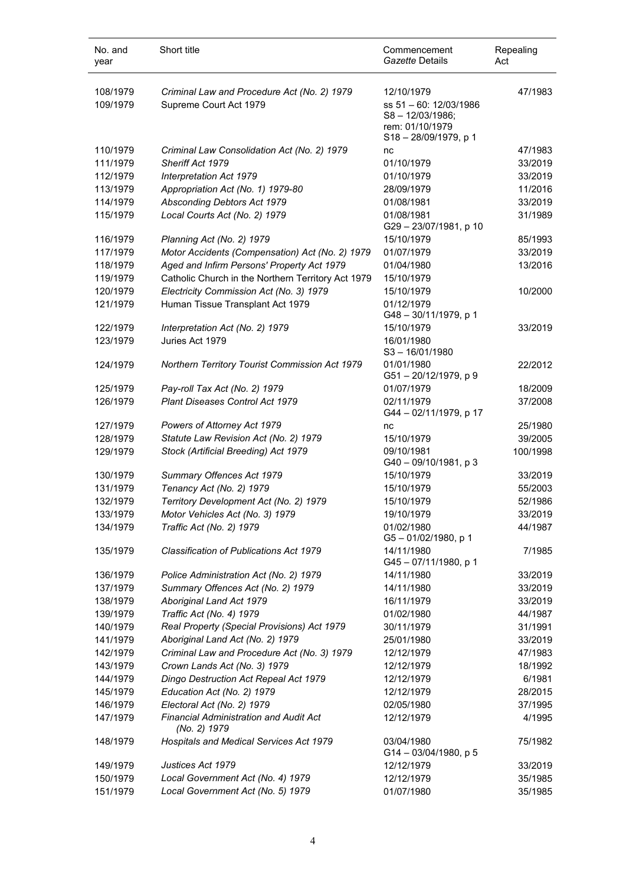| No. and<br>year | Short title                                            | Commencement<br>Gazette Details     | Repealing<br>Act |
|-----------------|--------------------------------------------------------|-------------------------------------|------------------|
| 108/1979        | Criminal Law and Procedure Act (No. 2) 1979            | 12/10/1979                          | 47/1983          |
| 109/1979        | Supreme Court Act 1979                                 | ss 51 - 60: 12/03/1986              |                  |
|                 |                                                        | S8-12/03/1986;                      |                  |
|                 |                                                        | rem: 01/10/1979                     |                  |
| 110/1979        | Criminal Law Consolidation Act (No. 2) 1979            | S18-28/09/1979, p 1<br>nc           | 47/1983          |
| 111/1979        | Sheriff Act 1979                                       | 01/10/1979                          | 33/2019          |
| 112/1979        | Interpretation Act 1979                                | 01/10/1979                          | 33/2019          |
| 113/1979        | Appropriation Act (No. 1) 1979-80                      | 28/09/1979                          | 11/2016          |
| 114/1979        | Absconding Debtors Act 1979                            | 01/08/1981                          | 33/2019          |
| 115/1979        | Local Courts Act (No. 2) 1979                          | 01/08/1981                          | 31/1989          |
|                 |                                                        | G29-23/07/1981, p 10                |                  |
| 116/1979        | Planning Act (No. 2) 1979                              | 15/10/1979                          | 85/1993          |
| 117/1979        | Motor Accidents (Compensation) Act (No. 2) 1979        | 01/07/1979                          | 33/2019          |
| 118/1979        | Aged and Infirm Persons' Property Act 1979             | 01/04/1980                          | 13/2016          |
| 119/1979        | Catholic Church in the Northern Territory Act 1979     | 15/10/1979                          |                  |
| 120/1979        | Electricity Commission Act (No. 3) 1979                | 15/10/1979                          | 10/2000          |
| 121/1979        | Human Tissue Transplant Act 1979                       | 01/12/1979                          |                  |
|                 |                                                        | G48-30/11/1979, p 1                 |                  |
| 122/1979        | Interpretation Act (No. 2) 1979                        | 15/10/1979                          | 33/2019          |
| 123/1979        | Juries Act 1979                                        | 16/01/1980                          |                  |
|                 |                                                        | $S3 - 16/01/1980$                   |                  |
| 124/1979        | Northern Territory Tourist Commission Act 1979         | 01/01/1980<br>G51-20/12/1979, p 9   | 22/2012          |
| 125/1979        | Pay-roll Tax Act (No. 2) 1979                          | 01/07/1979                          | 18/2009          |
| 126/1979        | Plant Diseases Control Act 1979                        | 02/11/1979                          | 37/2008          |
|                 |                                                        | G44 - 02/11/1979, p 17              |                  |
| 127/1979        | Powers of Attorney Act 1979                            | nc                                  | 25/1980          |
| 128/1979        | Statute Law Revision Act (No. 2) 1979                  | 15/10/1979                          | 39/2005          |
| 129/1979        | Stock (Artificial Breeding) Act 1979                   | 09/10/1981<br>G40 - 09/10/1981, p 3 | 100/1998         |
| 130/1979        | Summary Offences Act 1979                              | 15/10/1979                          | 33/2019          |
| 131/1979        | Tenancy Act (No. 2) 1979                               | 15/10/1979                          | 55/2003          |
| 132/1979        | Territory Development Act (No. 2) 1979                 | 15/10/1979                          | 52/1986          |
| 133/1979        | Motor Vehicles Act (No. 3) 1979                        | 19/10/1979                          | 33/2019          |
| 134/1979        | Traffic Act (No. 2) 1979                               | 01/02/1980<br>G5-01/02/1980, p 1    | 44/1987          |
| 135/1979        | Classification of Publications Act 1979                | 14/11/1980<br>G45-07/11/1980, p 1   | 7/1985           |
| 136/1979        | Police Administration Act (No. 2) 1979                 | 14/11/1980                          | 33/2019          |
| 137/1979        | Summary Offences Act (No. 2) 1979                      | 14/11/1980                          | 33/2019          |
| 138/1979        | Aboriginal Land Act 1979                               | 16/11/1979                          | 33/2019          |
| 139/1979        | Traffic Act (No. 4) 1979                               | 01/02/1980                          | 44/1987          |
| 140/1979        | Real Property (Special Provisions) Act 1979            | 30/11/1979                          | 31/1991          |
| 141/1979        | Aboriginal Land Act (No. 2) 1979                       | 25/01/1980                          | 33/2019          |
| 142/1979        | Criminal Law and Procedure Act (No. 3) 1979            | 12/12/1979                          | 47/1983          |
| 143/1979        | Crown Lands Act (No. 3) 1979                           | 12/12/1979                          | 18/1992          |
| 144/1979        | Dingo Destruction Act Repeal Act 1979                  | 12/12/1979                          | 6/1981           |
| 145/1979        | Education Act (No. 2) 1979                             | 12/12/1979                          | 28/2015          |
| 146/1979        | Electoral Act (No. 2) 1979                             | 02/05/1980                          | 37/1995          |
| 147/1979        | Financial Administration and Audit Act<br>(No. 2) 1979 | 12/12/1979                          | 4/1995           |
| 148/1979        | Hospitals and Medical Services Act 1979                | 03/04/1980<br>G14-03/04/1980, p 5   | 75/1982          |
| 149/1979        | Justices Act 1979                                      | 12/12/1979                          | 33/2019          |
| 150/1979        | Local Government Act (No. 4) 1979                      | 12/12/1979                          | 35/1985          |
| 151/1979        | Local Government Act (No. 5) 1979                      | 01/07/1980                          | 35/1985          |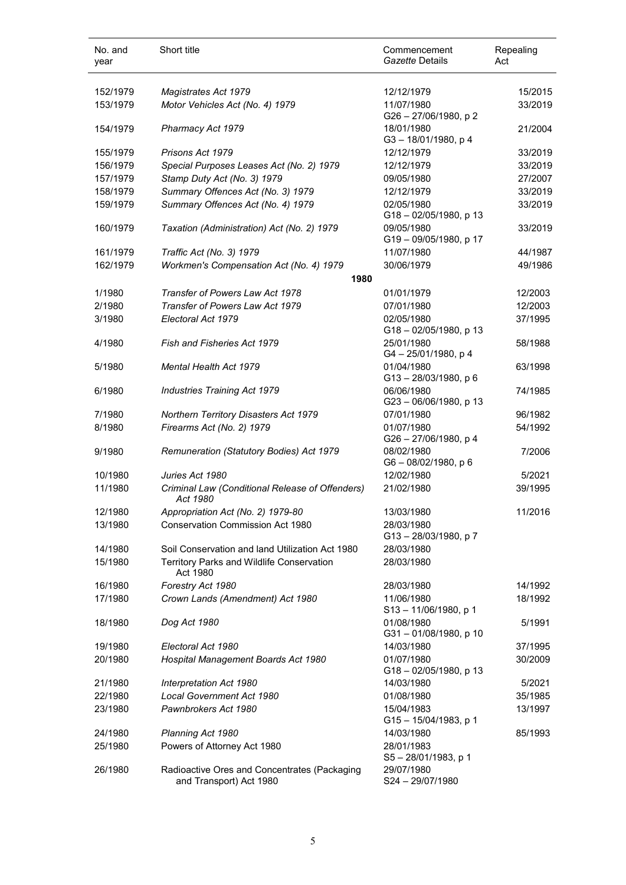| No. and<br>year | Short title                                                             | Commencement<br>Gazette Details     | Repealing<br>Act |
|-----------------|-------------------------------------------------------------------------|-------------------------------------|------------------|
| 152/1979        | <b>Magistrates Act 1979</b>                                             | 12/12/1979                          | 15/2015          |
| 153/1979        | Motor Vehicles Act (No. 4) 1979                                         | 11/07/1980<br>G26-27/06/1980, p2    | 33/2019          |
| 154/1979        | Pharmacy Act 1979                                                       | 18/01/1980<br>G3-18/01/1980, p4     | 21/2004          |
| 155/1979        | Prisons Act 1979                                                        | 12/12/1979                          | 33/2019          |
| 156/1979        | Special Purposes Leases Act (No. 2) 1979                                | 12/12/1979                          | 33/2019          |
| 157/1979        | Stamp Duty Act (No. 3) 1979                                             | 09/05/1980                          | 27/2007          |
| 158/1979        | Summary Offences Act (No. 3) 1979                                       | 12/12/1979                          | 33/2019          |
| 159/1979        | Summary Offences Act (No. 4) 1979                                       | 02/05/1980<br>G18-02/05/1980, p 13  | 33/2019          |
| 160/1979        | Taxation (Administration) Act (No. 2) 1979                              | 09/05/1980<br>G19-09/05/1980, p 17  | 33/2019          |
| 161/1979        | Traffic Act (No. 3) 1979                                                | 11/07/1980                          | 44/1987          |
| 162/1979        | Workmen's Compensation Act (No. 4) 1979<br>1980                         | 30/06/1979                          | 49/1986          |
| 1/1980          | Transfer of Powers Law Act 1978                                         | 01/01/1979                          | 12/2003          |
| 2/1980          | Transfer of Powers Law Act 1979                                         | 07/01/1980                          | 12/2003          |
| 3/1980          | Electoral Act 1979                                                      | 02/05/1980<br>G18-02/05/1980, p 13  | 37/1995          |
| 4/1980          | Fish and Fisheries Act 1979                                             | 25/01/1980<br>G4-25/01/1980, p4     | 58/1988          |
| 5/1980          | <b>Mental Health Act 1979</b>                                           | 01/04/1980<br>G13-28/03/1980, p 6   | 63/1998          |
| 6/1980          | <b>Industries Training Act 1979</b>                                     | 06/06/1980<br>G23-06/06/1980, p 13  | 74/1985          |
| 7/1980          | Northern Territory Disasters Act 1979                                   | 07/01/1980                          | 96/1982          |
| 8/1980          | Firearms Act (No. 2) 1979                                               | 01/07/1980<br>G26 - 27/06/1980, p 4 | 54/1992          |
| 9/1980          | Remuneration (Statutory Bodies) Act 1979                                | 08/02/1980<br>G6-08/02/1980, p6     | 7/2006           |
| 10/1980         | Juries Act 1980                                                         | 12/02/1980                          | 5/2021           |
| 11/1980         | Criminal Law (Conditional Release of Offenders)<br>Act 1980             | 21/02/1980                          | 39/1995          |
| 12/1980         | Appropriation Act (No. 2) 1979-80                                       | 13/03/1980                          | 11/2016          |
| 13/1980         | <b>Conservation Commission Act 1980</b>                                 | 28/03/1980<br>G13-28/03/1980, p7    |                  |
| 14/1980         | Soil Conservation and land Utilization Act 1980                         | 28/03/1980                          |                  |
| 15/1980         | Territory Parks and Wildlife Conservation<br>Act 1980                   | 28/03/1980                          |                  |
| 16/1980         | Forestry Act 1980                                                       | 28/03/1980                          | 14/1992          |
| 17/1980         | Crown Lands (Amendment) Act 1980                                        | 11/06/1980<br>S13-11/06/1980, p 1   | 18/1992          |
| 18/1980         | Dog Act 1980                                                            | 01/08/1980<br>G31-01/08/1980, p 10  | 5/1991           |
| 19/1980         | Electoral Act 1980                                                      | 14/03/1980                          | 37/1995          |
| 20/1980         | Hospital Management Boards Act 1980                                     | 01/07/1980<br>G18-02/05/1980, p 13  | 30/2009          |
| 21/1980         | Interpretation Act 1980                                                 | 14/03/1980                          | 5/2021           |
| 22/1980         | Local Government Act 1980                                               | 01/08/1980                          | 35/1985          |
| 23/1980         | Pawnbrokers Act 1980                                                    | 15/04/1983<br>G15-15/04/1983, p 1   | 13/1997          |
| 24/1980         | Planning Act 1980                                                       | 14/03/1980                          | 85/1993          |
| 25/1980         | Powers of Attorney Act 1980                                             | 28/01/1983<br>S5 - 28/01/1983, p 1  |                  |
| 26/1980         | Radioactive Ores and Concentrates (Packaging<br>and Transport) Act 1980 | 29/07/1980<br>S24-29/07/1980        |                  |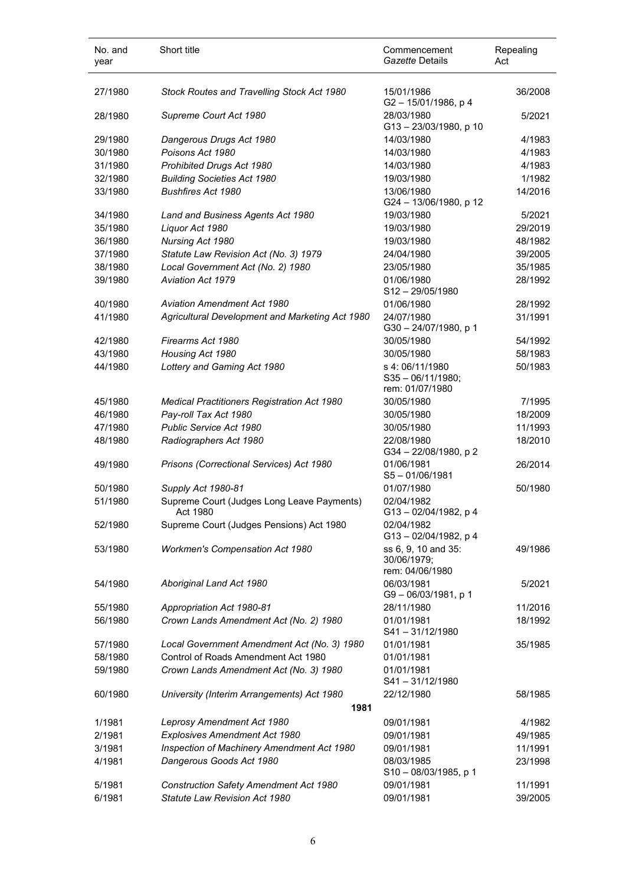| No. and<br>year | Short title                                            | Commencement<br>Gazette Details                          | Repealing<br>Act |
|-----------------|--------------------------------------------------------|----------------------------------------------------------|------------------|
| 27/1980         | Stock Routes and Travelling Stock Act 1980             | 15/01/1986<br>G2-15/01/1986, p4                          | 36/2008          |
| 28/1980         | Supreme Court Act 1980                                 | 28/03/1980<br>G13-23/03/1980, p 10                       | 5/2021           |
| 29/1980         | Dangerous Drugs Act 1980                               | 14/03/1980                                               | 4/1983           |
| 30/1980         | Poisons Act 1980                                       | 14/03/1980                                               | 4/1983           |
| 31/1980         | Prohibited Drugs Act 1980                              | 14/03/1980                                               | 4/1983           |
| 32/1980         | <b>Building Societies Act 1980</b>                     | 19/03/1980                                               | 1/1982           |
| 33/1980         | <b>Bushfires Act 1980</b>                              | 13/06/1980<br>G24 - 13/06/1980, p 12                     | 14/2016          |
| 34/1980         | Land and Business Agents Act 1980                      | 19/03/1980                                               | 5/2021           |
| 35/1980         | Liquor Act 1980                                        | 19/03/1980                                               | 29/2019          |
| 36/1980         | Nursing Act 1980                                       | 19/03/1980                                               | 48/1982          |
| 37/1980         | Statute Law Revision Act (No. 3) 1979                  | 24/04/1980                                               | 39/2005          |
| 38/1980         | Local Government Act (No. 2) 1980                      | 23/05/1980                                               | 35/1985          |
| 39/1980         | <b>Aviation Act 1979</b>                               | 01/06/1980<br>$S12 - 29/05/1980$                         | 28/1992          |
| 40/1980         | <b>Aviation Amendment Act 1980</b>                     | 01/06/1980                                               | 28/1992          |
| 41/1980         | Agricultural Development and Marketing Act 1980        | 24/07/1980<br>G30-24/07/1980, p 1                        | 31/1991          |
| 42/1980         | Firearms Act 1980                                      | 30/05/1980                                               | 54/1992          |
| 43/1980         | Housing Act 1980                                       | 30/05/1980                                               | 58/1983          |
| 44/1980         | Lottery and Gaming Act 1980                            | s 4:06/11/1980<br>$S35 - 06/11/1980;$<br>rem: 01/07/1980 | 50/1983          |
| 45/1980         | <b>Medical Practitioners Registration Act 1980</b>     | 30/05/1980                                               | 7/1995           |
| 46/1980         | Pay-roll Tax Act 1980                                  | 30/05/1980                                               | 18/2009          |
| 47/1980         | Public Service Act 1980                                | 30/05/1980                                               | 11/1993          |
| 48/1980         | Radiographers Act 1980                                 | 22/08/1980<br>G34-22/08/1980, p2                         | 18/2010          |
| 49/1980         | Prisons (Correctional Services) Act 1980               | 01/06/1981<br>$S5 - 01/06/1981$                          | 26/2014          |
| 50/1980         | Supply Act 1980-81                                     | 01/07/1980                                               | 50/1980          |
| 51/1980         | Supreme Court (Judges Long Leave Payments)<br>Act 1980 | 02/04/1982<br>G13-02/04/1982, p 4                        |                  |
| 52/1980         | Supreme Court (Judges Pensions) Act 1980               | 02/04/1982<br>G13-02/04/1982, p 4                        |                  |
| 53/1980         | <b>Workmen's Compensation Act 1980</b>                 | ss 6, 9, 10 and 35:<br>30/06/1979;<br>rem: 04/06/1980    | 49/1986          |
| 54/1980         | Aboriginal Land Act 1980                               | 06/03/1981<br>G9-06/03/1981, p 1                         | 5/2021           |
| 55/1980         | Appropriation Act 1980-81                              | 28/11/1980                                               | 11/2016          |
| 56/1980         | Crown Lands Amendment Act (No. 2) 1980                 | 01/01/1981<br>S41-31/12/1980                             | 18/1992          |
| 57/1980         | Local Government Amendment Act (No. 3) 1980            | 01/01/1981                                               | 35/1985          |
| 58/1980         | Control of Roads Amendment Act 1980                    | 01/01/1981                                               |                  |
| 59/1980         | Crown Lands Amendment Act (No. 3) 1980                 | 01/01/1981<br>$S41 - 31/12/1980$                         |                  |
| 60/1980         | University (Interim Arrangements) Act 1980<br>1981     | 22/12/1980                                               | 58/1985          |
| 1/1981          | Leprosy Amendment Act 1980                             | 09/01/1981                                               | 4/1982           |
| 2/1981          | Explosives Amendment Act 1980                          | 09/01/1981                                               | 49/1985          |
| 3/1981          | Inspection of Machinery Amendment Act 1980             | 09/01/1981                                               | 11/1991          |
| 4/1981          | Dangerous Goods Act 1980                               | 08/03/1985<br>$S10 - 08/03/1985$ , p 1                   | 23/1998          |
|                 | Construction Safety Amendment Act 1980                 | 09/01/1981                                               | 11/1991          |
| 5/1981          |                                                        |                                                          |                  |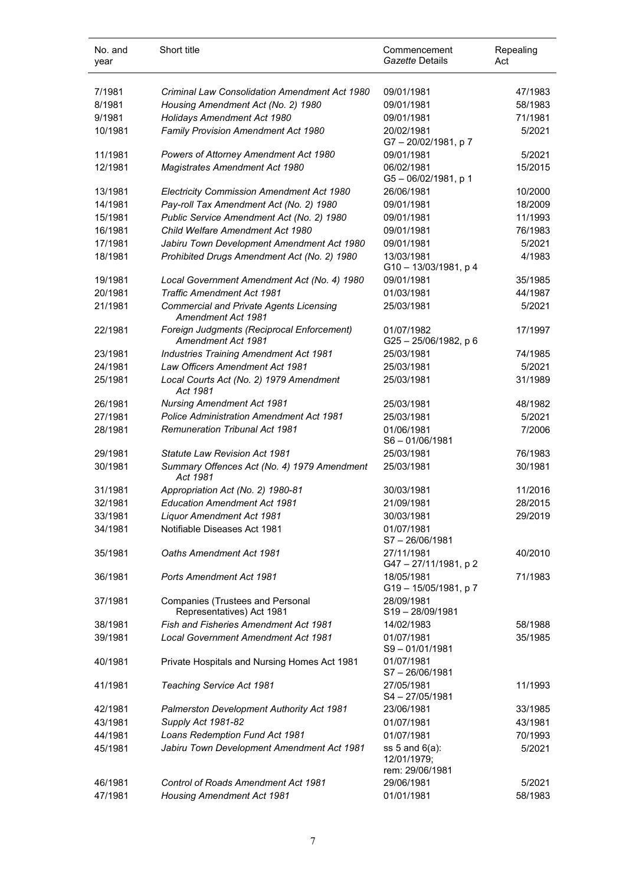| No. and<br>year | Short title                                                          | Commencement<br>Gazette Details                       | Repealing<br>Act |
|-----------------|----------------------------------------------------------------------|-------------------------------------------------------|------------------|
| 7/1981          | <b>Criminal Law Consolidation Amendment Act 1980</b>                 | 09/01/1981                                            | 47/1983          |
| 8/1981          | Housing Amendment Act (No. 2) 1980                                   | 09/01/1981                                            | 58/1983          |
| 9/1981          | Holidays Amendment Act 1980                                          | 09/01/1981                                            | 71/1981          |
| 10/1981         | Family Provision Amendment Act 1980                                  | 20/02/1981<br>G7-20/02/1981, p7                       | 5/2021           |
| 11/1981         | Powers of Attorney Amendment Act 1980                                | 09/01/1981                                            | 5/2021           |
| 12/1981         | Magistrates Amendment Act 1980                                       | 06/02/1981<br>G5-06/02/1981, p 1                      | 15/2015          |
| 13/1981         | Electricity Commission Amendment Act 1980                            | 26/06/1981                                            | 10/2000          |
| 14/1981         | Pay-roll Tax Amendment Act (No. 2) 1980                              | 09/01/1981                                            | 18/2009          |
| 15/1981         | Public Service Amendment Act (No. 2) 1980                            | 09/01/1981                                            | 11/1993          |
| 16/1981         | Child Welfare Amendment Act 1980                                     | 09/01/1981                                            | 76/1983          |
| 17/1981         | Jabiru Town Development Amendment Act 1980                           | 09/01/1981                                            | 5/2021           |
| 18/1981         | Prohibited Drugs Amendment Act (No. 2) 1980                          | 13/03/1981<br>$G10 - 13/03/1981$ , p 4                | 4/1983           |
| 19/1981         | Local Government Amendment Act (No. 4) 1980                          | 09/01/1981                                            | 35/1985          |
| 20/1981         | <b>Traffic Amendment Act 1981</b>                                    | 01/03/1981                                            | 44/1987          |
| 21/1981         | <b>Commercial and Private Agents Licensing</b><br>Amendment Act 1981 | 25/03/1981                                            | 5/2021           |
| 22/1981         | Foreign Judgments (Reciprocal Enforcement)<br>Amendment Act 1981     | 01/07/1982<br>G25-25/06/1982, p 6                     | 17/1997          |
| 23/1981         | Industries Training Amendment Act 1981                               | 25/03/1981                                            | 74/1985          |
| 24/1981         | <b>Law Officers Amendment Act 1981</b>                               | 25/03/1981                                            | 5/2021           |
| 25/1981         | Local Courts Act (No. 2) 1979 Amendment<br>Act 1981                  | 25/03/1981                                            | 31/1989          |
| 26/1981         | <b>Nursing Amendment Act 1981</b>                                    | 25/03/1981                                            | 48/1982          |
| 27/1981         | <b>Police Administration Amendment Act 1981</b>                      | 25/03/1981                                            | 5/2021           |
| 28/1981         | <b>Remuneration Tribunal Act 1981</b>                                | 01/06/1981<br>$S6 - 01/06/1981$                       | 7/2006           |
| 29/1981         | Statute Law Revision Act 1981                                        | 25/03/1981                                            | 76/1983          |
| 30/1981         | Summary Offences Act (No. 4) 1979 Amendment<br>Act 1981              | 25/03/1981                                            | 30/1981          |
| 31/1981         | Appropriation Act (No. 2) 1980-81                                    | 30/03/1981                                            | 11/2016          |
| 32/1981         | <b>Education Amendment Act 1981</b>                                  | 21/09/1981                                            | 28/2015          |
| 33/1981         | Liquor Amendment Act 1981                                            | 30/03/1981                                            | 29/2019          |
| 34/1981         | Notifiable Diseases Act 1981                                         | 01/07/1981<br>S7-26/06/1981                           |                  |
| 35/1981         | Oaths Amendment Act 1981                                             | 27/11/1981<br>G47-27/11/1981, p2                      | 40/2010          |
| 36/1981         | Ports Amendment Act 1981                                             | 18/05/1981<br>G19-15/05/1981, p7                      | 71/1983          |
| 37/1981         | <b>Companies (Trustees and Personal</b><br>Representatives) Act 1981 | 28/09/1981<br>S19-28/09/1981                          |                  |
| 38/1981         | Fish and Fisheries Amendment Act 1981                                | 14/02/1983                                            | 58/1988          |
| 39/1981         | Local Government Amendment Act 1981                                  | 01/07/1981<br>S9-01/01/1981                           | 35/1985          |
| 40/1981         | Private Hospitals and Nursing Homes Act 1981                         | 01/07/1981<br>S7-26/06/1981                           |                  |
| 41/1981         | Teaching Service Act 1981                                            | 27/05/1981<br>S4-27/05/1981                           | 11/1993          |
| 42/1981         | Palmerston Development Authority Act 1981                            | 23/06/1981                                            | 33/1985          |
| 43/1981         | Supply Act 1981-82                                                   | 01/07/1981                                            | 43/1981          |
| 44/1981         | Loans Redemption Fund Act 1981                                       | 01/07/1981                                            | 70/1993          |
| 45/1981         | Jabiru Town Development Amendment Act 1981                           | ss $5$ and $6(a)$ :<br>12/01/1979;<br>rem: 29/06/1981 | 5/2021           |
| 46/1981         | Control of Roads Amendment Act 1981                                  | 29/06/1981                                            | 5/2021           |
| 47/1981         | <b>Housing Amendment Act 1981</b>                                    | 01/01/1981                                            | 58/1983          |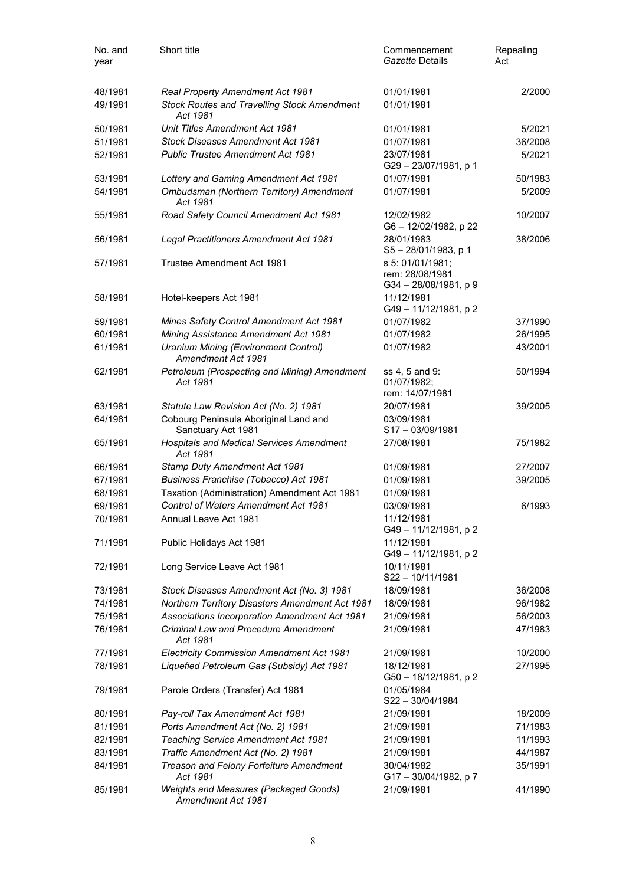| No. and<br>year | Short title                                                              | Commencement<br>Gazette Details                           | Repealing<br>Act |
|-----------------|--------------------------------------------------------------------------|-----------------------------------------------------------|------------------|
| 48/1981         | Real Property Amendment Act 1981                                         | 01/01/1981                                                | 2/2000           |
| 49/1981         | <b>Stock Routes and Travelling Stock Amendment</b><br>Act 1981           | 01/01/1981                                                |                  |
| 50/1981         | Unit Titles Amendment Act 1981                                           | 01/01/1981                                                | 5/2021           |
| 51/1981         | <b>Stock Diseases Amendment Act 1981</b>                                 | 01/07/1981                                                | 36/2008          |
| 52/1981         | <b>Public Trustee Amendment Act 1981</b>                                 | 23/07/1981<br>G29-23/07/1981, p 1                         | 5/2021           |
| 53/1981         | Lottery and Gaming Amendment Act 1981                                    | 01/07/1981                                                | 50/1983          |
| 54/1981         | Ombudsman (Northern Territory) Amendment<br>Act 1981                     | 01/07/1981                                                | 5/2009           |
| 55/1981         | Road Safety Council Amendment Act 1981                                   | 12/02/1982<br>G6-12/02/1982, p 22                         | 10/2007          |
| 56/1981         | Legal Practitioners Amendment Act 1981                                   | 28/01/1983<br>S5-28/01/1983, p 1                          | 38/2006          |
| 57/1981         | Trustee Amendment Act 1981                                               | s 5: 01/01/1981;<br>rem: 28/08/1981<br>G34-28/08/1981, p9 |                  |
| 58/1981         | Hotel-keepers Act 1981                                                   | 11/12/1981<br>G49-11/12/1981, p2                          |                  |
| 59/1981         | <b>Mines Safety Control Amendment Act 1981</b>                           | 01/07/1982                                                | 37/1990          |
| 60/1981         | Mining Assistance Amendment Act 1981                                     | 01/07/1982                                                | 26/1995          |
| 61/1981         | <b>Uranium Mining (Environment Control)</b><br><b>Amendment Act 1981</b> | 01/07/1982                                                | 43/2001          |
| 62/1981         | Petroleum (Prospecting and Mining) Amendment<br>Act 1981                 | ss 4, 5 and 9:<br>01/07/1982;<br>rem: 14/07/1981          | 50/1994          |
| 63/1981         | Statute Law Revision Act (No. 2) 1981                                    | 20/07/1981                                                | 39/2005          |
| 64/1981         | Cobourg Peninsula Aboriginal Land and<br>Sanctuary Act 1981              | 03/09/1981<br>S17-03/09/1981                              |                  |
| 65/1981         | <b>Hospitals and Medical Services Amendment</b><br>Act 1981              | 27/08/1981                                                | 75/1982          |
| 66/1981         | Stamp Duty Amendment Act 1981                                            | 01/09/1981                                                | 27/2007          |
| 67/1981         | Business Franchise (Tobacco) Act 1981                                    | 01/09/1981                                                | 39/2005          |
| 68/1981         | Taxation (Administration) Amendment Act 1981                             | 01/09/1981                                                |                  |
| 69/1981         | Control of Waters Amendment Act 1981                                     | 03/09/1981                                                | 6/1993           |
| 70/1981         | Annual Leave Act 1981                                                    | 11/12/1981<br>G49-11/12/1981, p2                          |                  |
| 71/1981         | Public Holidays Act 1981                                                 | 11/12/1981<br>G49-11/12/1981, p2                          |                  |
| 72/1981         | Long Service Leave Act 1981                                              | 10/11/1981<br>S22-10/11/1981                              |                  |
| 73/1981         | Stock Diseases Amendment Act (No. 3) 1981                                | 18/09/1981                                                | 36/2008          |
| 74/1981         | Northern Territory Disasters Amendment Act 1981                          | 18/09/1981                                                | 96/1982          |
| 75/1981         | Associations Incorporation Amendment Act 1981                            | 21/09/1981                                                | 56/2003          |
| 76/1981         | <b>Criminal Law and Procedure Amendment</b><br>Act 1981                  | 21/09/1981                                                | 47/1983          |
| 77/1981         | Electricity Commission Amendment Act 1981                                | 21/09/1981                                                | 10/2000          |
| 78/1981         | Liquefied Petroleum Gas (Subsidy) Act 1981                               | 18/12/1981<br>G50 - 18/12/1981, p 2                       | 27/1995          |
| 79/1981         | Parole Orders (Transfer) Act 1981                                        | 01/05/1984<br>S22-30/04/1984                              |                  |
| 80/1981         | Pay-roll Tax Amendment Act 1981                                          | 21/09/1981                                                | 18/2009          |
| 81/1981         | Ports Amendment Act (No. 2) 1981                                         | 21/09/1981                                                | 71/1983          |
| 82/1981         | Teaching Service Amendment Act 1981                                      | 21/09/1981                                                | 11/1993          |
| 83/1981         | Traffic Amendment Act (No. 2) 1981                                       | 21/09/1981                                                | 44/1987          |
| 84/1981         | Treason and Felony Forfeiture Amendment<br>Act 1981                      | 30/04/1982<br>G17-30/04/1982, p 7                         | 35/1991          |
| 85/1981         | Weights and Measures (Packaged Goods)<br>Amendment Act 1981              | 21/09/1981                                                | 41/1990          |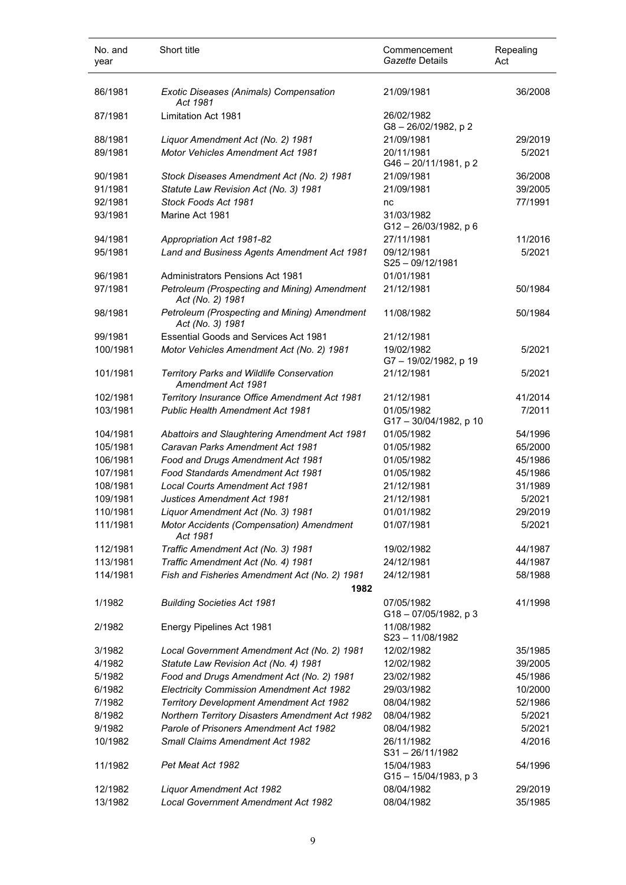| No. and<br>year | Short title                                                            | Commencement<br>Gazette Details     | Repealing<br>Act |
|-----------------|------------------------------------------------------------------------|-------------------------------------|------------------|
| 86/1981         | Exotic Diseases (Animals) Compensation<br>Act 1981                     | 21/09/1981                          | 36/2008          |
| 87/1981         | Limitation Act 1981                                                    | 26/02/1982<br>G8-26/02/1982, p2     |                  |
| 88/1981         | Liquor Amendment Act (No. 2) 1981                                      | 21/09/1981                          | 29/2019          |
| 89/1981         | <b>Motor Vehicles Amendment Act 1981</b>                               | 20/11/1981<br>G46 - 20/11/1981, p 2 | 5/2021           |
| 90/1981         | Stock Diseases Amendment Act (No. 2) 1981                              | 21/09/1981                          | 36/2008          |
| 91/1981         | Statute Law Revision Act (No. 3) 1981                                  | 21/09/1981                          | 39/2005          |
| 92/1981         | Stock Foods Act 1981                                                   | nc                                  | 77/1991          |
| 93/1981         | Marine Act 1981                                                        | 31/03/1982<br>G12-26/03/1982, p 6   |                  |
| 94/1981         | Appropriation Act 1981-82                                              | 27/11/1981                          | 11/2016          |
| 95/1981         | Land and Business Agents Amendment Act 1981                            | 09/12/1981<br>$S25 - 09/12/1981$    | 5/2021           |
| 96/1981         | <b>Administrators Pensions Act 1981</b>                                | 01/01/1981                          |                  |
| 97/1981         | Petroleum (Prospecting and Mining) Amendment<br>Act (No. 2) 1981       | 21/12/1981                          | 50/1984          |
| 98/1981         | Petroleum (Prospecting and Mining) Amendment<br>Act (No. 3) 1981       | 11/08/1982                          | 50/1984          |
| 99/1981         | <b>Essential Goods and Services Act 1981</b>                           | 21/12/1981                          |                  |
| 100/1981        | Motor Vehicles Amendment Act (No. 2) 1981                              | 19/02/1982<br>G7-19/02/1982, p 19   | 5/2021           |
| 101/1981        | Territory Parks and Wildlife Conservation<br><b>Amendment Act 1981</b> | 21/12/1981                          | 5/2021           |
| 102/1981        | Territory Insurance Office Amendment Act 1981                          | 21/12/1981                          | 41/2014          |
| 103/1981        | <b>Public Health Amendment Act 1981</b>                                | 01/05/1982<br>G17-30/04/1982, p 10  | 7/2011           |
| 104/1981        | Abattoirs and Slaughtering Amendment Act 1981                          | 01/05/1982                          | 54/1996          |
| 105/1981        | Caravan Parks Amendment Act 1981                                       | 01/05/1982                          | 65/2000          |
| 106/1981        | Food and Drugs Amendment Act 1981                                      | 01/05/1982                          | 45/1986          |
| 107/1981        | Food Standards Amendment Act 1981                                      | 01/05/1982                          | 45/1986          |
| 108/1981        | <b>Local Courts Amendment Act 1981</b>                                 | 21/12/1981                          | 31/1989          |
| 109/1981        | Justices Amendment Act 1981                                            | 21/12/1981                          | 5/2021           |
| 110/1981        | Liquor Amendment Act (No. 3) 1981                                      | 01/01/1982                          | 29/2019          |
| 111/1981        | Motor Accidents (Compensation) Amendment<br>Act 1981                   | 01/07/1981                          | 5/2021           |
| 112/1981        | Traffic Amendment Act (No. 3) 1981                                     | 19/02/1982                          | 44/1987          |
| 113/1981        | Traffic Amendment Act (No. 4) 1981                                     | 24/12/1981                          | 44/1987          |
| 114/1981        | Fish and Fisheries Amendment Act (No. 2) 1981<br>1982                  | 24/12/1981                          | 58/1988          |
| 1/1982          | <b>Building Societies Act 1981</b>                                     | 07/05/1982<br>G18-07/05/1982, p 3   | 41/1998          |
| 2/1982          | Energy Pipelines Act 1981                                              | 11/08/1982<br>S23-11/08/1982        |                  |
| 3/1982          | Local Government Amendment Act (No. 2) 1981                            | 12/02/1982                          | 35/1985          |
| 4/1982          | Statute Law Revision Act (No. 4) 1981                                  | 12/02/1982                          | 39/2005          |
| 5/1982          | Food and Drugs Amendment Act (No. 2) 1981                              | 23/02/1982                          | 45/1986          |
| 6/1982          | Electricity Commission Amendment Act 1982                              | 29/03/1982                          | 10/2000          |
| 7/1982          | Territory Development Amendment Act 1982                               | 08/04/1982                          | 52/1986          |
| 8/1982          | Northern Territory Disasters Amendment Act 1982                        | 08/04/1982                          | 5/2021           |
| 9/1982          | Parole of Prisoners Amendment Act 1982                                 | 08/04/1982                          | 5/2021           |
| 10/1982         | <b>Small Claims Amendment Act 1982</b>                                 | 26/11/1982<br>$S31 - 26/11/1982$    | 4/2016           |
| 11/1982         | Pet Meat Act 1982                                                      | 15/04/1983<br>G15-15/04/1983, p 3   | 54/1996          |
| 12/1982         | Liquor Amendment Act 1982                                              | 08/04/1982                          | 29/2019          |
| 13/1982         | Local Government Amendment Act 1982                                    | 08/04/1982                          | 35/1985          |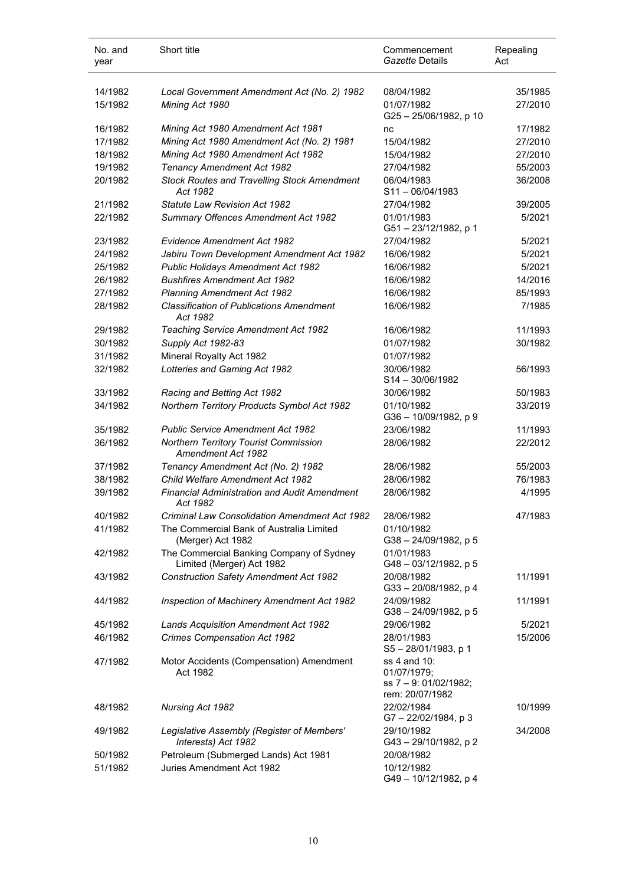| No. and<br>year | Short title                                                           | Commencement<br>Gazette Details                                         | Repealing<br>Act |
|-----------------|-----------------------------------------------------------------------|-------------------------------------------------------------------------|------------------|
| 14/1982         | Local Government Amendment Act (No. 2) 1982                           | 08/04/1982                                                              | 35/1985          |
| 15/1982         | Mining Act 1980                                                       | 01/07/1982<br>G25-25/06/1982, p 10                                      | 27/2010          |
| 16/1982         | Mining Act 1980 Amendment Act 1981                                    | nc                                                                      | 17/1982          |
| 17/1982         | Mining Act 1980 Amendment Act (No. 2) 1981                            | 15/04/1982                                                              | 27/2010          |
| 18/1982         | Mining Act 1980 Amendment Act 1982                                    | 15/04/1982                                                              | 27/2010          |
| 19/1982         | Tenancy Amendment Act 1982                                            | 27/04/1982                                                              | 55/2003          |
| 20/1982         | <b>Stock Routes and Travelling Stock Amendment</b><br>Act 1982        | 06/04/1983<br>$S11 - 06/04/1983$                                        | 36/2008          |
| 21/1982         | <b>Statute Law Revision Act 1982</b>                                  | 27/04/1982                                                              | 39/2005          |
| 22/1982         | Summary Offences Amendment Act 1982                                   | 01/01/1983<br>G51-23/12/1982, p 1                                       | 5/2021           |
| 23/1982         | Evidence Amendment Act 1982                                           | 27/04/1982                                                              | 5/2021           |
| 24/1982         | Jabiru Town Development Amendment Act 1982                            | 16/06/1982                                                              | 5/2021           |
| 25/1982         | Public Holidays Amendment Act 1982                                    | 16/06/1982                                                              | 5/2021           |
| 26/1982         | <b>Bushfires Amendment Act 1982</b>                                   | 16/06/1982                                                              | 14/2016          |
| 27/1982         | <b>Planning Amendment Act 1982</b>                                    | 16/06/1982                                                              | 85/1993          |
| 28/1982         | <b>Classification of Publications Amendment</b><br>Act 1982           | 16/06/1982                                                              | 7/1985           |
| 29/1982         | Teaching Service Amendment Act 1982                                   | 16/06/1982                                                              | 11/1993          |
| 30/1982         | Supply Act 1982-83                                                    | 01/07/1982                                                              | 30/1982          |
| 31/1982         | Mineral Royalty Act 1982                                              | 01/07/1982                                                              |                  |
| 32/1982         | Lotteries and Gaming Act 1982                                         | 30/06/1982<br>$S14 - 30/06/1982$                                        | 56/1993          |
| 33/1982         | Racing and Betting Act 1982                                           | 30/06/1982                                                              | 50/1983          |
| 34/1982         | Northern Territory Products Symbol Act 1982                           | 01/10/1982<br>G36 - 10/09/1982, p 9                                     | 33/2019          |
| 35/1982         | <b>Public Service Amendment Act 1982</b>                              | 23/06/1982                                                              | 11/1993          |
| 36/1982         | Northern Territory Tourist Commission<br>Amendment Act 1982           | 28/06/1982                                                              | 22/2012          |
| 37/1982         | Tenancy Amendment Act (No. 2) 1982                                    | 28/06/1982                                                              | 55/2003          |
| 38/1982         | <b>Child Welfare Amendment Act 1982</b>                               | 28/06/1982                                                              | 76/1983          |
| 39/1982         | <b>Financial Administration and Audit Amendment</b><br>Act 1982       | 28/06/1982                                                              | 4/1995           |
| 40/1982         | <b>Criminal Law Consolidation Amendment Act 1982</b>                  | 28/06/1982                                                              | 47/1983          |
| 41/1982         | The Commercial Bank of Australia Limited<br>(Merger) Act 1982         | 01/10/1982<br>G38-24/09/1982, p 5                                       |                  |
| 42/1982         | The Commercial Banking Company of Sydney<br>Limited (Merger) Act 1982 | 01/01/1983<br>G48-03/12/1982, p 5                                       |                  |
| 43/1982         | <b>Construction Safety Amendment Act 1982</b>                         | 20/08/1982<br>G33-20/08/1982, p 4                                       | 11/1991          |
| 44/1982         | Inspection of Machinery Amendment Act 1982                            | 24/09/1982<br>G38-24/09/1982, p 5                                       | 11/1991          |
| 45/1982         | Lands Acquisition Amendment Act 1982                                  | 29/06/1982                                                              | 5/2021           |
| 46/1982         | <b>Crimes Compensation Act 1982</b>                                   | 28/01/1983<br>$S5 - 28/01/1983$ , p 1                                   | 15/2006          |
| 47/1982         | Motor Accidents (Compensation) Amendment<br>Act 1982                  | ss 4 and 10:<br>01/07/1979;<br>ss 7 - 9: 01/02/1982;<br>rem: 20/07/1982 |                  |
| 48/1982         | Nursing Act 1982                                                      | 22/02/1984<br>G7-22/02/1984, p 3                                        | 10/1999          |
| 49/1982         | Legislative Assembly (Register of Members'<br>Interests) Act 1982     | 29/10/1982<br>G43-29/10/1982, p2                                        | 34/2008          |
| 50/1982         | Petroleum (Submerged Lands) Act 1981                                  | 20/08/1982                                                              |                  |
| 51/1982         | Juries Amendment Act 1982                                             | 10/12/1982<br>G49-10/12/1982, p 4                                       |                  |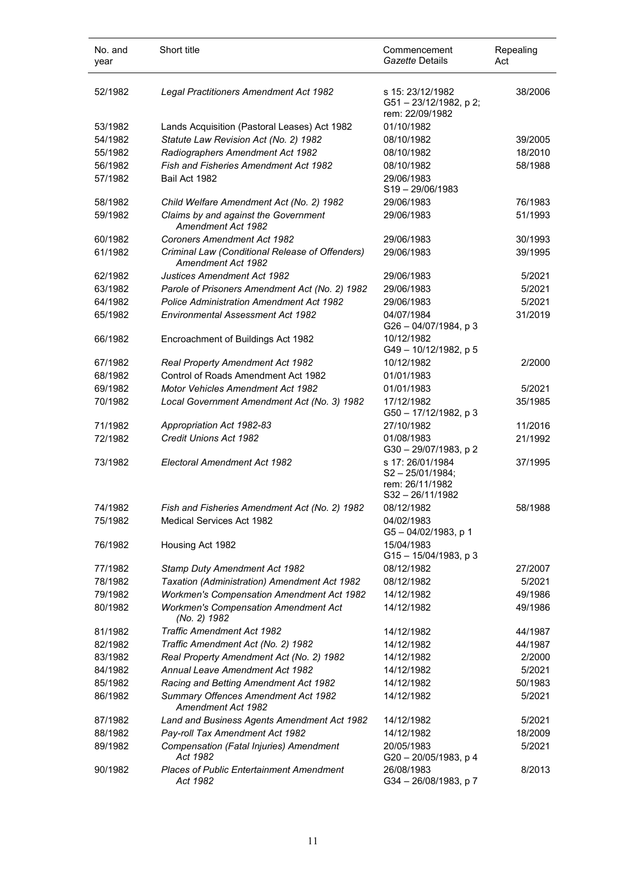| No. and<br>year | Short title                                                                  | Commencement<br>Gazette Details                                                  | Repealing<br>Act |
|-----------------|------------------------------------------------------------------------------|----------------------------------------------------------------------------------|------------------|
| 52/1982         | Legal Practitioners Amendment Act 1982                                       | s 15: 23/12/1982<br>G51-23/12/1982, p 2;<br>rem: 22/09/1982                      | 38/2006          |
| 53/1982         | Lands Acquisition (Pastoral Leases) Act 1982                                 | 01/10/1982                                                                       |                  |
| 54/1982         | Statute Law Revision Act (No. 2) 1982                                        | 08/10/1982                                                                       | 39/2005          |
| 55/1982         | Radiographers Amendment Act 1982                                             | 08/10/1982                                                                       | 18/2010          |
| 56/1982         | <b>Fish and Fisheries Amendment Act 1982</b>                                 | 08/10/1982                                                                       | 58/1988          |
| 57/1982         | Bail Act 1982                                                                | 29/06/1983<br>$S19 - 29/06/1983$                                                 |                  |
| 58/1982         | Child Welfare Amendment Act (No. 2) 1982                                     | 29/06/1983                                                                       | 76/1983          |
| 59/1982         | Claims by and against the Government<br><b>Amendment Act 1982</b>            | 29/06/1983                                                                       | 51/1993          |
| 60/1982         | <b>Coroners Amendment Act 1982</b>                                           | 29/06/1983                                                                       | 30/1993          |
| 61/1982         | Criminal Law (Conditional Release of Offenders)<br><b>Amendment Act 1982</b> | 29/06/1983                                                                       | 39/1995          |
| 62/1982         | <b>Justices Amendment Act 1982</b>                                           | 29/06/1983                                                                       | 5/2021           |
| 63/1982         | Parole of Prisoners Amendment Act (No. 2) 1982                               | 29/06/1983                                                                       | 5/2021           |
| 64/1982         | <b>Police Administration Amendment Act 1982</b>                              | 29/06/1983                                                                       | 5/2021           |
| 65/1982         | <b>Environmental Assessment Act 1982</b>                                     | 04/07/1984<br>G26-04/07/1984, p 3                                                | 31/2019          |
| 66/1982         | Encroachment of Buildings Act 1982                                           | 10/12/1982<br>G49 - 10/12/1982, p 5                                              |                  |
| 67/1982         | Real Property Amendment Act 1982                                             | 10/12/1982                                                                       | 2/2000           |
| 68/1982         | Control of Roads Amendment Act 1982                                          | 01/01/1983                                                                       |                  |
| 69/1982         | <b>Motor Vehicles Amendment Act 1982</b>                                     | 01/01/1983                                                                       | 5/2021           |
| 70/1982         | Local Government Amendment Act (No. 3) 1982                                  | 17/12/1982<br>G50 - 17/12/1982, p 3                                              | 35/1985          |
| 71/1982         | Appropriation Act 1982-83                                                    | 27/10/1982                                                                       | 11/2016          |
| 72/1982         | Credit Unions Act 1982                                                       | 01/08/1983<br>G30 - 29/07/1983, p 2                                              | 21/1992          |
| 73/1982         | Electoral Amendment Act 1982                                                 | s 17: 26/01/1984<br>$S2 - 25/01/1984$ ;<br>rem: 26/11/1982<br>$S32 - 26/11/1982$ | 37/1995          |
| 74/1982         | Fish and Fisheries Amendment Act (No. 2) 1982                                | 08/12/1982                                                                       | 58/1988          |
| 75/1982         | <b>Medical Services Act 1982</b>                                             | 04/02/1983<br>G5-04/02/1983, p 1                                                 |                  |
| 76/1982         | Housing Act 1982                                                             | 15/04/1983<br>G15-15/04/1983, p 3                                                |                  |
| 77/1982         | Stamp Duty Amendment Act 1982                                                | 08/12/1982                                                                       | 27/2007          |
| 78/1982         | Taxation (Administration) Amendment Act 1982                                 | 08/12/1982                                                                       | 5/2021           |
| 79/1982         | <b>Workmen's Compensation Amendment Act 1982</b>                             | 14/12/1982                                                                       | 49/1986          |
| 80/1982         | <b>Workmen's Compensation Amendment Act</b><br>(No. 2) 1982                  | 14/12/1982                                                                       | 49/1986          |
| 81/1982         | <b>Traffic Amendment Act 1982</b>                                            | 14/12/1982                                                                       | 44/1987          |
| 82/1982         | Traffic Amendment Act (No. 2) 1982                                           | 14/12/1982                                                                       | 44/1987          |
| 83/1982         | Real Property Amendment Act (No. 2) 1982                                     | 14/12/1982                                                                       | 2/2000           |
| 84/1982         | <b>Annual Leave Amendment Act 1982</b>                                       | 14/12/1982                                                                       | 5/2021           |
| 85/1982         | Racing and Betting Amendment Act 1982                                        | 14/12/1982                                                                       | 50/1983          |
| 86/1982         | Summary Offences Amendment Act 1982<br>Amendment Act 1982                    | 14/12/1982                                                                       | 5/2021           |
| 87/1982         | Land and Business Agents Amendment Act 1982                                  | 14/12/1982                                                                       | 5/2021           |
| 88/1982         | Pay-roll Tax Amendment Act 1982                                              | 14/12/1982                                                                       | 18/2009          |
| 89/1982         | Compensation (Fatal Injuries) Amendment<br>Act 1982                          | 20/05/1983<br>G20 - 20/05/1983, p 4                                              | 5/2021           |
| 90/1982         | <b>Places of Public Entertainment Amendment</b><br>Act 1982                  | 26/08/1983<br>G34 - 26/08/1983, p 7                                              | 8/2013           |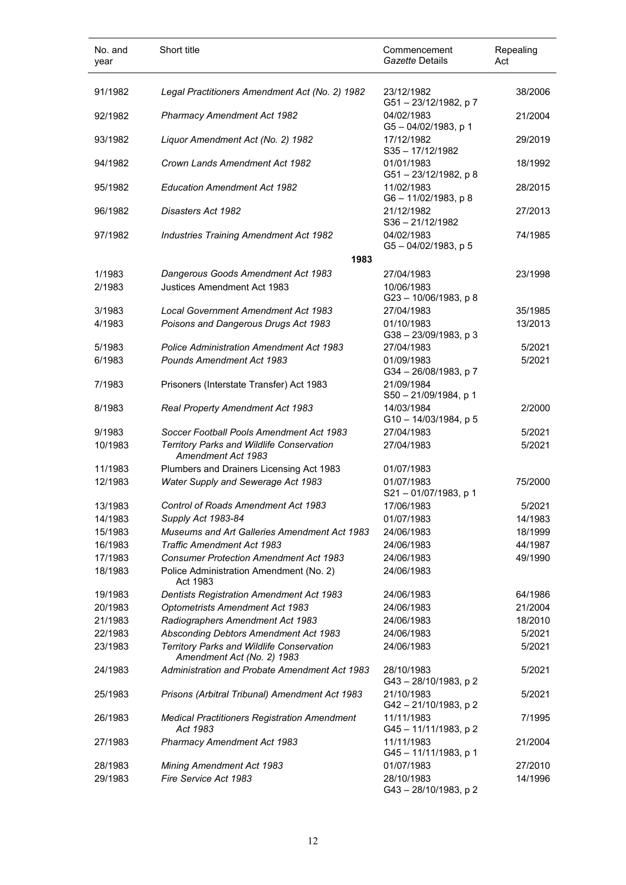| No. and<br>year | Short title                                                             | Commencement<br>Gazette Details        | Repealing<br>Act |
|-----------------|-------------------------------------------------------------------------|----------------------------------------|------------------|
| 91/1982         | Legal Practitioners Amendment Act (No. 2) 1982                          | 23/12/1982<br>G51-23/12/1982, p7       | 38/2006          |
| 92/1982         | Pharmacy Amendment Act 1982                                             | 04/02/1983<br>$G5 - 04/02/1983$ , p 1  | 21/2004          |
| 93/1982         | Liquor Amendment Act (No. 2) 1982                                       | 17/12/1982<br>$S35 - 17/12/1982$       | 29/2019          |
| 94/1982         | Crown Lands Amendment Act 1982                                          | 01/01/1983<br>G51-23/12/1982, p 8      | 18/1992          |
| 95/1982         | <b>Education Amendment Act 1982</b>                                     | 11/02/1983<br>G6-11/02/1983, p8        | 28/2015          |
| 96/1982         | Disasters Act 1982                                                      | 21/12/1982<br>$S36 - 21/12/1982$       | 27/2013          |
| 97/1982         | Industries Training Amendment Act 1982                                  | 04/02/1983<br>$G5 - 04/02/1983$ , p 5  | 74/1985          |
|                 | 1983                                                                    |                                        |                  |
| 1/1983          | Dangerous Goods Amendment Act 1983                                      | 27/04/1983                             | 23/1998          |
| 2/1983          | Justices Amendment Act 1983                                             | 10/06/1983<br>G23-10/06/1983, p 8      |                  |
| 3/1983          | Local Government Amendment Act 1983                                     | 27/04/1983                             | 35/1985          |
| 4/1983          | Poisons and Dangerous Drugs Act 1983                                    | 01/10/1983<br>G38-23/09/1983, p 3      | 13/2013          |
| 5/1983          | <b>Police Administration Amendment Act 1983</b>                         | 27/04/1983                             | 5/2021           |
| 6/1983          | <b>Pounds Amendment Act 1983</b>                                        | 01/09/1983<br>G34-26/08/1983, p7       | 5/2021           |
| 7/1983          | Prisoners (Interstate Transfer) Act 1983                                | 21/09/1984<br>S50 - 21/09/1984, p 1    |                  |
| 8/1983          | Real Property Amendment Act 1983                                        | 14/03/1984<br>$G10 - 14/03/1984$ , p 5 | 2/2000           |
| 9/1983          | Soccer Football Pools Amendment Act 1983                                | 27/04/1983                             | 5/2021           |
| 10/1983         | Territory Parks and Wildlife Conservation<br>Amendment Act 1983         | 27/04/1983                             | 5/2021           |
| 11/1983         | Plumbers and Drainers Licensing Act 1983                                | 01/07/1983                             |                  |
| 12/1983         | Water Supply and Sewerage Act 1983                                      | 01/07/1983<br>$S21 - 01/07/1983$ , p 1 | 75/2000          |
| 13/1983         | Control of Roads Amendment Act 1983                                     | 17/06/1983                             | 5/2021           |
| 14/1983         | Supply Act 1983-84                                                      | 01/07/1983                             | 14/1983          |
| 15/1983         | Museums and Art Galleries Amendment Act 1983                            | 24/06/1983                             | 18/1999          |
| 16/1983         | <b>Traffic Amendment Act 1983</b>                                       | 24/06/1983                             | 44/1987          |
| 17/1983         | <b>Consumer Protection Amendment Act 1983</b>                           | 24/06/1983                             | 49/1990          |
| 18/1983         | Police Administration Amendment (No. 2)<br>Act 1983                     | 24/06/1983                             |                  |
| 19/1983         | <b>Dentists Registration Amendment Act 1983</b>                         | 24/06/1983                             | 64/1986          |
| 20/1983         | Optometrists Amendment Act 1983                                         | 24/06/1983                             | 21/2004          |
| 21/1983         | Radiographers Amendment Act 1983                                        | 24/06/1983                             | 18/2010          |
| 22/1983         | Absconding Debtors Amendment Act 1983                                   | 24/06/1983                             | 5/2021           |
| 23/1983         | Territory Parks and Wildlife Conservation<br>Amendment Act (No. 2) 1983 | 24/06/1983                             | 5/2021           |
| 24/1983         | Administration and Probate Amendment Act 1983                           | 28/10/1983<br>G43-28/10/1983, p2       | 5/2021           |
| 25/1983         | Prisons (Arbitral Tribunal) Amendment Act 1983                          | 21/10/1983<br>G42-21/10/1983, p2       | 5/2021           |
| 26/1983         | <b>Medical Practitioners Registration Amendment</b><br>Act 1983         | 11/11/1983<br>G45-11/11/1983, p 2      | 7/1995           |
| 27/1983         | <b>Pharmacy Amendment Act 1983</b>                                      | 11/11/1983<br>G45-11/11/1983, p 1      | 21/2004          |
| 28/1983         | <b>Mining Amendment Act 1983</b>                                        | 01/07/1983                             | 27/2010          |
| 29/1983         | Fire Service Act 1983                                                   | 28/10/1983<br>G43-28/10/1983, p2       | 14/1996          |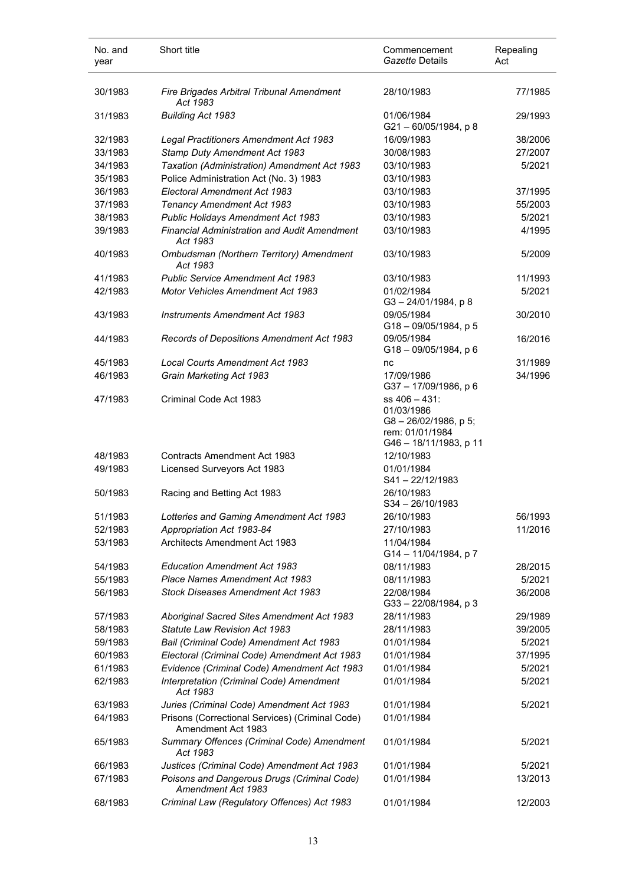| No. and<br>year | Short title                                                           | Commencement<br>Gazette Details                                                                 | Repealing<br>Act |
|-----------------|-----------------------------------------------------------------------|-------------------------------------------------------------------------------------------------|------------------|
| 30/1983         | Fire Brigades Arbitral Tribunal Amendment<br>Act 1983                 | 28/10/1983                                                                                      | 77/1985          |
| 31/1983         | <b>Building Act 1983</b>                                              | 01/06/1984<br>$G21 - 60/05/1984$ , p 8                                                          | 29/1993          |
| 32/1983         | Legal Practitioners Amendment Act 1983                                | 16/09/1983                                                                                      | 38/2006          |
| 33/1983         | Stamp Duty Amendment Act 1983                                         | 30/08/1983                                                                                      | 27/2007          |
| 34/1983         | Taxation (Administration) Amendment Act 1983                          | 03/10/1983                                                                                      | 5/2021           |
| 35/1983         | Police Administration Act (No. 3) 1983                                | 03/10/1983                                                                                      |                  |
| 36/1983         | Electoral Amendment Act 1983                                          | 03/10/1983                                                                                      | 37/1995          |
| 37/1983         | <b>Tenancy Amendment Act 1983</b>                                     | 03/10/1983                                                                                      | 55/2003          |
| 38/1983         | Public Holidays Amendment Act 1983                                    | 03/10/1983                                                                                      | 5/2021           |
| 39/1983         | <b>Financial Administration and Audit Amendment</b><br>Act 1983       | 03/10/1983                                                                                      | 4/1995           |
| 40/1983         | Ombudsman (Northern Territory) Amendment<br>Act 1983                  | 03/10/1983                                                                                      | 5/2009           |
| 41/1983         | <b>Public Service Amendment Act 1983</b>                              | 03/10/1983                                                                                      | 11/1993          |
| 42/1983         | <b>Motor Vehicles Amendment Act 1983</b>                              | 01/02/1984<br>$G3 - 24/01/1984$ , p 8                                                           | 5/2021           |
| 43/1983         | <b>Instruments Amendment Act 1983</b>                                 | 09/05/1984<br>$G18 - 09/05/1984$ , p 5                                                          | 30/2010          |
| 44/1983         | Records of Depositions Amendment Act 1983                             | 09/05/1984<br>$G18 - 09/05/1984$ , p 6                                                          | 16/2016          |
| 45/1983         | <b>Local Courts Amendment Act 1983</b>                                | nc                                                                                              | 31/1989          |
| 46/1983         | Grain Marketing Act 1983                                              | 17/09/1986<br>G37 - 17/09/1986, p 6                                                             | 34/1996          |
| 47/1983         | Criminal Code Act 1983                                                | ss 406 - 431:<br>01/03/1986<br>G8-26/02/1986, p 5;<br>rem: 01/01/1984<br>G46 - 18/11/1983, p 11 |                  |
| 48/1983         | Contracts Amendment Act 1983                                          | 12/10/1983                                                                                      |                  |
| 49/1983         | Licensed Surveyors Act 1983                                           | 01/01/1984<br>S41-22/12/1983                                                                    |                  |
| 50/1983         | Racing and Betting Act 1983                                           | 26/10/1983<br>$S34 - 26/10/1983$                                                                |                  |
| 51/1983         | Lotteries and Gaming Amendment Act 1983                               | 26/10/1983                                                                                      | 56/1993          |
| 52/1983         | Appropriation Act 1983-84                                             | 27/10/1983                                                                                      | 11/2016          |
| 53/1983         | Architects Amendment Act 1983                                         | 11/04/1984<br>G14 - 11/04/1984, p 7                                                             |                  |
| 54/1983         | <b>Education Amendment Act 1983</b>                                   | 08/11/1983                                                                                      | 28/2015          |
| 55/1983         | Place Names Amendment Act 1983                                        | 08/11/1983                                                                                      | 5/2021           |
| 56/1983         | Stock Diseases Amendment Act 1983                                     | 22/08/1984<br>G33-22/08/1984, p3                                                                | 36/2008          |
| 57/1983         | Aboriginal Sacred Sites Amendment Act 1983                            | 28/11/1983                                                                                      | 29/1989          |
| 58/1983         | <b>Statute Law Revision Act 1983</b>                                  | 28/11/1983                                                                                      | 39/2005          |
| 59/1983         | Bail (Criminal Code) Amendment Act 1983                               | 01/01/1984                                                                                      | 5/2021           |
| 60/1983         | Electoral (Criminal Code) Amendment Act 1983                          | 01/01/1984                                                                                      | 37/1995          |
| 61/1983         | Evidence (Criminal Code) Amendment Act 1983                           | 01/01/1984                                                                                      | 5/2021           |
| 62/1983         | Interpretation (Criminal Code) Amendment<br>Act 1983                  | 01/01/1984                                                                                      | 5/2021           |
| 63/1983         | Juries (Criminal Code) Amendment Act 1983                             | 01/01/1984                                                                                      | 5/2021           |
| 64/1983         | Prisons (Correctional Services) (Criminal Code)<br>Amendment Act 1983 | 01/01/1984                                                                                      |                  |
| 65/1983         | Summary Offences (Criminal Code) Amendment<br>Act 1983                | 01/01/1984                                                                                      | 5/2021           |
| 66/1983         | Justices (Criminal Code) Amendment Act 1983                           | 01/01/1984                                                                                      | 5/2021           |
| 67/1983         | Poisons and Dangerous Drugs (Criminal Code)<br>Amendment Act 1983     | 01/01/1984                                                                                      | 13/2013          |
| 68/1983         | Criminal Law (Regulatory Offences) Act 1983                           | 01/01/1984                                                                                      | 12/2003          |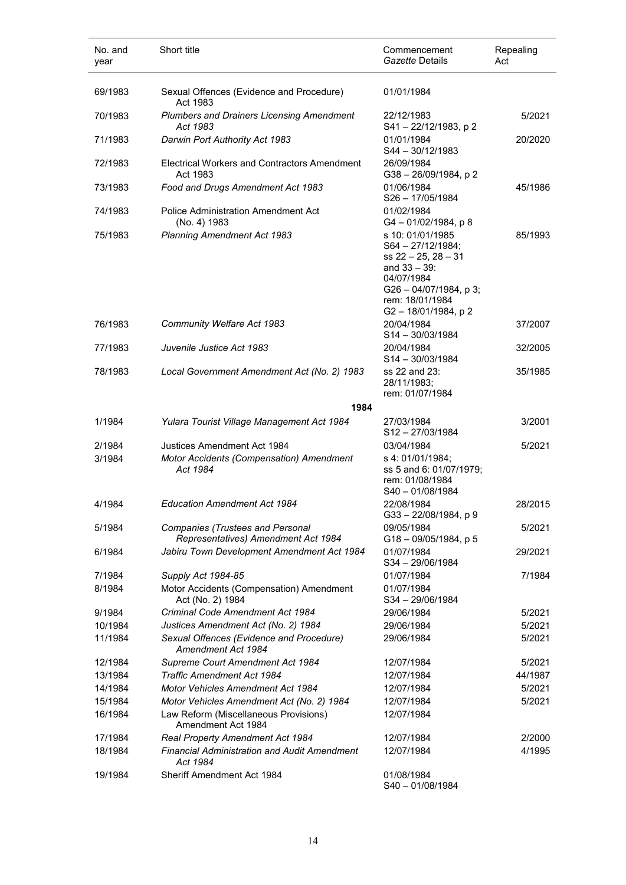| No. and<br>year | Short title                                                             | Commencement<br>Gazette Details                                                                                                                                      | Repealing<br>Act |
|-----------------|-------------------------------------------------------------------------|----------------------------------------------------------------------------------------------------------------------------------------------------------------------|------------------|
| 69/1983         | Sexual Offences (Evidence and Procedure)<br>Act 1983                    | 01/01/1984                                                                                                                                                           |                  |
| 70/1983         | <b>Plumbers and Drainers Licensing Amendment</b><br>Act 1983            | 22/12/1983<br>S41-22/12/1983, p2                                                                                                                                     | 5/2021           |
| 71/1983         | Darwin Port Authority Act 1983                                          | 01/01/1984<br>S44 - 30/12/1983                                                                                                                                       | 20/2020          |
| 72/1983         | Electrical Workers and Contractors Amendment<br>Act 1983                | 26/09/1984<br>$G38 - 26/09/1984$ , p 2                                                                                                                               |                  |
| 73/1983         | Food and Drugs Amendment Act 1983                                       | 01/06/1984<br>$S26 - 17/05/1984$                                                                                                                                     | 45/1986          |
| 74/1983         | Police Administration Amendment Act<br>(No. 4) 1983                     | 01/02/1984<br>G4-01/02/1984, p8                                                                                                                                      |                  |
| 75/1983         | <b>Planning Amendment Act 1983</b>                                      | s 10: 01/01/1985<br>$S64 - 27/12/1984$ ;<br>$ss$ 22 - 25, 28 - 31<br>and $33 - 39$ :<br>04/07/1984<br>G26 - 04/07/1984, p 3;<br>rem: 18/01/1984<br>G2-18/01/1984, p2 | 85/1993          |
| 76/1983         | Community Welfare Act 1983                                              | 20/04/1984<br>$S14 - 30/03/1984$                                                                                                                                     | 37/2007          |
| 77/1983         | Juvenile Justice Act 1983                                               | 20/04/1984<br>$S14 - 30/03/1984$                                                                                                                                     | 32/2005          |
| 78/1983         | Local Government Amendment Act (No. 2) 1983                             | ss 22 and 23:<br>28/11/1983;<br>rem: 01/07/1984                                                                                                                      | 35/1985          |
|                 | 1984                                                                    |                                                                                                                                                                      |                  |
| 1/1984          | Yulara Tourist Village Management Act 1984                              | 27/03/1984<br>S12-27/03/1984                                                                                                                                         | 3/2001           |
| 2/1984          | Justices Amendment Act 1984                                             | 03/04/1984                                                                                                                                                           | 5/2021           |
| 3/1984          | Motor Accidents (Compensation) Amendment<br>Act 1984                    | s 4: 01/01/1984;<br>ss 5 and 6: 01/07/1979;<br>rem: 01/08/1984<br>S40-01/08/1984                                                                                     |                  |
| 4/1984          | <b>Education Amendment Act 1984</b>                                     | 22/08/1984<br>G33-22/08/1984, p 9                                                                                                                                    | 28/2015          |
| 5/1984          | Companies (Trustees and Personal<br>Representatives) Amendment Act 1984 | 09/05/1984<br>G18-09/05/1984, p 5                                                                                                                                    | 5/2021           |
| 6/1984          | Jabiru Town Development Amendment Act 1984                              | 01/07/1984<br>S34-29/06/1984                                                                                                                                         | 29/2021          |
| 7/1984          | Supply Act 1984-85                                                      | 01/07/1984                                                                                                                                                           | 7/1984           |
| 8/1984          | Motor Accidents (Compensation) Amendment<br>Act (No. 2) 1984            | 01/07/1984<br>S34-29/06/1984                                                                                                                                         |                  |
| 9/1984          | Criminal Code Amendment Act 1984                                        | 29/06/1984                                                                                                                                                           | 5/2021           |
| 10/1984         | Justices Amendment Act (No. 2) 1984                                     | 29/06/1984                                                                                                                                                           | 5/2021           |
| 11/1984         | Sexual Offences (Evidence and Procedure)<br>Amendment Act 1984          | 29/06/1984                                                                                                                                                           | 5/2021           |
| 12/1984         | Supreme Court Amendment Act 1984                                        | 12/07/1984                                                                                                                                                           | 5/2021           |
| 13/1984         | <b>Traffic Amendment Act 1984</b>                                       | 12/07/1984                                                                                                                                                           | 44/1987          |
| 14/1984         | <b>Motor Vehicles Amendment Act 1984</b>                                | 12/07/1984                                                                                                                                                           | 5/2021           |
| 15/1984         | Motor Vehicles Amendment Act (No. 2) 1984                               | 12/07/1984                                                                                                                                                           | 5/2021           |
| 16/1984         | Law Reform (Miscellaneous Provisions)<br>Amendment Act 1984             | 12/07/1984                                                                                                                                                           |                  |
| 17/1984         | Real Property Amendment Act 1984                                        | 12/07/1984                                                                                                                                                           | 2/2000           |
| 18/1984         | <b>Financial Administration and Audit Amendment</b><br>Act 1984         | 12/07/1984                                                                                                                                                           | 4/1995           |
| 19/1984         | Sheriff Amendment Act 1984                                              | 01/08/1984<br>S40-01/08/1984                                                                                                                                         |                  |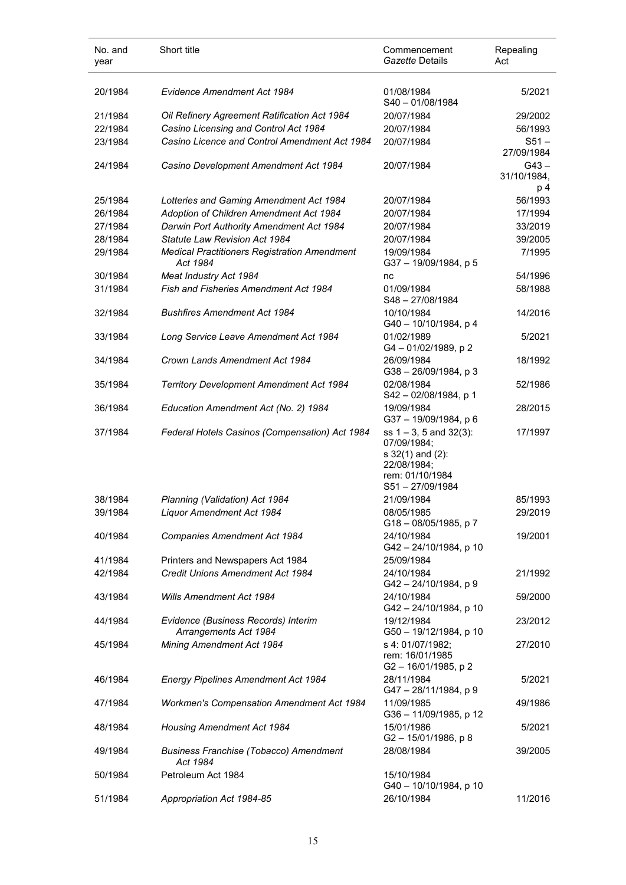| No. and<br>year | Short title                                                  | Commencement<br>Gazette Details                                                                                       | Repealing<br>Act              |
|-----------------|--------------------------------------------------------------|-----------------------------------------------------------------------------------------------------------------------|-------------------------------|
| 20/1984         | Evidence Amendment Act 1984                                  | 01/08/1984<br>S40-01/08/1984                                                                                          | 5/2021                        |
| 21/1984         | Oil Refinery Agreement Ratification Act 1984                 | 20/07/1984                                                                                                            | 29/2002                       |
| 22/1984         | Casino Licensing and Control Act 1984                        | 20/07/1984                                                                                                            | 56/1993                       |
| 23/1984         | Casino Licence and Control Amendment Act 1984                | 20/07/1984                                                                                                            | $S51 -$<br>27/09/1984         |
| 24/1984         | Casino Development Amendment Act 1984                        | 20/07/1984                                                                                                            | $G43 -$<br>31/10/1984,<br>p 4 |
| 25/1984         | Lotteries and Gaming Amendment Act 1984                      | 20/07/1984                                                                                                            | 56/1993                       |
| 26/1984         | Adoption of Children Amendment Act 1984                      | 20/07/1984                                                                                                            | 17/1994                       |
| 27/1984         | Darwin Port Authority Amendment Act 1984                     | 20/07/1984                                                                                                            | 33/2019                       |
| 28/1984         | Statute Law Revision Act 1984                                | 20/07/1984                                                                                                            | 39/2005                       |
| 29/1984         | <b>Medical Practitioners Registration Amendment</b>          | 19/09/1984                                                                                                            | 7/1995                        |
|                 | Act 1984                                                     | G37 - 19/09/1984, p 5                                                                                                 |                               |
| 30/1984         | Meat Industry Act 1984                                       | nc                                                                                                                    | 54/1996                       |
| 31/1984         | Fish and Fisheries Amendment Act 1984                        | 01/09/1984<br>$S48 - 27/08/1984$                                                                                      | 58/1988                       |
| 32/1984         | <b>Bushfires Amendment Act 1984</b>                          | 10/10/1984<br>G40 - 10/10/1984, p 4                                                                                   | 14/2016                       |
| 33/1984         | Long Service Leave Amendment Act 1984                        | 01/02/1989<br>G4 - 01/02/1989, p 2                                                                                    | 5/2021                        |
| 34/1984         | Crown Lands Amendment Act 1984                               | 26/09/1984<br>$G38 - 26/09/1984$ , p 3                                                                                | 18/1992                       |
| 35/1984         | <b>Territory Development Amendment Act 1984</b>              | 02/08/1984<br>S42 - 02/08/1984, p 1                                                                                   | 52/1986                       |
| 36/1984         | Education Amendment Act (No. 2) 1984                         | 19/09/1984<br>G37-19/09/1984, p 6                                                                                     | 28/2015                       |
| 37/1984         | Federal Hotels Casinos (Compensation) Act 1984               | ss $1 - 3$ , 5 and $32(3)$ :<br>07/09/1984;<br>$s$ 32(1) and (2):<br>22/08/1984:<br>rem: 01/10/1984<br>S51-27/09/1984 | 17/1997                       |
| 38/1984         | Planning (Validation) Act 1984                               | 21/09/1984                                                                                                            | 85/1993                       |
| 39/1984         | Liquor Amendment Act 1984                                    | 08/05/1985<br>G18-08/05/1985, p 7                                                                                     | 29/2019                       |
| 40/1984         | Companies Amendment Act 1984                                 | 24/10/1984<br>G42-24/10/1984, p 10                                                                                    | 19/2001                       |
| 41/1984         | Printers and Newspapers Act 1984                             | 25/09/1984                                                                                                            |                               |
| 42/1984         | Credit Unions Amendment Act 1984                             | 24/10/1984<br>G42-24/10/1984, p 9                                                                                     | 21/1992                       |
| 43/1984         | <b>Wills Amendment Act 1984</b>                              | 24/10/1984<br>G42-24/10/1984, p 10                                                                                    | 59/2000                       |
| 44/1984         | Evidence (Business Records) Interim<br>Arrangements Act 1984 | 19/12/1984<br>G50 - 19/12/1984, p 10                                                                                  | 23/2012                       |
| 45/1984         | Mining Amendment Act 1984                                    | s 4: 01/07/1982;<br>rem: 16/01/1985<br>G2-16/01/1985, p2                                                              | 27/2010                       |
| 46/1984         | <b>Energy Pipelines Amendment Act 1984</b>                   | 28/11/1984<br>G47-28/11/1984, p 9                                                                                     | 5/2021                        |
| 47/1984         | <b>Workmen's Compensation Amendment Act 1984</b>             | 11/09/1985<br>G36 - 11/09/1985, p 12                                                                                  | 49/1986                       |
| 48/1984         | <b>Housing Amendment Act 1984</b>                            | 15/01/1986<br>G2-15/01/1986, p8                                                                                       | 5/2021                        |
| 49/1984         | <b>Business Franchise (Tobacco) Amendment</b><br>Act 1984    | 28/08/1984                                                                                                            | 39/2005                       |
| 50/1984         | Petroleum Act 1984                                           | 15/10/1984<br>G40 - 10/10/1984, p 10                                                                                  |                               |
| 51/1984         | Appropriation Act 1984-85                                    | 26/10/1984                                                                                                            | 11/2016                       |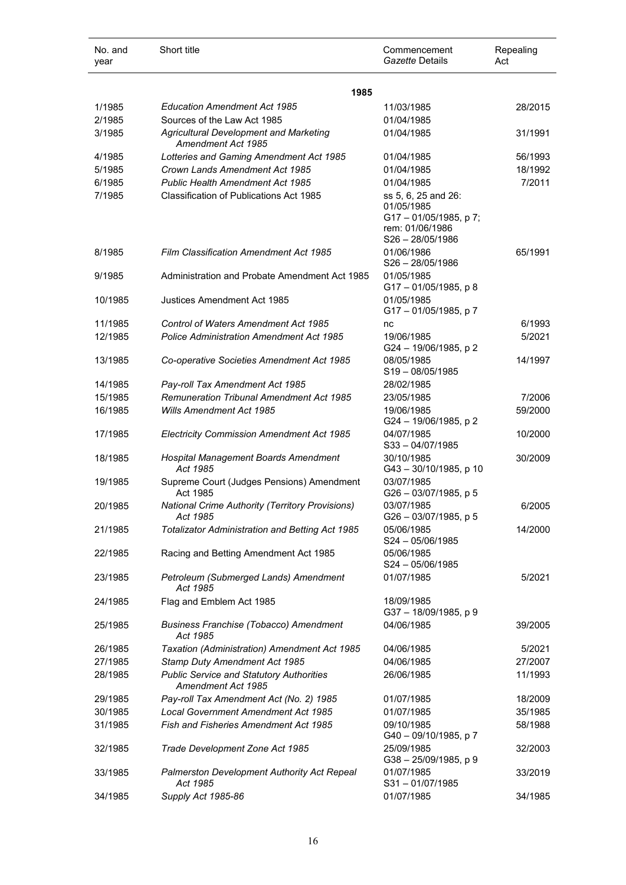| No. and<br>year | Short title                                                           | Commencement<br>Gazette Details                                            | Repealing<br>Act |
|-----------------|-----------------------------------------------------------------------|----------------------------------------------------------------------------|------------------|
|                 | 1985                                                                  |                                                                            |                  |
| 1/1985          | <b>Education Amendment Act 1985</b>                                   | 11/03/1985                                                                 | 28/2015          |
| 2/1985          | Sources of the Law Act 1985                                           | 01/04/1985                                                                 |                  |
| 3/1985          | <b>Agricultural Development and Marketing</b><br>Amendment Act 1985   | 01/04/1985                                                                 | 31/1991          |
| 4/1985          | Lotteries and Gaming Amendment Act 1985                               | 01/04/1985                                                                 | 56/1993          |
| 5/1985          | Crown Lands Amendment Act 1985                                        | 01/04/1985                                                                 | 18/1992          |
| 6/1985          | <b>Public Health Amendment Act 1985</b>                               | 01/04/1985                                                                 | 7/2011           |
| 7/1985          | <b>Classification of Publications Act 1985</b>                        | ss 5, 6, 25 and 26:                                                        |                  |
|                 |                                                                       | 01/05/1985<br>G17-01/05/1985, p7;<br>rem: 01/06/1986<br>$S26 - 28/05/1986$ |                  |
| 8/1985          | <b>Film Classification Amendment Act 1985</b>                         | 01/06/1986<br>$S26 - 28/05/1986$                                           | 65/1991          |
| 9/1985          | Administration and Probate Amendment Act 1985                         | 01/05/1985<br>G17-01/05/1985, p 8                                          |                  |
| 10/1985         | Justices Amendment Act 1985                                           | 01/05/1985<br>G17-01/05/1985, p7                                           |                  |
| 11/1985         | <b>Control of Waters Amendment Act 1985</b>                           | nc                                                                         | 6/1993           |
| 12/1985         | <b>Police Administration Amendment Act 1985</b>                       | 19/06/1985<br>G24 - 19/06/1985, p 2                                        | 5/2021           |
| 13/1985         | Co-operative Societies Amendment Act 1985                             | 08/05/1985<br>$S19 - 08/05/1985$                                           | 14/1997          |
| 14/1985         | Pay-roll Tax Amendment Act 1985                                       | 28/02/1985                                                                 |                  |
| 15/1985         | <b>Remuneration Tribunal Amendment Act 1985</b>                       | 23/05/1985                                                                 | 7/2006           |
| 16/1985         | <b>Wills Amendment Act 1985</b>                                       | 19/06/1985<br>G24 - 19/06/1985, p 2                                        | 59/2000          |
| 17/1985         | <b>Electricity Commission Amendment Act 1985</b>                      | 04/07/1985<br>$S33 - 04/07/1985$                                           | 10/2000          |
| 18/1985         | Hospital Management Boards Amendment<br>Act 1985                      | 30/10/1985<br>G43-30/10/1985, p 10                                         | 30/2009          |
| 19/1985         | Supreme Court (Judges Pensions) Amendment<br>Act 1985                 | 03/07/1985<br>G26 - 03/07/1985, p 5                                        |                  |
| 20/1985         | <b>National Crime Authority (Territory Provisions)</b><br>Act 1985    | 03/07/1985<br>G26 - 03/07/1985, p 5                                        | 6/2005           |
| 21/1985         | <b>Totalizator Administration and Betting Act 1985</b>                | 05/06/1985<br>$S24 - 05/06/1985$                                           | 14/2000          |
| 22/1985         | Racing and Betting Amendment Act 1985                                 | 05/06/1985<br>$S24 - 05/06/1985$                                           |                  |
| 23/1985         | Petroleum (Submerged Lands) Amendment<br>Act 1985                     | 01/07/1985                                                                 | 5/2021           |
| 24/1985         | Flag and Emblem Act 1985                                              | 18/09/1985<br>G37-18/09/1985, p 9                                          |                  |
| 25/1985         | <b>Business Franchise (Tobacco) Amendment</b><br>Act 1985             | 04/06/1985                                                                 | 39/2005          |
| 26/1985         | Taxation (Administration) Amendment Act 1985                          | 04/06/1985                                                                 | 5/2021           |
| 27/1985         | Stamp Duty Amendment Act 1985                                         | 04/06/1985                                                                 | 27/2007          |
| 28/1985         | <b>Public Service and Statutory Authorities</b><br>Amendment Act 1985 | 26/06/1985                                                                 | 11/1993          |
| 29/1985         | Pay-roll Tax Amendment Act (No. 2) 1985                               | 01/07/1985                                                                 | 18/2009          |
| 30/1985         | <b>Local Government Amendment Act 1985</b>                            | 01/07/1985                                                                 | 35/1985          |
| 31/1985         | <b>Fish and Fisheries Amendment Act 1985</b>                          | 09/10/1985<br>G40 - 09/10/1985, p 7                                        | 58/1988          |
| 32/1985         | Trade Development Zone Act 1985                                       | 25/09/1985<br>G38-25/09/1985, p 9                                          | 32/2003          |
| 33/1985         | Palmerston Development Authority Act Repeal<br>Act 1985               | 01/07/1985<br>S31-01/07/1985                                               | 33/2019          |
| 34/1985         | Supply Act 1985-86                                                    | 01/07/1985                                                                 | 34/1985          |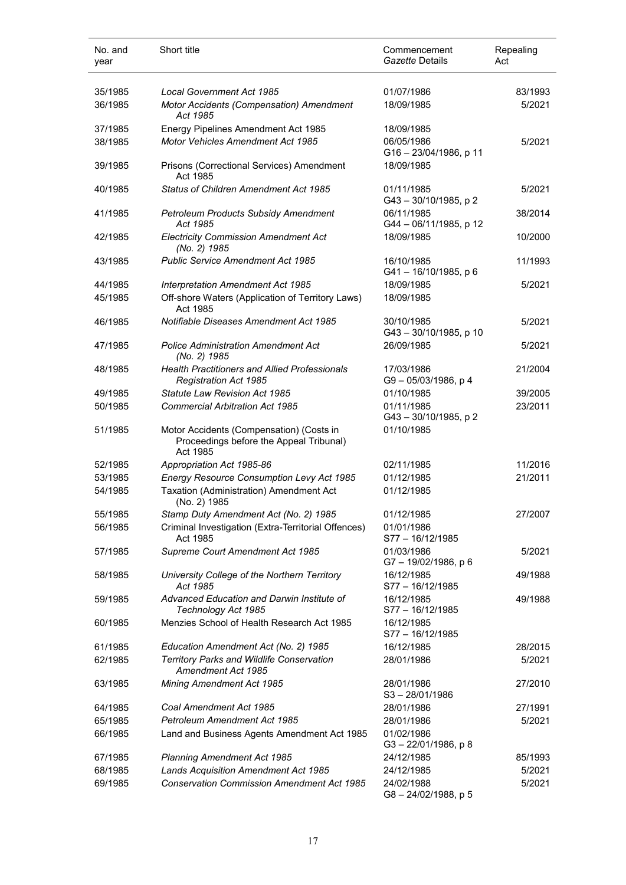| No. and<br>year    | Short title                                                                                             | Commencement<br>Gazette Details                  | Repealing<br>Act   |
|--------------------|---------------------------------------------------------------------------------------------------------|--------------------------------------------------|--------------------|
| 35/1985<br>36/1985 | <b>Local Government Act 1985</b><br>Motor Accidents (Compensation) Amendment<br>Act 1985                | 01/07/1986<br>18/09/1985                         | 83/1993<br>5/2021  |
| 37/1985<br>38/1985 | Energy Pipelines Amendment Act 1985<br><b>Motor Vehicles Amendment Act 1985</b>                         | 18/09/1985<br>06/05/1986<br>G16-23/04/1986, p 11 | 5/2021             |
| 39/1985            | Prisons (Correctional Services) Amendment<br>Act 1985                                                   | 18/09/1985                                       |                    |
| 40/1985            | <b>Status of Children Amendment Act 1985</b>                                                            | 01/11/1985<br>G43-30/10/1985, p2                 | 5/2021             |
| 41/1985            | <b>Petroleum Products Subsidy Amendment</b><br>Act 1985                                                 | 06/11/1985<br>G44 - 06/11/1985, p 12             | 38/2014            |
| 42/1985            | <b>Electricity Commission Amendment Act</b><br>(No. 2) 1985                                             | 18/09/1985                                       | 10/2000            |
| 43/1985            | <b>Public Service Amendment Act 1985</b>                                                                | 16/10/1985<br>G41-16/10/1985, p 6                | 11/1993            |
| 44/1985<br>45/1985 | Interpretation Amendment Act 1985<br>Off-shore Waters (Application of Territory Laws)<br>Act 1985       | 18/09/1985<br>18/09/1985                         | 5/2021             |
| 46/1985            | Notifiable Diseases Amendment Act 1985                                                                  | 30/10/1985<br>G43-30/10/1985, p 10               | 5/2021             |
| 47/1985            | <b>Police Administration Amendment Act</b><br>(No. 2) 1985                                              | 26/09/1985                                       | 5/2021             |
| 48/1985            | <b>Health Practitioners and Allied Professionals</b><br><b>Registration Act 1985</b>                    | 17/03/1986<br>G9-05/03/1986, p4                  | 21/2004            |
| 49/1985<br>50/1985 | <b>Statute Law Revision Act 1985</b><br><b>Commercial Arbitration Act 1985</b>                          | 01/10/1985<br>01/11/1985<br>G43-30/10/1985, p 2  | 39/2005<br>23/2011 |
| 51/1985            | Motor Accidents (Compensation) (Costs in<br>Proceedings before the Appeal Tribunal)<br>Act 1985         | 01/10/1985                                       |                    |
| 52/1985            | Appropriation Act 1985-86                                                                               | 02/11/1985                                       | 11/2016            |
| 53/1985            | Energy Resource Consumption Levy Act 1985                                                               | 01/12/1985                                       | 21/2011            |
| 54/1985            | Taxation (Administration) Amendment Act<br>(No. 2) 1985                                                 | 01/12/1985                                       |                    |
| 55/1985            | Stamp Duty Amendment Act (No. 2) 1985                                                                   | 01/12/1985                                       | 27/2007            |
| 56/1985            | Criminal Investigation (Extra-Territorial Offences)<br>Act 1985                                         | 01/01/1986<br>S77 - 16/12/1985                   |                    |
| 57/1985            | Supreme Court Amendment Act 1985                                                                        | 01/03/1986<br>G7-19/02/1986, p6                  | 5/2021             |
| 58/1985            | University College of the Northern Territory<br>Act 1985                                                | 16/12/1985<br>S77-16/12/1985                     | 49/1988            |
| 59/1985            | Advanced Education and Darwin Institute of<br>Technology Act 1985                                       | 16/12/1985<br>S77-16/12/1985                     | 49/1988            |
| 60/1985            | Menzies School of Health Research Act 1985                                                              | 16/12/1985<br>$S77 - 16/12/1985$                 |                    |
| 61/1985<br>62/1985 | Education Amendment Act (No. 2) 1985<br>Territory Parks and Wildlife Conservation<br>Amendment Act 1985 | 16/12/1985<br>28/01/1986                         | 28/2015<br>5/2021  |
| 63/1985            | <b>Mining Amendment Act 1985</b>                                                                        | 28/01/1986<br>$S3 - 28/01/1986$                  | 27/2010            |
| 64/1985            | Coal Amendment Act 1985                                                                                 | 28/01/1986                                       | 27/1991            |
| 65/1985            | <b>Petroleum Amendment Act 1985</b>                                                                     | 28/01/1986                                       | 5/2021             |
| 66/1985            | Land and Business Agents Amendment Act 1985                                                             | 01/02/1986<br>$G3 - 22/01/1986$ , p 8            |                    |
| 67/1985            | <b>Planning Amendment Act 1985</b>                                                                      | 24/12/1985                                       | 85/1993            |
| 68/1985            | Lands Acquisition Amendment Act 1985                                                                    | 24/12/1985                                       | 5/2021             |
| 69/1985            | <b>Conservation Commission Amendment Act 1985</b>                                                       | 24/02/1988<br>G8-24/02/1988, p 5                 | 5/2021             |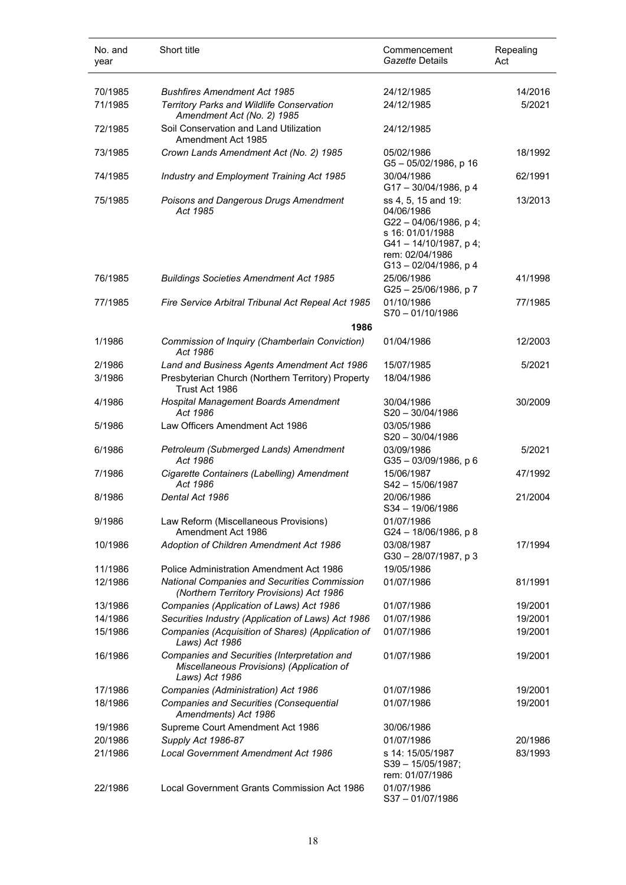| No. and<br>year    | Short title                                                                                                                                 | Commencement<br>Gazette Details                                                                                                               | Repealing<br>Act |
|--------------------|---------------------------------------------------------------------------------------------------------------------------------------------|-----------------------------------------------------------------------------------------------------------------------------------------------|------------------|
| 70/1985            | <b>Bushfires Amendment Act 1985</b>                                                                                                         | 24/12/1985                                                                                                                                    | 14/2016          |
| 71/1985            | Territory Parks and Wildlife Conservation<br>Amendment Act (No. 2) 1985                                                                     | 24/12/1985                                                                                                                                    | 5/2021           |
| 72/1985            | Soil Conservation and Land Utilization<br>Amendment Act 1985                                                                                | 24/12/1985                                                                                                                                    |                  |
| 73/1985            | Crown Lands Amendment Act (No. 2) 1985                                                                                                      | 05/02/1986<br>G5-05/02/1986, p 16                                                                                                             | 18/1992          |
| 74/1985            | Industry and Employment Training Act 1985                                                                                                   | 30/04/1986<br>G17-30/04/1986, p 4                                                                                                             | 62/1991          |
| 75/1985            | Poisons and Dangerous Drugs Amendment<br>Act 1985                                                                                           | ss 4, 5, 15 and 19:<br>04/06/1986<br>G22-04/06/1986, p4;<br>s 16: 01/01/1988<br>G41-14/10/1987, p4;<br>rem: 02/04/1986<br>G13-02/04/1986, p 4 | 13/2013          |
| 76/1985            | <b>Buildings Societies Amendment Act 1985</b>                                                                                               | 25/06/1986<br>G25-25/06/1986, p7                                                                                                              | 41/1998          |
| 77/1985            | Fire Service Arbitral Tribunal Act Repeal Act 1985                                                                                          | 01/10/1986<br>S70-01/10/1986                                                                                                                  | 77/1985          |
|                    | 1986                                                                                                                                        |                                                                                                                                               |                  |
| 1/1986             | Commission of Inquiry (Chamberlain Conviction)<br>Act 1986                                                                                  | 01/04/1986                                                                                                                                    | 12/2003          |
| 2/1986<br>3/1986   | Land and Business Agents Amendment Act 1986<br>Presbyterian Church (Northern Territory) Property<br>Trust Act 1986                          | 15/07/1985<br>18/04/1986                                                                                                                      | 5/2021           |
| 4/1986             | Hospital Management Boards Amendment<br>Act 1986                                                                                            | 30/04/1986<br>$S20 - 30/04/1986$                                                                                                              | 30/2009          |
| 5/1986             | Law Officers Amendment Act 1986                                                                                                             | 03/05/1986<br>$S20 - 30/04/1986$                                                                                                              |                  |
| 6/1986             | Petroleum (Submerged Lands) Amendment<br>Act 1986                                                                                           | 03/09/1986<br>G35-03/09/1986, p 6                                                                                                             | 5/2021           |
| 7/1986             | Cigarette Containers (Labelling) Amendment<br>Act 1986                                                                                      | 15/06/1987<br>S42-15/06/1987                                                                                                                  | 47/1992          |
| 8/1986             | Dental Act 1986                                                                                                                             | 20/06/1986<br>$S34 - 19/06/1986$                                                                                                              | 21/2004          |
| 9/1986             | Law Reform (Miscellaneous Provisions)<br>Amendment Act 1986                                                                                 | 01/07/1986<br>G24 - 18/06/1986, p 8                                                                                                           |                  |
| 10/1986            | Adoption of Children Amendment Act 1986                                                                                                     | 03/08/1987<br>G30-28/07/1987, p 3                                                                                                             | 17/1994          |
| 11/1986<br>12/1986 | Police Administration Amendment Act 1986<br><b>National Companies and Securities Commission</b><br>(Northern Territory Provisions) Act 1986 | 19/05/1986<br>01/07/1986                                                                                                                      | 81/1991          |
| 13/1986            | Companies (Application of Laws) Act 1986                                                                                                    | 01/07/1986                                                                                                                                    | 19/2001          |
| 14/1986            | Securities Industry (Application of Laws) Act 1986                                                                                          | 01/07/1986                                                                                                                                    | 19/2001          |
| 15/1986            | Companies (Acquisition of Shares) (Application of<br>Laws) Act 1986                                                                         | 01/07/1986                                                                                                                                    | 19/2001          |
| 16/1986            | Companies and Securities (Interpretation and<br>Miscellaneous Provisions) (Application of<br>Laws) Act 1986                                 | 01/07/1986                                                                                                                                    | 19/2001          |
| 17/1986            | Companies (Administration) Act 1986                                                                                                         | 01/07/1986                                                                                                                                    | 19/2001          |
| 18/1986            | Companies and Securities (Consequential<br>Amendments) Act 1986                                                                             | 01/07/1986                                                                                                                                    | 19/2001          |
| 19/1986            | Supreme Court Amendment Act 1986                                                                                                            | 30/06/1986                                                                                                                                    |                  |
| 20/1986            | Supply Act 1986-87                                                                                                                          | 01/07/1986                                                                                                                                    | 20/1986          |
| 21/1986            | <b>Local Government Amendment Act 1986</b>                                                                                                  | s 14: 15/05/1987<br>S39-15/05/1987;<br>rem: 01/07/1986                                                                                        | 83/1993          |
| 22/1986            | Local Government Grants Commission Act 1986                                                                                                 | 01/07/1986<br>S37-01/07/1986                                                                                                                  |                  |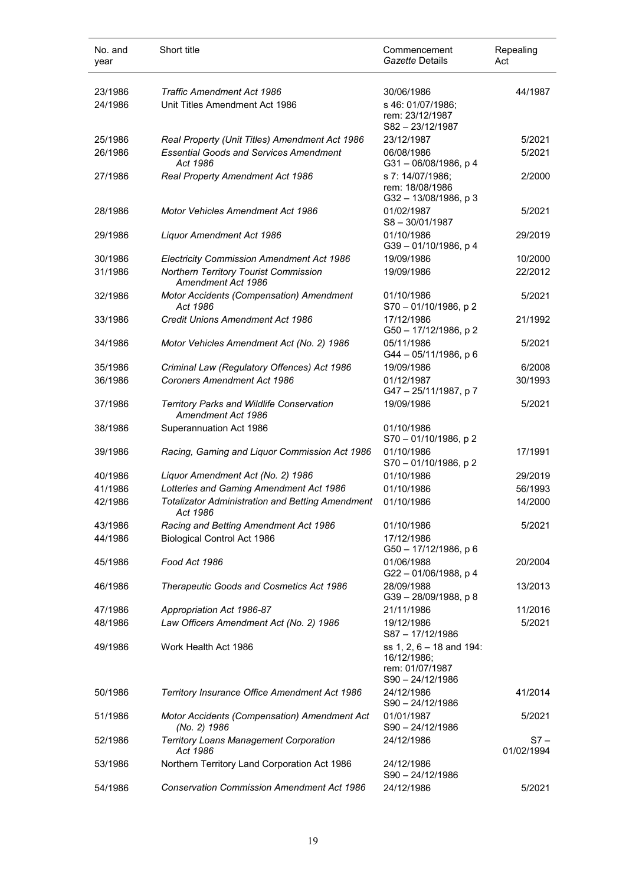| No. and<br>year | Short title                                                         | Commencement<br>Gazette Details                                              | Repealing<br>Act   |
|-----------------|---------------------------------------------------------------------|------------------------------------------------------------------------------|--------------------|
| 23/1986         | Traffic Amendment Act 1986                                          | 30/06/1986                                                                   | 44/1987            |
| 24/1986         | Unit Titles Amendment Act 1986                                      | s 46: 01/07/1986;<br>rem: 23/12/1987<br>S82-23/12/1987                       |                    |
| 25/1986         | Real Property (Unit Titles) Amendment Act 1986                      | 23/12/1987                                                                   | 5/2021             |
| 26/1986         | <b>Essential Goods and Services Amendment</b><br>Act 1986           | 06/08/1986<br>G31-06/08/1986, p4                                             | 5/2021             |
| 27/1986         | Real Property Amendment Act 1986                                    | s 7: 14/07/1986;<br>rem: 18/08/1986<br>G32-13/08/1986, p3                    | 2/2000             |
| 28/1986         | <b>Motor Vehicles Amendment Act 1986</b>                            | 01/02/1987<br>$S8 - 30/01/1987$                                              | 5/2021             |
| 29/1986         | Liquor Amendment Act 1986                                           | 01/10/1986<br>G39-01/10/1986, p 4                                            | 29/2019            |
| 30/1986         | Electricity Commission Amendment Act 1986                           | 19/09/1986                                                                   | 10/2000            |
| 31/1986         | Northern Territory Tourist Commission<br>Amendment Act 1986         | 19/09/1986                                                                   | 22/2012            |
| 32/1986         | Motor Accidents (Compensation) Amendment<br>Act 1986                | 01/10/1986<br>$S70 - 01/10/1986$ , p 2                                       | 5/2021             |
| 33/1986         | <b>Credit Unions Amendment Act 1986</b>                             | 17/12/1986<br>G50 - 17/12/1986, p 2                                          | 21/1992            |
| 34/1986         | Motor Vehicles Amendment Act (No. 2) 1986                           | 05/11/1986<br>G44 - 05/11/1986, p 6                                          | 5/2021             |
| 35/1986         | Criminal Law (Regulatory Offences) Act 1986                         | 19/09/1986                                                                   | 6/2008             |
| 36/1986         | <b>Coroners Amendment Act 1986</b>                                  | 01/12/1987<br>G47-25/11/1987, p7                                             | 30/1993            |
| 37/1986         | Territory Parks and Wildlife Conservation<br>Amendment Act 1986     | 19/09/1986                                                                   | 5/2021             |
| 38/1986         | Superannuation Act 1986                                             | 01/10/1986<br>$S70 - 01/10/1986$ , p 2                                       |                    |
| 39/1986         | Racing, Gaming and Liquor Commission Act 1986                       | 01/10/1986<br>S70 - 01/10/1986, p 2                                          | 17/1991            |
| 40/1986         | Liquor Amendment Act (No. 2) 1986                                   | 01/10/1986                                                                   | 29/2019            |
| 41/1986         | Lotteries and Gaming Amendment Act 1986                             | 01/10/1986                                                                   | 56/1993            |
| 42/1986         | <b>Totalizator Administration and Betting Amendment</b><br>Act 1986 | 01/10/1986                                                                   | 14/2000            |
| 43/1986         | Racing and Betting Amendment Act 1986                               | 01/10/1986                                                                   | 5/2021             |
| 44/1986         | Biological Control Act 1986                                         | 17/12/1986<br>G50 - 17/12/1986, p 6                                          |                    |
| 45/1986         | Food Act 1986                                                       | 01/06/1988<br>G22-01/06/1988, p 4                                            | 20/2004            |
| 46/1986         | Therapeutic Goods and Cosmetics Act 1986                            | 28/09/1988<br>G39-28/09/1988, p 8                                            | 13/2013            |
| 47/1986         | Appropriation Act 1986-87                                           | 21/11/1986                                                                   | 11/2016            |
| 48/1986         | Law Officers Amendment Act (No. 2) 1986                             | 19/12/1986<br>S87-17/12/1986                                                 | 5/2021             |
| 49/1986         | Work Health Act 1986                                                | ss 1, 2, 6 - 18 and 194:<br>16/12/1986;<br>rem: 01/07/1987<br>S90-24/12/1986 |                    |
| 50/1986         | Territory Insurance Office Amendment Act 1986                       | 24/12/1986<br>$S90 - 24/12/1986$                                             | 41/2014            |
| 51/1986         | Motor Accidents (Compensation) Amendment Act<br>(No. 2) 1986        | 01/01/1987<br>S90-24/12/1986                                                 | 5/2021             |
| 52/1986         | <b>Territory Loans Management Corporation</b><br>Act 1986           | 24/12/1986                                                                   | S7 –<br>01/02/1994 |
| 53/1986         | Northern Territory Land Corporation Act 1986                        | 24/12/1986<br>$S90 - 24/12/1986$                                             |                    |
| 54/1986         | <b>Conservation Commission Amendment Act 1986</b>                   | 24/12/1986                                                                   | 5/2021             |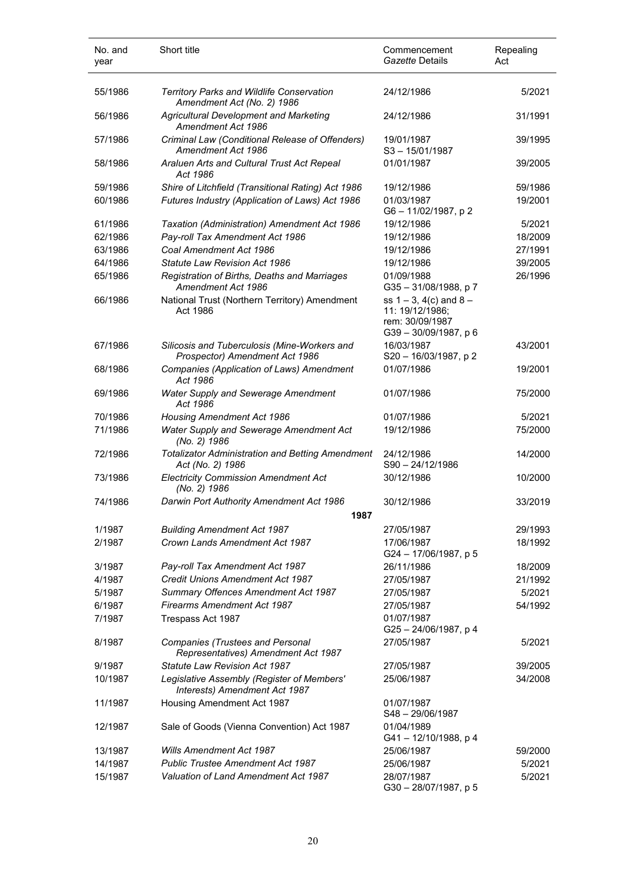| No. and<br>year | Short title                                                                    | Commencement<br>Gazette Details                                                            | Repealing<br>Act |
|-----------------|--------------------------------------------------------------------------------|--------------------------------------------------------------------------------------------|------------------|
| 55/1986         | <b>Territory Parks and Wildlife Conservation</b><br>Amendment Act (No. 2) 1986 | 24/12/1986                                                                                 | 5/2021           |
| 56/1986         | Agricultural Development and Marketing<br>Amendment Act 1986                   | 24/12/1986                                                                                 | 31/1991          |
| 57/1986         | Criminal Law (Conditional Release of Offenders)<br>Amendment Act 1986          | 19/01/1987<br>$S3 - 15/01/1987$                                                            | 39/1995          |
| 58/1986         | Araluen Arts and Cultural Trust Act Repeal<br>Act 1986                         | 01/01/1987                                                                                 | 39/2005          |
| 59/1986         | Shire of Litchfield (Transitional Rating) Act 1986                             | 19/12/1986                                                                                 | 59/1986          |
| 60/1986         | Futures Industry (Application of Laws) Act 1986                                | 01/03/1987<br>G6-11/02/1987, p2                                                            | 19/2001          |
| 61/1986         | Taxation (Administration) Amendment Act 1986                                   | 19/12/1986                                                                                 | 5/2021           |
| 62/1986         | Pay-roll Tax Amendment Act 1986                                                | 19/12/1986                                                                                 | 18/2009          |
| 63/1986         | Coal Amendment Act 1986                                                        | 19/12/1986                                                                                 | 27/1991          |
| 64/1986         | Statute Law Revision Act 1986                                                  | 19/12/1986                                                                                 | 39/2005          |
| 65/1986         | Registration of Births, Deaths and Marriages<br>Amendment Act 1986             | 01/09/1988<br>G35-31/08/1988, p7                                                           | 26/1996          |
| 66/1986         | National Trust (Northern Territory) Amendment<br>Act 1986                      | ss $1 - 3$ , $4(c)$ and $8 -$<br>11: 19/12/1986;<br>rem: 30/09/1987<br>G39-30/09/1987, p 6 |                  |
| 67/1986         | Silicosis and Tuberculosis (Mine-Workers and<br>Prospector) Amendment Act 1986 | 16/03/1987<br>S20 - 16/03/1987, p 2                                                        | 43/2001          |
| 68/1986         | Companies (Application of Laws) Amendment<br>Act 1986                          | 01/07/1986                                                                                 | 19/2001          |
| 69/1986         | <b>Water Supply and Sewerage Amendment</b><br>Act 1986                         | 01/07/1986                                                                                 | 75/2000          |
| 70/1986         | <b>Housing Amendment Act 1986</b>                                              | 01/07/1986                                                                                 | 5/2021           |
| 71/1986         | Water Supply and Sewerage Amendment Act<br>(No. 2) 1986                        | 19/12/1986                                                                                 | 75/2000          |
| 72/1986         | <b>Totalizator Administration and Betting Amendment</b><br>Act (No. 2) 1986    | 24/12/1986<br>S90-24/12/1986                                                               | 14/2000          |
| 73/1986         | <b>Electricity Commission Amendment Act</b><br>(No. 2) 1986                    | 30/12/1986                                                                                 | 10/2000          |
| 74/1986         | Darwin Port Authority Amendment Act 1986<br>1987                               | 30/12/1986                                                                                 | 33/2019          |
| 1/1987          | <b>Building Amendment Act 1987</b>                                             | 27/05/1987                                                                                 | 29/1993          |
| 2/1987          | Crown Lands Amendment Act 1987                                                 | 17/06/1987<br>G24 - 17/06/1987, p 5                                                        | 18/1992          |
| 3/1987          | Pay-roll Tax Amendment Act 1987                                                | 26/11/1986                                                                                 | 18/2009          |
| 4/1987          | Credit Unions Amendment Act 1987                                               | 27/05/1987                                                                                 | 21/1992          |
| 5/1987          | Summary Offences Amendment Act 1987                                            | 27/05/1987                                                                                 | 5/2021           |
| 6/1987          | <b>Firearms Amendment Act 1987</b>                                             | 27/05/1987                                                                                 | 54/1992          |
| 7/1987          | Trespass Act 1987                                                              | 01/07/1987<br>G25-24/06/1987, p 4                                                          |                  |
| 8/1987          | Companies (Trustees and Personal<br>Representatives) Amendment Act 1987        | 27/05/1987                                                                                 | 5/2021           |
| 9/1987          | <b>Statute Law Revision Act 1987</b>                                           | 27/05/1987                                                                                 | 39/2005          |
| 10/1987         | Legislative Assembly (Register of Members'<br>Interests) Amendment Act 1987    | 25/06/1987                                                                                 | 34/2008          |
| 11/1987         | Housing Amendment Act 1987                                                     | 01/07/1987<br>S48-29/06/1987                                                               |                  |
| 12/1987         | Sale of Goods (Vienna Convention) Act 1987                                     | 01/04/1989<br>G41-12/10/1988, p 4                                                          |                  |
| 13/1987         | <b>Wills Amendment Act 1987</b>                                                | 25/06/1987                                                                                 | 59/2000          |
| 14/1987         | <b>Public Trustee Amendment Act 1987</b>                                       | 25/06/1987                                                                                 | 5/2021           |
| 15/1987         | <b>Valuation of Land Amendment Act 1987</b>                                    | 28/07/1987<br>G30-28/07/1987, p 5                                                          | 5/2021           |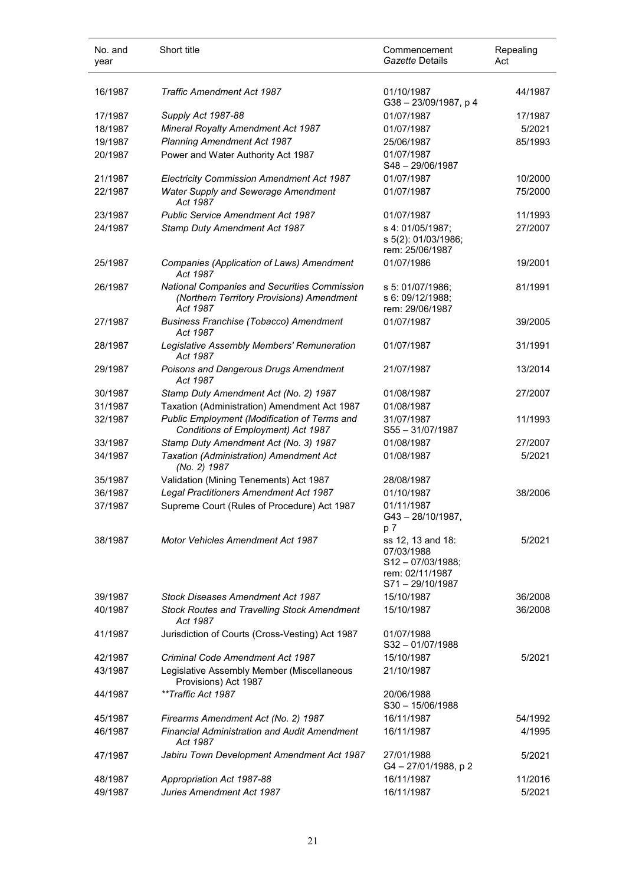| No. and<br>year | Short title                                                                                                  | Commencement<br>Gazette Details                                                         | Repealing<br>Act |
|-----------------|--------------------------------------------------------------------------------------------------------------|-----------------------------------------------------------------------------------------|------------------|
| 16/1987         | <b>Traffic Amendment Act 1987</b>                                                                            | 01/10/1987<br>G38-23/09/1987, p 4                                                       | 44/1987          |
| 17/1987         | Supply Act 1987-88                                                                                           | 01/07/1987                                                                              | 17/1987          |
| 18/1987         | Mineral Royalty Amendment Act 1987                                                                           | 01/07/1987                                                                              | 5/2021           |
| 19/1987         | <b>Planning Amendment Act 1987</b>                                                                           | 25/06/1987                                                                              | 85/1993          |
| 20/1987         | Power and Water Authority Act 1987                                                                           | 01/07/1987<br>$S48 - 29/06/1987$                                                        |                  |
| 21/1987         | <b>Electricity Commission Amendment Act 1987</b>                                                             | 01/07/1987                                                                              | 10/2000          |
| 22/1987         | Water Supply and Sewerage Amendment<br>Act 1987                                                              | 01/07/1987                                                                              | 75/2000          |
| 23/1987         | <b>Public Service Amendment Act 1987</b>                                                                     | 01/07/1987                                                                              | 11/1993          |
| 24/1987         | Stamp Duty Amendment Act 1987                                                                                | s 4: 01/05/1987;<br>s 5(2): 01/03/1986;<br>rem: 25/06/1987                              | 27/2007          |
| 25/1987         | Companies (Application of Laws) Amendment<br>Act 1987                                                        | 01/07/1986                                                                              | 19/2001          |
| 26/1987         | <b>National Companies and Securities Commission</b><br>(Northern Territory Provisions) Amendment<br>Act 1987 | s 5: 01/07/1986;<br>s 6: 09/12/1988;<br>rem: 29/06/1987                                 | 81/1991          |
| 27/1987         | <b>Business Franchise (Tobacco) Amendment</b><br>Act 1987                                                    | 01/07/1987                                                                              | 39/2005          |
| 28/1987         | Legislative Assembly Members' Remuneration<br>Act 1987                                                       | 01/07/1987                                                                              | 31/1991          |
| 29/1987         | Poisons and Dangerous Drugs Amendment<br>Act 1987                                                            | 21/07/1987                                                                              | 13/2014          |
| 30/1987         | Stamp Duty Amendment Act (No. 2) 1987                                                                        | 01/08/1987                                                                              | 27/2007          |
| 31/1987         | Taxation (Administration) Amendment Act 1987                                                                 | 01/08/1987                                                                              |                  |
| 32/1987         | Public Employment (Modification of Terms and<br>Conditions of Employment) Act 1987                           | 31/07/1987<br>S55-31/07/1987                                                            | 11/1993          |
| 33/1987         | Stamp Duty Amendment Act (No. 3) 1987                                                                        | 01/08/1987                                                                              | 27/2007          |
| 34/1987         | Taxation (Administration) Amendment Act<br>(No. 2) 1987                                                      | 01/08/1987                                                                              | 5/2021           |
| 35/1987         | Validation (Mining Tenements) Act 1987                                                                       | 28/08/1987                                                                              |                  |
| 36/1987         | Legal Practitioners Amendment Act 1987                                                                       | 01/10/1987                                                                              | 38/2006          |
| 37/1987         | Supreme Court (Rules of Procedure) Act 1987                                                                  | 01/11/1987<br>$G43 - 28/10/1987$ ,<br>p 7                                               |                  |
| 38/1987         | <b>Motor Vehicles Amendment Act 1987</b>                                                                     | ss 12, 13 and 18:<br>07/03/1988<br>S12-07/03/1988;<br>rem: 02/11/1987<br>S71-29/10/1987 | 5/2021           |
| 39/1987         | Stock Diseases Amendment Act 1987                                                                            | 15/10/1987                                                                              | 36/2008          |
| 40/1987         | <b>Stock Routes and Travelling Stock Amendment</b><br>Act 1987                                               | 15/10/1987                                                                              | 36/2008          |
| 41/1987         | Jurisdiction of Courts (Cross-Vesting) Act 1987                                                              | 01/07/1988<br>$S32 - 01/07/1988$                                                        |                  |
| 42/1987         | Criminal Code Amendment Act 1987                                                                             | 15/10/1987                                                                              | 5/2021           |
| 43/1987         | Legislative Assembly Member (Miscellaneous<br>Provisions) Act 1987                                           | 21/10/1987                                                                              |                  |
| 44/1987         | **Traffic Act 1987                                                                                           | 20/06/1988<br>$S30 - 15/06/1988$                                                        |                  |
| 45/1987         | Firearms Amendment Act (No. 2) 1987                                                                          | 16/11/1987                                                                              | 54/1992          |
| 46/1987         | <b>Financial Administration and Audit Amendment</b><br>Act 1987                                              | 16/11/1987                                                                              | 4/1995           |
| 47/1987         | Jabiru Town Development Amendment Act 1987                                                                   | 27/01/1988<br>G4-27/01/1988, p2                                                         | 5/2021           |
| 48/1987         | Appropriation Act 1987-88                                                                                    | 16/11/1987                                                                              | 11/2016          |
| 49/1987         | Juries Amendment Act 1987                                                                                    | 16/11/1987                                                                              | 5/2021           |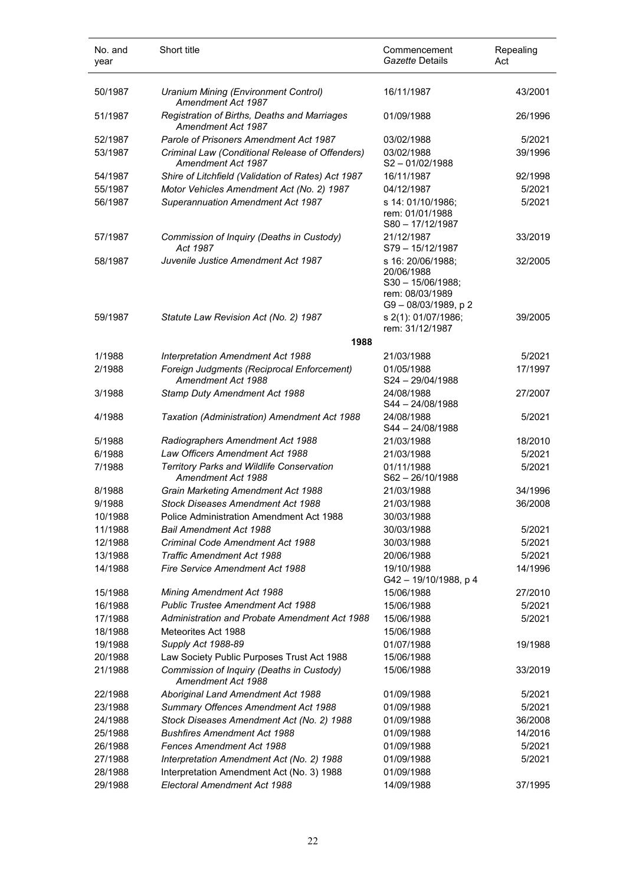| No. and<br>year    | Short title                                                               | Commencement<br>Gazette Details                                                                | Repealing<br>Act |
|--------------------|---------------------------------------------------------------------------|------------------------------------------------------------------------------------------------|------------------|
| 50/1987            | Uranium Mining (Environment Control)<br>Amendment Act 1987                | 16/11/1987                                                                                     | 43/2001          |
| 51/1987            | Registration of Births, Deaths and Marriages<br>Amendment Act 1987        | 01/09/1988                                                                                     | 26/1996          |
| 52/1987            | Parole of Prisoners Amendment Act 1987                                    | 03/02/1988                                                                                     | 5/2021           |
| 53/1987            | Criminal Law (Conditional Release of Offenders)<br>Amendment Act 1987     | 03/02/1988<br>$S2 - 01/02/1988$                                                                | 39/1996          |
| 54/1987            | Shire of Litchfield (Validation of Rates) Act 1987                        | 16/11/1987                                                                                     | 92/1998          |
| 55/1987            | Motor Vehicles Amendment Act (No. 2) 1987                                 | 04/12/1987                                                                                     | 5/2021           |
| 56/1987            | <b>Superannuation Amendment Act 1987</b>                                  | s 14: 01/10/1986;<br>rem: 01/01/1988<br>$S80 - 17/12/1987$                                     | 5/2021           |
| 57/1987            | Commission of Inquiry (Deaths in Custody)<br>Act 1987                     | 21/12/1987<br>S79-15/12/1987                                                                   | 33/2019          |
| 58/1987            | Juvenile Justice Amendment Act 1987                                       | s 16: 20/06/1988;<br>20/06/1988<br>$S30 - 15/06/1988;$<br>rem: 08/03/1989<br>G9-08/03/1989, p2 | 32/2005          |
| 59/1987            | Statute Law Revision Act (No. 2) 1987                                     | s 2(1): 01/07/1986;<br>rem: 31/12/1987                                                         | 39/2005          |
|                    | 1988                                                                      |                                                                                                |                  |
| 1/1988             | Interpretation Amendment Act 1988                                         | 21/03/1988                                                                                     | 5/2021           |
| 2/1988             | Foreign Judgments (Reciprocal Enforcement)<br>Amendment Act 1988          | 01/05/1988<br>S24-29/04/1988                                                                   | 17/1997          |
| 3/1988             | Stamp Duty Amendment Act 1988                                             | 24/08/1988<br>S44 - 24/08/1988                                                                 | 27/2007          |
| 4/1988             | Taxation (Administration) Amendment Act 1988                              | 24/08/1988<br>S44 - 24/08/1988                                                                 | 5/2021           |
| 5/1988             | Radiographers Amendment Act 1988                                          | 21/03/1988                                                                                     | 18/2010          |
| 6/1988             | Law Officers Amendment Act 1988                                           | 21/03/1988                                                                                     | 5/2021           |
| 7/1988             | <b>Territory Parks and Wildlife Conservation</b><br>Amendment Act 1988    | 01/11/1988<br>$S62 - 26/10/1988$                                                               | 5/2021           |
| 8/1988             | Grain Marketing Amendment Act 1988                                        | 21/03/1988                                                                                     | 34/1996          |
| 9/1988             | <b>Stock Diseases Amendment Act 1988</b>                                  | 21/03/1988                                                                                     | 36/2008          |
| 10/1988            | <b>Police Administration Amendment Act 1988</b>                           | 30/03/1988                                                                                     |                  |
| 11/1988            | Bail Amendment Act 1988                                                   | 30/03/1988                                                                                     | 5/2021           |
| 12/1988            | Criminal Code Amendment Act 1988                                          | 30/03/1988                                                                                     | 5/2021           |
| 13/1988            | <b>Traffic Amendment Act 1988</b>                                         | 20/06/1988                                                                                     | 5/2021           |
| 14/1988            | Fire Service Amendment Act 1988                                           | 19/10/1988<br>G42 - 19/10/1988, p 4                                                            | 14/1996          |
| 15/1988            | Mining Amendment Act 1988                                                 | 15/06/1988                                                                                     | 27/2010          |
| 16/1988            | <b>Public Trustee Amendment Act 1988</b>                                  | 15/06/1988                                                                                     | 5/2021           |
| 17/1988            | Administration and Probate Amendment Act 1988                             | 15/06/1988                                                                                     | 5/2021           |
| 18/1988            | Meteorites Act 1988                                                       | 15/06/1988                                                                                     |                  |
| 19/1988            | Supply Act 1988-89                                                        | 01/07/1988                                                                                     | 19/1988          |
| 20/1988            | Law Society Public Purposes Trust Act 1988                                | 15/06/1988                                                                                     |                  |
| 21/1988            | Commission of Inquiry (Deaths in Custody)<br>Amendment Act 1988           | 15/06/1988                                                                                     | 33/2019          |
| 22/1988            | Aboriginal Land Amendment Act 1988                                        | 01/09/1988                                                                                     | 5/2021           |
| 23/1988            | Summary Offences Amendment Act 1988                                       | 01/09/1988                                                                                     | 5/2021           |
| 24/1988            | Stock Diseases Amendment Act (No. 2) 1988                                 | 01/09/1988                                                                                     | 36/2008          |
| 25/1988            | <b>Bushfires Amendment Act 1988</b>                                       | 01/09/1988                                                                                     | 14/2016          |
| 26/1988            | <b>Fences Amendment Act 1988</b>                                          | 01/09/1988                                                                                     | 5/2021           |
| 27/1988            | Interpretation Amendment Act (No. 2) 1988                                 | 01/09/1988                                                                                     | 5/2021           |
| 28/1988<br>29/1988 | Interpretation Amendment Act (No. 3) 1988<br>Electoral Amendment Act 1988 | 01/09/1988<br>14/09/1988                                                                       | 37/1995          |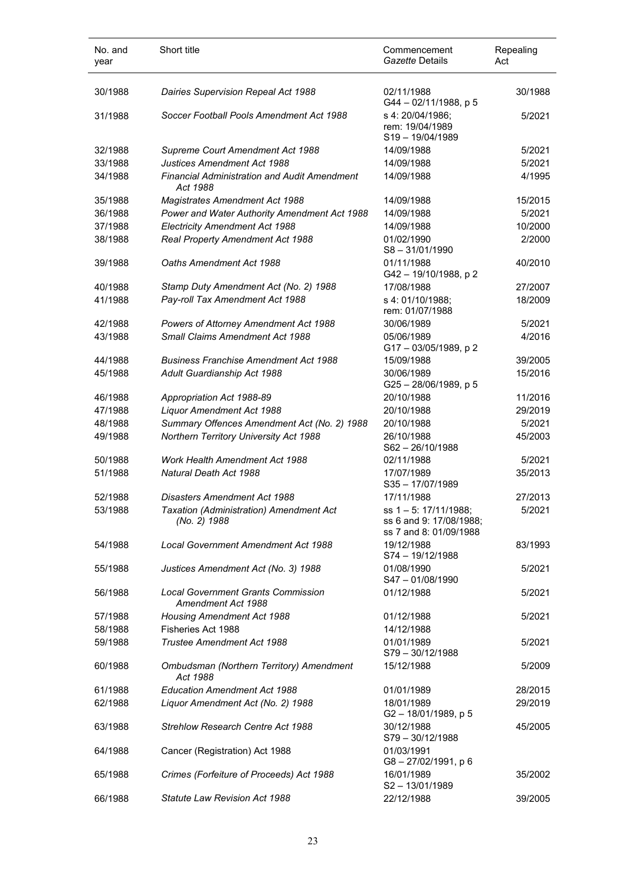| No. and<br>year | Short title                                                     | Commencement<br>Gazette Details                                          | Repealing<br>Act |
|-----------------|-----------------------------------------------------------------|--------------------------------------------------------------------------|------------------|
| 30/1988         | Dairies Supervision Repeal Act 1988                             | 02/11/1988<br>G44-02/11/1988, p 5                                        | 30/1988          |
| 31/1988         | Soccer Football Pools Amendment Act 1988                        | s 4: 20/04/1986;<br>rem: 19/04/1989<br>S19-19/04/1989                    | 5/2021           |
| 32/1988         | Supreme Court Amendment Act 1988                                | 14/09/1988                                                               | 5/2021           |
| 33/1988         | <b>Justices Amendment Act 1988</b>                              | 14/09/1988                                                               | 5/2021           |
| 34/1988         | <b>Financial Administration and Audit Amendment</b><br>Act 1988 | 14/09/1988                                                               | 4/1995           |
| 35/1988         | <b>Magistrates Amendment Act 1988</b>                           | 14/09/1988                                                               | 15/2015          |
| 36/1988         | Power and Water Authority Amendment Act 1988                    | 14/09/1988                                                               | 5/2021           |
| 37/1988         | <b>Electricity Amendment Act 1988</b>                           | 14/09/1988                                                               | 10/2000          |
| 38/1988         | Real Property Amendment Act 1988                                | 01/02/1990<br>$S8 - 31/01/1990$                                          | 2/2000           |
| 39/1988         | Oaths Amendment Act 1988                                        | 01/11/1988<br>G42 - 19/10/1988, p 2                                      | 40/2010          |
| 40/1988         | Stamp Duty Amendment Act (No. 2) 1988                           | 17/08/1988                                                               | 27/2007          |
| 41/1988         | Pay-roll Tax Amendment Act 1988                                 | s 4: 01/10/1988;<br>rem: 01/07/1988                                      | 18/2009          |
| 42/1988         | Powers of Attorney Amendment Act 1988                           | 30/06/1989                                                               | 5/2021           |
| 43/1988         | Small Claims Amendment Act 1988                                 | 05/06/1989<br>G17-03/05/1989, p2                                         | 4/2016           |
| 44/1988         | <b>Business Franchise Amendment Act 1988</b>                    | 15/09/1988                                                               | 39/2005          |
| 45/1988         | Adult Guardianship Act 1988                                     | 30/06/1989<br>G25-28/06/1989, p 5                                        | 15/2016          |
| 46/1988         | Appropriation Act 1988-89                                       | 20/10/1988                                                               | 11/2016          |
| 47/1988         | Liquor Amendment Act 1988                                       | 20/10/1988                                                               | 29/2019          |
| 48/1988         | Summary Offences Amendment Act (No. 2) 1988                     | 20/10/1988                                                               | 5/2021           |
| 49/1988         | Northern Territory University Act 1988                          | 26/10/1988<br>S62-26/10/1988                                             | 45/2003          |
| 50/1988         | Work Health Amendment Act 1988                                  | 02/11/1988                                                               | 5/2021           |
| 51/1988         | Natural Death Act 1988                                          | 17/07/1989<br>S35-17/07/1989                                             | 35/2013          |
| 52/1988         | <b>Disasters Amendment Act 1988</b>                             | 17/11/1988                                                               | 27/2013          |
| 53/1988         | Taxation (Administration) Amendment Act<br>(No. 2) 1988         | ss 1-5: 17/11/1988;<br>ss 6 and 9: 17/08/1988;<br>ss 7 and 8: 01/09/1988 | 5/2021           |
| 54/1988         | Local Government Amendment Act 1988                             | 19/12/1988<br>S74 - 19/12/1988                                           | 83/1993          |
| 55/1988         | Justices Amendment Act (No. 3) 1988                             | 01/08/1990<br>S47-01/08/1990                                             | 5/2021           |
| 56/1988         | <b>Local Government Grants Commission</b><br>Amendment Act 1988 | 01/12/1988                                                               | 5/2021           |
| 57/1988         | <b>Housing Amendment Act 1988</b>                               | 01/12/1988                                                               | 5/2021           |
| 58/1988         | Fisheries Act 1988                                              | 14/12/1988                                                               |                  |
| 59/1988         | Trustee Amendment Act 1988                                      | 01/01/1989<br>S79-30/12/1988                                             | 5/2021           |
| 60/1988         | Ombudsman (Northern Territory) Amendment<br>Act 1988            | 15/12/1988                                                               | 5/2009           |
| 61/1988         | <b>Education Amendment Act 1988</b>                             | 01/01/1989                                                               | 28/2015          |
| 62/1988         | Liquor Amendment Act (No. 2) 1988                               | 18/01/1989<br>G2-18/01/1989, p 5                                         | 29/2019          |
| 63/1988         | Strehlow Research Centre Act 1988                               | 30/12/1988<br>S79-30/12/1988                                             | 45/2005          |
| 64/1988         | Cancer (Registration) Act 1988                                  | 01/03/1991<br>$G8 - 27/02/1991$ , p 6                                    |                  |
| 65/1988         | Crimes (Forfeiture of Proceeds) Act 1988                        | 16/01/1989<br>S2-13/01/1989                                              | 35/2002          |
| 66/1988         | <b>Statute Law Revision Act 1988</b>                            | 22/12/1988                                                               | 39/2005          |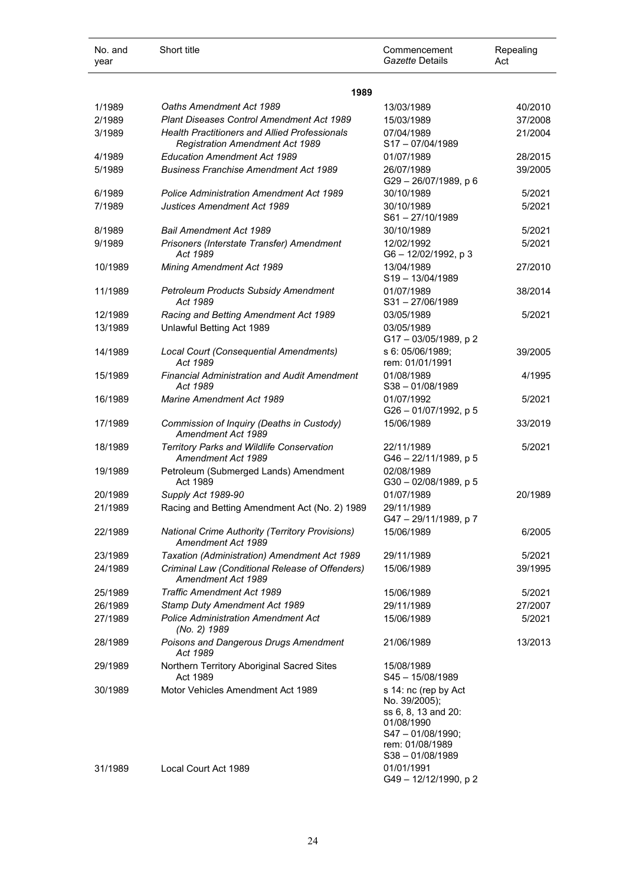| No. and<br>year | Short title                                                                                    | Commencement<br>Gazette Details                                                                                      | Repealing<br>Act |
|-----------------|------------------------------------------------------------------------------------------------|----------------------------------------------------------------------------------------------------------------------|------------------|
|                 | 1989                                                                                           |                                                                                                                      |                  |
| 1/1989          | Oaths Amendment Act 1989                                                                       | 13/03/1989                                                                                                           | 40/2010          |
| 2/1989          | Plant Diseases Control Amendment Act 1989                                                      | 15/03/1989                                                                                                           | 37/2008          |
| 3/1989          | <b>Health Practitioners and Allied Professionals</b><br><b>Registration Amendment Act 1989</b> | 07/04/1989<br>S17-07/04/1989                                                                                         | 21/2004          |
| 4/1989          | <b>Education Amendment Act 1989</b>                                                            | 01/07/1989                                                                                                           | 28/2015          |
| 5/1989          | <b>Business Franchise Amendment Act 1989</b>                                                   | 26/07/1989<br>G29-26/07/1989, p 6                                                                                    | 39/2005          |
| 6/1989          | <b>Police Administration Amendment Act 1989</b>                                                | 30/10/1989                                                                                                           | 5/2021           |
| 7/1989          | <b>Justices Amendment Act 1989</b>                                                             | 30/10/1989<br>S61-27/10/1989                                                                                         | 5/2021           |
| 8/1989          | <b>Bail Amendment Act 1989</b>                                                                 | 30/10/1989                                                                                                           | 5/2021           |
| 9/1989          | Prisoners (Interstate Transfer) Amendment<br>Act 1989                                          | 12/02/1992<br>G6-12/02/1992, p 3                                                                                     | 5/2021           |
| 10/1989         | Mining Amendment Act 1989                                                                      | 13/04/1989<br>S19-13/04/1989                                                                                         | 27/2010          |
| 11/1989         | <b>Petroleum Products Subsidy Amendment</b><br>Act 1989                                        | 01/07/1989<br>S31-27/06/1989                                                                                         | 38/2014          |
| 12/1989         | Racing and Betting Amendment Act 1989                                                          | 03/05/1989                                                                                                           | 5/2021           |
| 13/1989         | Unlawful Betting Act 1989                                                                      | 03/05/1989<br>G17-03/05/1989, p2                                                                                     |                  |
| 14/1989         | Local Court (Consequential Amendments)<br>Act 1989                                             | s 6: 05/06/1989;<br>rem: 01/01/1991                                                                                  | 39/2005          |
| 15/1989         | <b>Financial Administration and Audit Amendment</b><br>Act 1989                                | 01/08/1989<br>$S38 - 01/08/1989$                                                                                     | 4/1995           |
| 16/1989         | <b>Marine Amendment Act 1989</b>                                                               | 01/07/1992<br>G26-01/07/1992, p 5                                                                                    | 5/2021           |
| 17/1989         | Commission of Inquiry (Deaths in Custody)<br>Amendment Act 1989                                | 15/06/1989                                                                                                           | 33/2019          |
| 18/1989         | Territory Parks and Wildlife Conservation<br>Amendment Act 1989                                | 22/11/1989<br>G46 - 22/11/1989, p 5                                                                                  | 5/2021           |
| 19/1989         | Petroleum (Submerged Lands) Amendment<br>Act 1989                                              | 02/08/1989<br>G30-02/08/1989, p 5                                                                                    |                  |
| 20/1989         | Supply Act 1989-90                                                                             | 01/07/1989                                                                                                           | 20/1989          |
| 21/1989         | Racing and Betting Amendment Act (No. 2) 1989                                                  | 29/11/1989<br>G47-29/11/1989, p7                                                                                     |                  |
| 22/1989         | <b>National Crime Authority (Territory Provisions)</b><br>Amendment Act 1989                   | 15/06/1989                                                                                                           | 6/2005           |
| 23/1989         | Taxation (Administration) Amendment Act 1989                                                   | 29/11/1989                                                                                                           | 5/2021           |
| 24/1989         | Criminal Law (Conditional Release of Offenders)<br>Amendment Act 1989                          | 15/06/1989                                                                                                           | 39/1995          |
| 25/1989         | <b>Traffic Amendment Act 1989</b>                                                              | 15/06/1989                                                                                                           | 5/2021           |
| 26/1989         | Stamp Duty Amendment Act 1989                                                                  | 29/11/1989                                                                                                           | 27/2007          |
| 27/1989         | <b>Police Administration Amendment Act</b><br>(No. 2) 1989                                     | 15/06/1989                                                                                                           | 5/2021           |
| 28/1989         | Poisons and Dangerous Drugs Amendment<br>Act 1989                                              | 21/06/1989                                                                                                           | 13/2013          |
| 29/1989         | Northern Territory Aboriginal Sacred Sites<br>Act 1989                                         | 15/08/1989<br>$S$ 45 - 15/08/1989                                                                                    |                  |
| 30/1989         | Motor Vehicles Amendment Act 1989                                                              | s 14: nc (rep by Act<br>No. 39/2005);<br>ss 6, 8, 13 and 20:<br>01/08/1990<br>$S47 - 01/08/1990;$<br>rem: 01/08/1989 |                  |
| 31/1989         | Local Court Act 1989                                                                           | $S38 - 01/08/1989$<br>01/01/1991<br>G49-12/12/1990, p2                                                               |                  |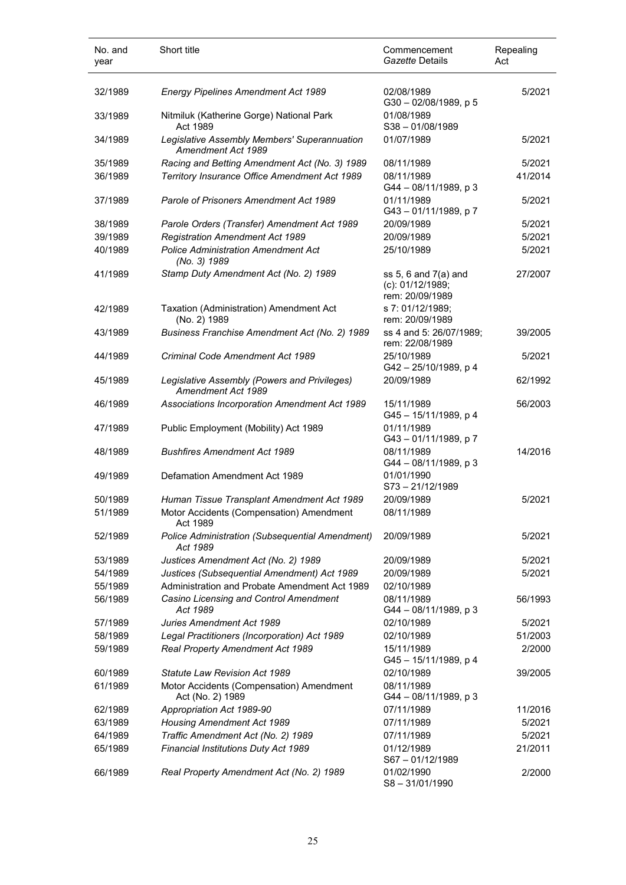| No. and<br>year | Short title                                                        | Commencement<br>Gazette Details                                 | Repealing<br>Act |
|-----------------|--------------------------------------------------------------------|-----------------------------------------------------------------|------------------|
| 32/1989         | <b>Energy Pipelines Amendment Act 1989</b>                         | 02/08/1989<br>G30-02/08/1989, p 5                               | 5/2021           |
| 33/1989         | Nitmiluk (Katherine Gorge) National Park<br>Act 1989               | 01/08/1989<br>$S38 - 01/08/1989$                                |                  |
| 34/1989         | Legislative Assembly Members' Superannuation<br>Amendment Act 1989 | 01/07/1989                                                      | 5/2021           |
| 35/1989         | Racing and Betting Amendment Act (No. 3) 1989                      | 08/11/1989                                                      | 5/2021           |
| 36/1989         | Territory Insurance Office Amendment Act 1989                      | 08/11/1989<br>G44 - 08/11/1989, p 3                             | 41/2014          |
| 37/1989         | Parole of Prisoners Amendment Act 1989                             | 01/11/1989<br>G43-01/11/1989, p7                                | 5/2021           |
| 38/1989         | Parole Orders (Transfer) Amendment Act 1989                        | 20/09/1989                                                      | 5/2021           |
| 39/1989         | <b>Registration Amendment Act 1989</b>                             | 20/09/1989                                                      | 5/2021           |
| 40/1989         | <b>Police Administration Amendment Act</b><br>(No. 3) 1989         | 25/10/1989                                                      | 5/2021           |
| 41/1989         | Stamp Duty Amendment Act (No. 2) 1989                              | ss $5, 6$ and $7(a)$ and<br>(c): 01/12/1989;<br>rem: 20/09/1989 | 27/2007          |
| 42/1989         | Taxation (Administration) Amendment Act<br>(No. 2) 1989            | s 7: 01/12/1989;<br>rem: 20/09/1989                             |                  |
| 43/1989         | Business Franchise Amendment Act (No. 2) 1989                      | ss 4 and 5: 26/07/1989;<br>rem: 22/08/1989                      | 39/2005          |
| 44/1989         | Criminal Code Amendment Act 1989                                   | 25/10/1989<br>G42-25/10/1989, p4                                | 5/2021           |
| 45/1989         | Legislative Assembly (Powers and Privileges)<br>Amendment Act 1989 | 20/09/1989                                                      | 62/1992          |
| 46/1989         | Associations Incorporation Amendment Act 1989                      | 15/11/1989<br>G45-15/11/1989, p 4                               | 56/2003          |
| 47/1989         | Public Employment (Mobility) Act 1989                              | 01/11/1989<br>G43-01/11/1989, p7                                |                  |
| 48/1989         | <b>Bushfires Amendment Act 1989</b>                                | 08/11/1989<br>G44 - 08/11/1989, p 3                             | 14/2016          |
| 49/1989         | Defamation Amendment Act 1989                                      | 01/01/1990<br>S73-21/12/1989                                    |                  |
| 50/1989         | Human Tissue Transplant Amendment Act 1989                         | 20/09/1989                                                      | 5/2021           |
| 51/1989         | Motor Accidents (Compensation) Amendment<br>Act 1989               | 08/11/1989                                                      |                  |
| 52/1989         | Police Administration (Subsequential Amendment)<br>Act 1989        | 20/09/1989                                                      | 5/2021           |
| 53/1989         | Justices Amendment Act (No. 2) 1989                                | 20/09/1989                                                      | 5/2021           |
| 54/1989         | Justices (Subsequential Amendment) Act 1989                        | 20/09/1989                                                      | 5/2021           |
| 55/1989         | Administration and Probate Amendment Act 1989                      | 02/10/1989                                                      |                  |
| 56/1989         | Casino Licensing and Control Amendment<br>Act 1989                 | 08/11/1989<br>G44 - 08/11/1989, p 3                             | 56/1993          |
| 57/1989         | <b>Juries Amendment Act 1989</b>                                   | 02/10/1989                                                      | 5/2021           |
| 58/1989         | Legal Practitioners (Incorporation) Act 1989                       | 02/10/1989                                                      | 51/2003          |
| 59/1989         | Real Property Amendment Act 1989                                   | 15/11/1989<br>G45-15/11/1989, p 4                               | 2/2000           |
| 60/1989         | <b>Statute Law Revision Act 1989</b>                               | 02/10/1989                                                      | 39/2005          |
| 61/1989         | Motor Accidents (Compensation) Amendment<br>Act (No. 2) 1989       | 08/11/1989<br>G44 - 08/11/1989, p 3                             |                  |
| 62/1989         | Appropriation Act 1989-90                                          | 07/11/1989                                                      | 11/2016          |
| 63/1989         | <b>Housing Amendment Act 1989</b>                                  | 07/11/1989                                                      | 5/2021           |
| 64/1989         | Traffic Amendment Act (No. 2) 1989                                 | 07/11/1989                                                      | 5/2021           |
| 65/1989         | Financial Institutions Duty Act 1989                               | 01/12/1989<br>S67-01/12/1989                                    | 21/2011          |
| 66/1989         | Real Property Amendment Act (No. 2) 1989                           | 01/02/1990<br>S8-31/01/1990                                     | 2/2000           |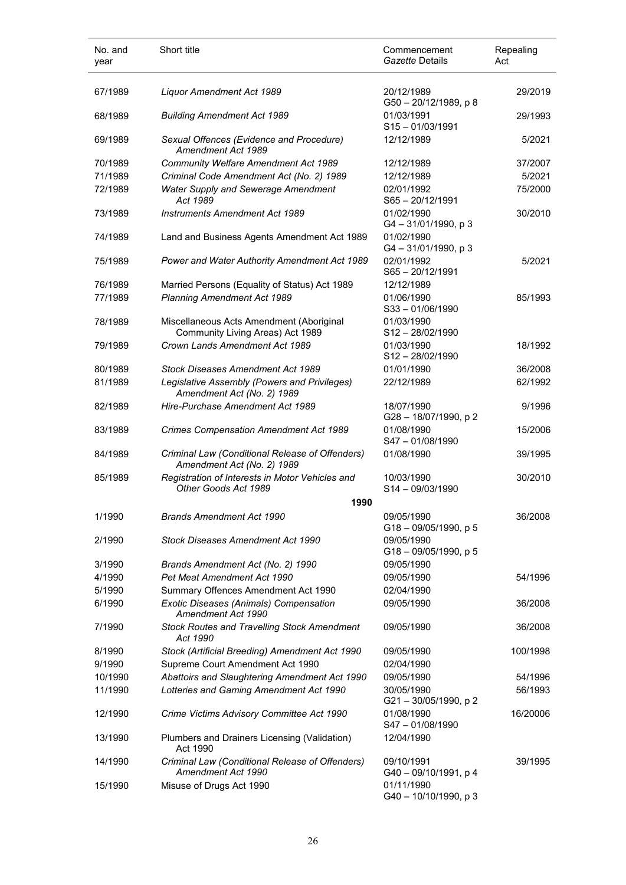| No. and<br>year | Short title                                                                   | Commencement<br>Gazette Details       | Repealing<br>Act |
|-----------------|-------------------------------------------------------------------------------|---------------------------------------|------------------|
| 67/1989         | Liquor Amendment Act 1989                                                     | 20/12/1989<br>G50-20/12/1989, p 8     | 29/2019          |
| 68/1989         | <b>Building Amendment Act 1989</b>                                            | 01/03/1991<br>S15-01/03/1991          | 29/1993          |
| 69/1989         | Sexual Offences (Evidence and Procedure)<br>Amendment Act 1989                | 12/12/1989                            | 5/2021           |
| 70/1989         | Community Welfare Amendment Act 1989                                          | 12/12/1989                            | 37/2007          |
| 71/1989         | Criminal Code Amendment Act (No. 2) 1989                                      | 12/12/1989                            | 5/2021           |
| 72/1989         | Water Supply and Sewerage Amendment<br>Act 1989                               | 02/01/1992<br>$S65 - 20/12/1991$      | 75/2000          |
| 73/1989         | <b>Instruments Amendment Act 1989</b>                                         | 01/02/1990<br>$G4 - 31/01/1990$ , p 3 | 30/2010          |
| 74/1989         | Land and Business Agents Amendment Act 1989                                   | 01/02/1990<br>$G4 - 31/01/1990$ , p 3 |                  |
| 75/1989         | Power and Water Authority Amendment Act 1989                                  | 02/01/1992<br>$S65 - 20/12/1991$      | 5/2021           |
| 76/1989         | Married Persons (Equality of Status) Act 1989                                 | 12/12/1989                            |                  |
| 77/1989         | <b>Planning Amendment Act 1989</b>                                            | 01/06/1990<br>S33-01/06/1990          | 85/1993          |
| 78/1989         | Miscellaneous Acts Amendment (Aboriginal<br>Community Living Areas) Act 1989  | 01/03/1990<br>S12-28/02/1990          |                  |
| 79/1989         | Crown Lands Amendment Act 1989                                                | 01/03/1990<br>S12-28/02/1990          | 18/1992          |
| 80/1989         | Stock Diseases Amendment Act 1989                                             | 01/01/1990                            | 36/2008          |
| 81/1989         | Legislative Assembly (Powers and Privileges)<br>Amendment Act (No. 2) 1989    | 22/12/1989                            | 62/1992          |
| 82/1989         | Hire-Purchase Amendment Act 1989                                              | 18/07/1990<br>G28-18/07/1990, p 2     | 9/1996           |
| 83/1989         | <b>Crimes Compensation Amendment Act 1989</b>                                 | 01/08/1990<br>S47-01/08/1990          | 15/2006          |
| 84/1989         | Criminal Law (Conditional Release of Offenders)<br>Amendment Act (No. 2) 1989 | 01/08/1990                            | 39/1995          |
| 85/1989         | Registration of Interests in Motor Vehicles and<br>Other Goods Act 1989       | 10/03/1990<br>S14-09/03/1990          | 30/2010          |
|                 | 1990                                                                          |                                       |                  |
| 1/1990          | <b>Brands Amendment Act 1990</b>                                              | 09/05/1990<br>G18-09/05/1990, p 5     | 36/2008          |
| 2/1990          | <b>Stock Diseases Amendment Act 1990</b>                                      | 09/05/1990<br>G18-09/05/1990, p 5     |                  |
| 3/1990          | Brands Amendment Act (No. 2) 1990                                             | 09/05/1990                            |                  |
| 4/1990          | Pet Meat Amendment Act 1990                                                   | 09/05/1990                            | 54/1996          |
| 5/1990          | Summary Offences Amendment Act 1990                                           | 02/04/1990                            |                  |
| 6/1990          | Exotic Diseases (Animals) Compensation<br>Amendment Act 1990                  | 09/05/1990                            | 36/2008          |
| 7/1990          | <b>Stock Routes and Travelling Stock Amendment</b><br>Act 1990                | 09/05/1990                            | 36/2008          |
| 8/1990          | Stock (Artificial Breeding) Amendment Act 1990                                | 09/05/1990                            | 100/1998         |
| 9/1990          | Supreme Court Amendment Act 1990                                              | 02/04/1990                            |                  |
| 10/1990         | Abattoirs and Slaughtering Amendment Act 1990                                 | 09/05/1990                            | 54/1996          |
| 11/1990         | Lotteries and Gaming Amendment Act 1990                                       | 30/05/1990<br>G21-30/05/1990, p 2     | 56/1993          |
| 12/1990         | Crime Victims Advisory Committee Act 1990                                     | 01/08/1990<br>S47-01/08/1990          | 16/20006         |
| 13/1990         | Plumbers and Drainers Licensing (Validation)<br>Act 1990                      | 12/04/1990                            |                  |
| 14/1990         | Criminal Law (Conditional Release of Offenders)<br>Amendment Act 1990         | 09/10/1991<br>G40 - 09/10/1991, p 4   | 39/1995          |
| 15/1990         | Misuse of Drugs Act 1990                                                      | 01/11/1990<br>G40 - 10/10/1990, p 3   |                  |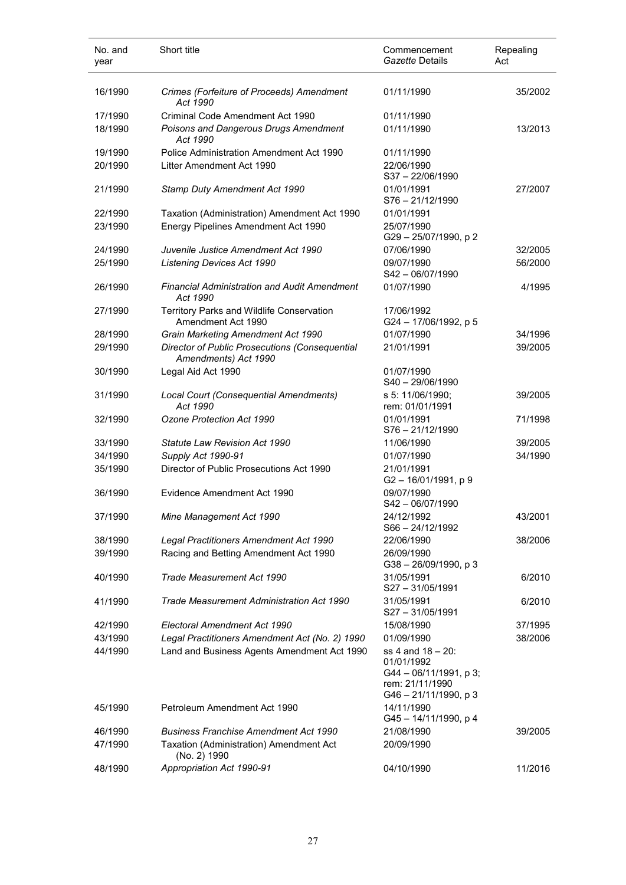| No. and<br>year | Short title                                                            | Commencement<br>Gazette Details                                                                       | Repealing<br>Act |
|-----------------|------------------------------------------------------------------------|-------------------------------------------------------------------------------------------------------|------------------|
| 16/1990         | Crimes (Forfeiture of Proceeds) Amendment<br>Act 1990                  | 01/11/1990                                                                                            | 35/2002          |
| 17/1990         | Criminal Code Amendment Act 1990                                       | 01/11/1990                                                                                            |                  |
| 18/1990         | Poisons and Dangerous Drugs Amendment<br>Act 1990                      | 01/11/1990                                                                                            | 13/2013          |
| 19/1990         | Police Administration Amendment Act 1990                               | 01/11/1990                                                                                            |                  |
| 20/1990         | Litter Amendment Act 1990                                              | 22/06/1990<br>$S37 - 22/06/1990$                                                                      |                  |
| 21/1990         | Stamp Duty Amendment Act 1990                                          | 01/01/1991<br>$S76 - 21/12/1990$                                                                      | 27/2007          |
| 22/1990         | Taxation (Administration) Amendment Act 1990                           | 01/01/1991                                                                                            |                  |
| 23/1990         | Energy Pipelines Amendment Act 1990                                    | 25/07/1990<br>G29-25/07/1990, p2                                                                      |                  |
| 24/1990         | Juvenile Justice Amendment Act 1990                                    | 07/06/1990                                                                                            | 32/2005          |
| 25/1990         | Listening Devices Act 1990                                             | 09/07/1990<br>$S42 - 06/07/1990$                                                                      | 56/2000          |
| 26/1990         | <b>Financial Administration and Audit Amendment</b><br>Act 1990        | 01/07/1990                                                                                            | 4/1995           |
| 27/1990         | Territory Parks and Wildlife Conservation<br>Amendment Act 1990        | 17/06/1992<br>G24 - 17/06/1992, p 5                                                                   |                  |
| 28/1990         | Grain Marketing Amendment Act 1990                                     | 01/07/1990                                                                                            | 34/1996          |
| 29/1990         | Director of Public Prosecutions (Consequential<br>Amendments) Act 1990 | 21/01/1991                                                                                            | 39/2005          |
| 30/1990         | Legal Aid Act 1990                                                     | 01/07/1990<br>$S40 - 29/06/1990$                                                                      |                  |
| 31/1990         | Local Court (Consequential Amendments)<br>Act 1990                     | s 5: 11/06/1990;<br>rem: 01/01/1991                                                                   | 39/2005          |
| 32/1990         | Ozone Protection Act 1990                                              | 01/01/1991<br>S76-21/12/1990                                                                          | 71/1998          |
| 33/1990         | <b>Statute Law Revision Act 1990</b>                                   | 11/06/1990                                                                                            | 39/2005          |
| 34/1990         | Supply Act 1990-91                                                     | 01/07/1990                                                                                            | 34/1990          |
| 35/1990         | Director of Public Prosecutions Act 1990                               | 21/01/1991<br>G2-16/01/1991, p9                                                                       |                  |
| 36/1990         | Evidence Amendment Act 1990                                            | 09/07/1990<br>$S42 - 06/07/1990$                                                                      |                  |
| 37/1990         | Mine Management Act 1990                                               | 24/12/1992<br>S66 - 24/12/1992                                                                        | 43/2001          |
| 38/1990         | Legal Practitioners Amendment Act 1990                                 | 22/06/1990                                                                                            | 38/2006          |
| 39/1990         | Racing and Betting Amendment Act 1990                                  | 26/09/1990<br>G38-26/09/1990, p3                                                                      |                  |
| 40/1990         | Trade Measurement Act 1990                                             | 31/05/1991<br>S27-31/05/1991                                                                          | 6/2010           |
| 41/1990         | Trade Measurement Administration Act 1990                              | 31/05/1991<br>S27-31/05/1991                                                                          | 6/2010           |
| 42/1990         | Electoral Amendment Act 1990                                           | 15/08/1990                                                                                            | 37/1995          |
| 43/1990         | Legal Practitioners Amendment Act (No. 2) 1990                         | 01/09/1990                                                                                            | 38/2006          |
| 44/1990         | Land and Business Agents Amendment Act 1990                            | ss 4 and 18 - 20:<br>01/01/1992<br>G44 - 06/11/1991, p 3;<br>rem: 21/11/1990<br>G46 - 21/11/1990, p 3 |                  |
| 45/1990         | Petroleum Amendment Act 1990                                           | 14/11/1990<br>G45-14/11/1990, p 4                                                                     |                  |
| 46/1990         | <b>Business Franchise Amendment Act 1990</b>                           | 21/08/1990                                                                                            | 39/2005          |
| 47/1990         | Taxation (Administration) Amendment Act<br>(No. 2) 1990                | 20/09/1990                                                                                            |                  |
| 48/1990         | Appropriation Act 1990-91                                              | 04/10/1990                                                                                            | 11/2016          |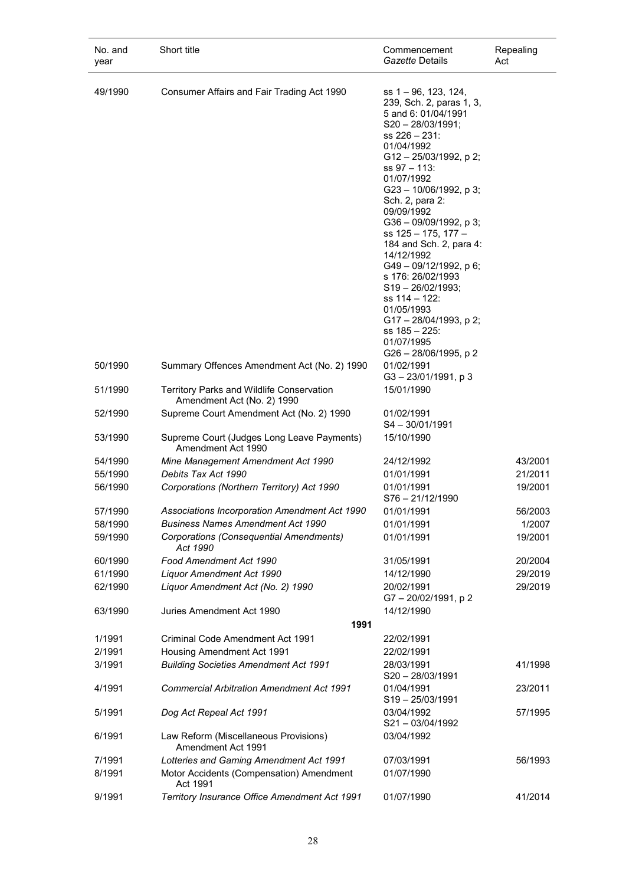| No. and<br>year | Short title                                                             | Commencement<br>Gazette Details                                                                                                                                                                                                                                                                                                                                                                                                                                                                                                  | Repealing<br>Act |
|-----------------|-------------------------------------------------------------------------|----------------------------------------------------------------------------------------------------------------------------------------------------------------------------------------------------------------------------------------------------------------------------------------------------------------------------------------------------------------------------------------------------------------------------------------------------------------------------------------------------------------------------------|------------------|
| 49/1990         | Consumer Affairs and Fair Trading Act 1990                              | ss 1 – 96, 123, 124,<br>239, Sch. 2, paras 1, 3,<br>5 and 6: 01/04/1991<br>$S20 - 28/03/1991;$<br>$ss 226 - 231$ :<br>01/04/1992<br>G12-25/03/1992, p 2;<br>ss 97 - 113:<br>01/07/1992<br>G23 - 10/06/1992, p 3;<br>Sch. 2, para 2:<br>09/09/1992<br>G36 - 09/09/1992, p 3;<br>ss 125 - 175, 177 -<br>184 and Sch. 2, para 4:<br>14/12/1992<br>G49-09/12/1992, p 6;<br>s 176: 26/02/1993<br>$S19 - 26/02/1993;$<br>ss 114 - 122:<br>01/05/1993<br>G17 - 28/04/1993, p 2;<br>ss 185 – 225:<br>01/07/1995<br>G26 - 28/06/1995, p 2 |                  |
| 50/1990         | Summary Offences Amendment Act (No. 2) 1990                             | 01/02/1991<br>$G3 - 23/01/1991$ , p 3                                                                                                                                                                                                                                                                                                                                                                                                                                                                                            |                  |
| 51/1990         | Territory Parks and Wildlife Conservation<br>Amendment Act (No. 2) 1990 | 15/01/1990                                                                                                                                                                                                                                                                                                                                                                                                                                                                                                                       |                  |
| 52/1990         | Supreme Court Amendment Act (No. 2) 1990                                | 01/02/1991<br>$S4 - 30/01/1991$                                                                                                                                                                                                                                                                                                                                                                                                                                                                                                  |                  |
| 53/1990         | Supreme Court (Judges Long Leave Payments)<br>Amendment Act 1990        | 15/10/1990                                                                                                                                                                                                                                                                                                                                                                                                                                                                                                                       |                  |
| 54/1990         | Mine Management Amendment Act 1990                                      | 24/12/1992                                                                                                                                                                                                                                                                                                                                                                                                                                                                                                                       | 43/2001          |
| 55/1990         | Debits Tax Act 1990                                                     | 01/01/1991                                                                                                                                                                                                                                                                                                                                                                                                                                                                                                                       | 21/2011          |
| 56/1990         | Corporations (Northern Territory) Act 1990                              | 01/01/1991<br>$S76 - 21/12/1990$                                                                                                                                                                                                                                                                                                                                                                                                                                                                                                 | 19/2001          |
| 57/1990         | Associations Incorporation Amendment Act 1990                           | 01/01/1991                                                                                                                                                                                                                                                                                                                                                                                                                                                                                                                       | 56/2003          |
| 58/1990         | <b>Business Names Amendment Act 1990</b>                                | 01/01/1991                                                                                                                                                                                                                                                                                                                                                                                                                                                                                                                       | 1/2007           |
| 59/1990         | Corporations (Consequential Amendments)<br>Act 1990                     | 01/01/1991                                                                                                                                                                                                                                                                                                                                                                                                                                                                                                                       | 19/2001          |
| 60/1990         | Food Amendment Act 1990                                                 | 31/05/1991                                                                                                                                                                                                                                                                                                                                                                                                                                                                                                                       | 20/2004          |
| 61/1990         | <b>Liquor Amendment Act 1990</b>                                        | 14/12/1990                                                                                                                                                                                                                                                                                                                                                                                                                                                                                                                       | 29/2019          |
| 62/1990         | Liquor Amendment Act (No. 2) 1990                                       | 20/02/1991<br>G7-20/02/1991, p2                                                                                                                                                                                                                                                                                                                                                                                                                                                                                                  | 29/2019          |
| 63/1990         | Juries Amendment Act 1990                                               | 14/12/1990                                                                                                                                                                                                                                                                                                                                                                                                                                                                                                                       |                  |
|                 | 1991                                                                    |                                                                                                                                                                                                                                                                                                                                                                                                                                                                                                                                  |                  |
| 1/1991          | Criminal Code Amendment Act 1991                                        | 22/02/1991                                                                                                                                                                                                                                                                                                                                                                                                                                                                                                                       |                  |
| 2/1991          | Housing Amendment Act 1991                                              | 22/02/1991                                                                                                                                                                                                                                                                                                                                                                                                                                                                                                                       |                  |
| 3/1991          | <b>Building Societies Amendment Act 1991</b>                            | 28/03/1991<br>S20-28/03/1991                                                                                                                                                                                                                                                                                                                                                                                                                                                                                                     | 41/1998          |
| 4/1991          | <b>Commercial Arbitration Amendment Act 1991</b>                        | 01/04/1991<br>S19-25/03/1991                                                                                                                                                                                                                                                                                                                                                                                                                                                                                                     | 23/2011          |
| 5/1991          | Dog Act Repeal Act 1991                                                 | 03/04/1992<br>S21-03/04/1992                                                                                                                                                                                                                                                                                                                                                                                                                                                                                                     | 57/1995          |
| 6/1991          | Law Reform (Miscellaneous Provisions)<br>Amendment Act 1991             | 03/04/1992                                                                                                                                                                                                                                                                                                                                                                                                                                                                                                                       |                  |
| 7/1991          | Lotteries and Gaming Amendment Act 1991                                 | 07/03/1991                                                                                                                                                                                                                                                                                                                                                                                                                                                                                                                       | 56/1993          |
| 8/1991          | Motor Accidents (Compensation) Amendment<br>Act 1991                    | 01/07/1990                                                                                                                                                                                                                                                                                                                                                                                                                                                                                                                       |                  |
| 9/1991          | Territory Insurance Office Amendment Act 1991                           | 01/07/1990                                                                                                                                                                                                                                                                                                                                                                                                                                                                                                                       | 41/2014          |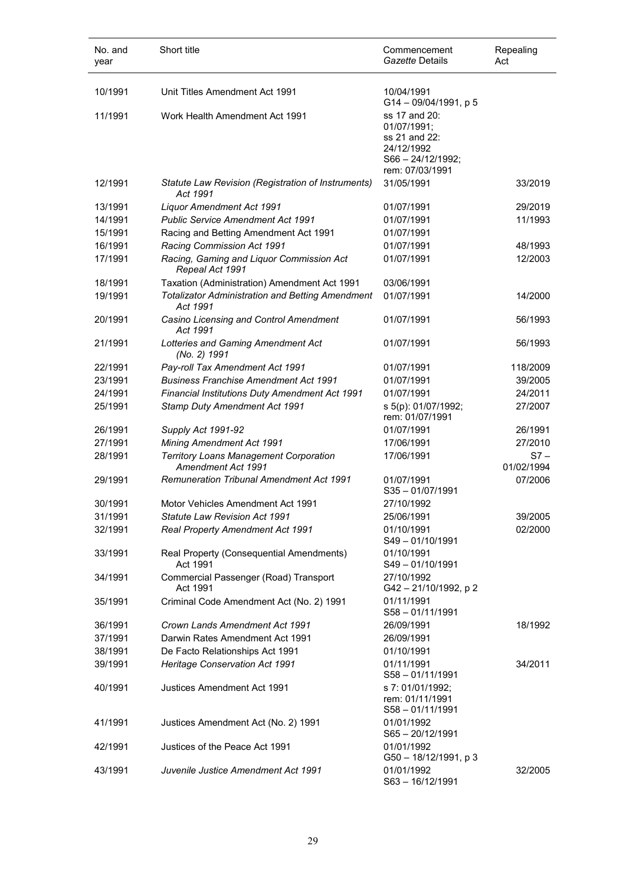| No. and<br>year | Short title                                                         | Commencement<br>Gazette Details                                                                         | Repealing<br>Act     |
|-----------------|---------------------------------------------------------------------|---------------------------------------------------------------------------------------------------------|----------------------|
| 10/1991         | Unit Titles Amendment Act 1991                                      | 10/04/1991                                                                                              |                      |
| 11/1991         | Work Health Amendment Act 1991                                      | G14-09/04/1991, p 5<br>ss 17 and 20:<br>01/07/1991;<br>ss 21 and 22:<br>24/12/1992<br>S66 - 24/12/1992; |                      |
| 12/1991         | Statute Law Revision (Registration of Instruments)<br>Act 1991      | rem: 07/03/1991<br>31/05/1991                                                                           | 33/2019              |
| 13/1991         | <b>Liquor Amendment Act 1991</b>                                    | 01/07/1991                                                                                              | 29/2019              |
| 14/1991         | <b>Public Service Amendment Act 1991</b>                            | 01/07/1991                                                                                              | 11/1993              |
| 15/1991         | Racing and Betting Amendment Act 1991                               | 01/07/1991                                                                                              |                      |
| 16/1991         | Racing Commission Act 1991                                          | 01/07/1991                                                                                              | 48/1993              |
| 17/1991         | Racing, Gaming and Liquor Commission Act<br>Repeal Act 1991         | 01/07/1991                                                                                              | 12/2003              |
| 18/1991         | Taxation (Administration) Amendment Act 1991                        | 03/06/1991                                                                                              |                      |
| 19/1991         | <b>Totalizator Administration and Betting Amendment</b><br>Act 1991 | 01/07/1991                                                                                              | 14/2000              |
| 20/1991         | Casino Licensing and Control Amendment<br>Act 1991                  | 01/07/1991                                                                                              | 56/1993              |
| 21/1991         | Lotteries and Gaming Amendment Act<br>(No. 2) 1991                  | 01/07/1991                                                                                              | 56/1993              |
| 22/1991         | Pay-roll Tax Amendment Act 1991                                     | 01/07/1991                                                                                              | 118/2009             |
| 23/1991         | <b>Business Franchise Amendment Act 1991</b>                        | 01/07/1991                                                                                              | 39/2005              |
| 24/1991         | Financial Institutions Duty Amendment Act 1991                      | 01/07/1991                                                                                              | 24/2011              |
| 25/1991         | Stamp Duty Amendment Act 1991                                       | s 5(p): 01/07/1992;<br>rem: 01/07/1991                                                                  | 27/2007              |
| 26/1991         | Supply Act 1991-92                                                  | 01/07/1991                                                                                              | 26/1991              |
| 27/1991         | <b>Mining Amendment Act 1991</b>                                    | 17/06/1991                                                                                              | 27/2010              |
| 28/1991         | <b>Territory Loans Management Corporation</b><br>Amendment Act 1991 | 17/06/1991                                                                                              | $S7 -$<br>01/02/1994 |
| 29/1991         | <b>Remuneration Tribunal Amendment Act 1991</b>                     | 01/07/1991<br>$S35 - 01/07/1991$                                                                        | 07/2006              |
| 30/1991         | Motor Vehicles Amendment Act 1991                                   | 27/10/1992                                                                                              |                      |
| 31/1991         | <b>Statute Law Revision Act 1991</b>                                | 25/06/1991                                                                                              | 39/2005              |
| 32/1991         | Real Property Amendment Act 1991                                    | 01/10/1991<br>S49-01/10/1991                                                                            | 02/2000              |
| 33/1991         | Real Property (Consequential Amendments)<br>Act 1991                | 01/10/1991<br>S49-01/10/1991                                                                            |                      |
| 34/1991         | Commercial Passenger (Road) Transport<br>Act 1991                   | 27/10/1992<br>G42-21/10/1992, p2                                                                        |                      |
| 35/1991         | Criminal Code Amendment Act (No. 2) 1991                            | 01/11/1991<br>$S58 - 01/11/1991$                                                                        |                      |
| 36/1991         | Crown Lands Amendment Act 1991                                      | 26/09/1991                                                                                              | 18/1992              |
| 37/1991         | Darwin Rates Amendment Act 1991                                     | 26/09/1991                                                                                              |                      |
| 38/1991         | De Facto Relationships Act 1991                                     | 01/10/1991                                                                                              |                      |
| 39/1991         | Heritage Conservation Act 1991                                      | 01/11/1991<br>$S58 - 01/11/1991$                                                                        | 34/2011              |
| 40/1991         | Justices Amendment Act 1991                                         | s 7: 01/01/1992;<br>rem: 01/11/1991<br>$S58 - 01/11/1991$                                               |                      |
| 41/1991         | Justices Amendment Act (No. 2) 1991                                 | 01/01/1992<br>$S65 - 20/12/1991$                                                                        |                      |
| 42/1991         | Justices of the Peace Act 1991                                      | 01/01/1992<br>G50 - 18/12/1991, p 3                                                                     |                      |
| 43/1991         | Juvenile Justice Amendment Act 1991                                 | 01/01/1992<br>S63-16/12/1991                                                                            | 32/2005              |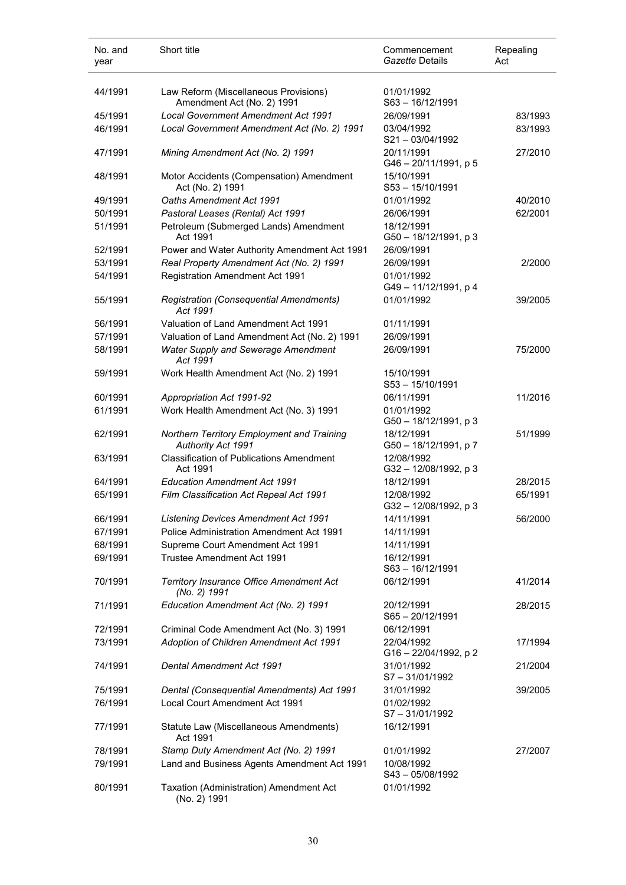| No. and<br>year | Short title                                                         | Commencement<br>Gazette Details     | Repealing<br>Act |
|-----------------|---------------------------------------------------------------------|-------------------------------------|------------------|
| 44/1991         | Law Reform (Miscellaneous Provisions)<br>Amendment Act (No. 2) 1991 | 01/01/1992<br>S63-16/12/1991        |                  |
| 45/1991         | Local Government Amendment Act 1991                                 | 26/09/1991                          | 83/1993          |
| 46/1991         | Local Government Amendment Act (No. 2) 1991                         | 03/04/1992<br>$S21 - 03/04/1992$    | 83/1993          |
| 47/1991         | Mining Amendment Act (No. 2) 1991                                   | 20/11/1991<br>G46-20/11/1991, p 5   | 27/2010          |
| 48/1991         | Motor Accidents (Compensation) Amendment<br>Act (No. 2) 1991        | 15/10/1991<br>S53-15/10/1991        |                  |
| 49/1991         | Oaths Amendment Act 1991                                            | 01/01/1992                          | 40/2010          |
| 50/1991         | Pastoral Leases (Rental) Act 1991                                   | 26/06/1991                          | 62/2001          |
| 51/1991         | Petroleum (Submerged Lands) Amendment<br>Act 1991                   | 18/12/1991<br>G50 - 18/12/1991, p 3 |                  |
| 52/1991         | Power and Water Authority Amendment Act 1991                        | 26/09/1991                          |                  |
| 53/1991         | Real Property Amendment Act (No. 2) 1991                            | 26/09/1991                          | 2/2000           |
| 54/1991         | <b>Registration Amendment Act 1991</b>                              | 01/01/1992<br>G49-11/12/1991, p4    |                  |
| 55/1991         | Registration (Consequential Amendments)<br>Act 1991                 | 01/01/1992                          | 39/2005          |
| 56/1991         | Valuation of Land Amendment Act 1991                                | 01/11/1991                          |                  |
| 57/1991         | Valuation of Land Amendment Act (No. 2) 1991                        | 26/09/1991                          |                  |
| 58/1991         | Water Supply and Sewerage Amendment<br>Act 1991                     | 26/09/1991                          | 75/2000          |
| 59/1991         | Work Health Amendment Act (No. 2) 1991                              | 15/10/1991<br>S53-15/10/1991        |                  |
| 60/1991         | Appropriation Act 1991-92                                           | 06/11/1991                          | 11/2016          |
| 61/1991         | Work Health Amendment Act (No. 3) 1991                              | 01/01/1992<br>G50 - 18/12/1991, p 3 |                  |
| 62/1991         | Northern Territory Employment and Training<br>Authority Act 1991    | 18/12/1991<br>G50 - 18/12/1991, p 7 | 51/1999          |
| 63/1991         | <b>Classification of Publications Amendment</b><br>Act 1991         | 12/08/1992<br>G32-12/08/1992, p 3   |                  |
| 64/1991         | <b>Education Amendment Act 1991</b>                                 | 18/12/1991                          | 28/2015          |
| 65/1991         | Film Classification Act Repeal Act 1991                             | 12/08/1992<br>G32-12/08/1992, p3    | 65/1991          |
| 66/1991         | <b>Listening Devices Amendment Act 1991</b>                         | 14/11/1991                          | 56/2000          |
| 67/1991         | Police Administration Amendment Act 1991                            | 14/11/1991                          |                  |
| 68/1991         | Supreme Court Amendment Act 1991                                    | 14/11/1991                          |                  |
| 69/1991         | Trustee Amendment Act 1991                                          | 16/12/1991<br>S63-16/12/1991        |                  |
| 70/1991         | Territory Insurance Office Amendment Act<br>(No. 2) 1991            | 06/12/1991                          | 41/2014          |
| 71/1991         | Education Amendment Act (No. 2) 1991                                | 20/12/1991<br>$S65 - 20/12/1991$    | 28/2015          |
| 72/1991         | Criminal Code Amendment Act (No. 3) 1991                            | 06/12/1991                          |                  |
| 73/1991         | Adoption of Children Amendment Act 1991                             | 22/04/1992<br>G16-22/04/1992, p 2   | 17/1994          |
| 74/1991         | Dental Amendment Act 1991                                           | 31/01/1992<br>S7-31/01/1992         | 21/2004          |
| 75/1991         | Dental (Consequential Amendments) Act 1991                          | 31/01/1992                          | 39/2005          |
| 76/1991         | Local Court Amendment Act 1991                                      | 01/02/1992<br>$S7 - 31/01/1992$     |                  |
| 77/1991         | Statute Law (Miscellaneous Amendments)<br>Act 1991                  | 16/12/1991                          |                  |
| 78/1991         | Stamp Duty Amendment Act (No. 2) 1991                               | 01/01/1992                          | 27/2007          |
| 79/1991         | Land and Business Agents Amendment Act 1991                         | 10/08/1992<br>S43-05/08/1992        |                  |
| 80/1991         | Taxation (Administration) Amendment Act<br>(No. 2) 1991             | 01/01/1992                          |                  |